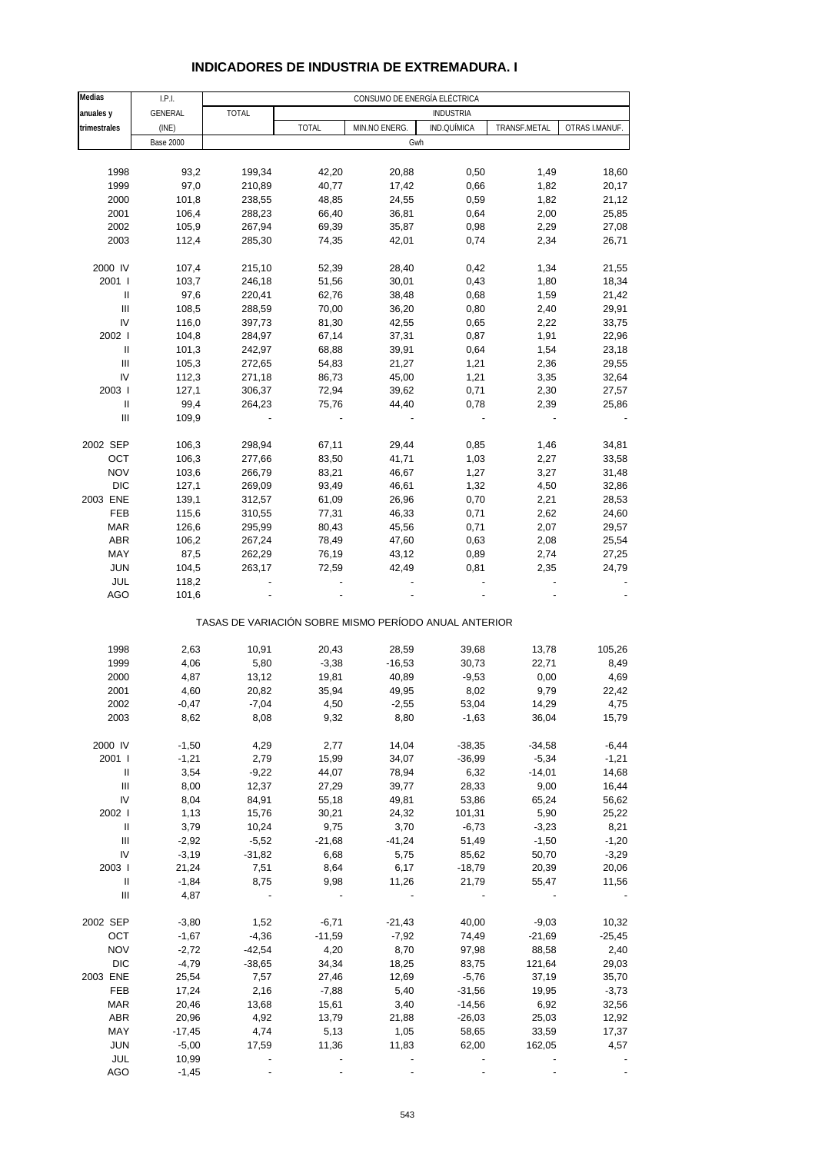### **INDICADORES DE INDUSTRIA DE EXTREMADURA. I**

| Medias                             | I.P.I.           |              |                          | CONSUMO DE ENERGÍA ELÉCTRICA                          |                  |              |                |
|------------------------------------|------------------|--------------|--------------------------|-------------------------------------------------------|------------------|--------------|----------------|
| anuales y                          | GENERAL          | <b>TOTAL</b> |                          |                                                       | <b>INDUSTRIA</b> |              |                |
| trimestrales                       | (INE)            |              | <b>TOTAL</b>             | MIN.NO ENERG.                                         | IND.QUÍMICA      | TRANSF.METAL | OTRAS I.MANUF. |
|                                    | <b>Base 2000</b> |              |                          | Gwh                                                   |                  |              |                |
|                                    |                  |              |                          |                                                       |                  |              |                |
| 1998                               | 93,2             | 199,34       | 42,20                    | 20,88                                                 | 0,50             | 1,49         | 18,60          |
| 1999                               | 97,0             | 210,89       | 40,77                    | 17,42                                                 | 0,66             | 1,82         | 20,17          |
|                                    |                  |              |                          |                                                       |                  |              |                |
| 2000                               | 101,8            | 238,55       | 48,85                    | 24,55                                                 | 0,59             | 1,82         | 21,12          |
| 2001                               | 106,4            | 288,23       | 66,40                    | 36,81                                                 | 0,64             | 2,00         | 25,85          |
| 2002                               | 105,9            | 267,94       | 69,39                    | 35,87                                                 | 0,98             | 2,29         | 27,08          |
| 2003                               | 112,4            | 285,30       | 74,35                    | 42,01                                                 | 0,74             | 2,34         | 26,71          |
|                                    |                  |              |                          |                                                       |                  |              |                |
| 2000 IV                            | 107,4            | 215,10       | 52,39                    | 28,40                                                 | 0,42             | 1,34         | 21,55          |
| 2001 l                             | 103,7            | 246,18       | 51,56                    | 30,01                                                 | 0,43             | 1,80         | 18,34          |
| Ш                                  | 97,6             | 220,41       | 62,76                    | 38,48                                                 | 0,68             | 1,59         | 21,42          |
| Ш                                  | 108,5            | 288,59       | 70,00                    | 36,20                                                 | 0,80             | 2,40         | 29,91          |
| IV                                 | 116,0            | 397,73       | 81,30                    | 42,55                                                 | 0,65             | 2,22         | 33,75          |
| 2002 l                             | 104,8            | 284,97       | 67,14                    | 37,31                                                 | 0,87             | 1,91         | 22,96          |
| Ш                                  | 101,3            | 242,97       | 68,88                    | 39,91                                                 | 0,64             | 1,54         | 23,18          |
| Ш                                  | 105,3            | 272,65       | 54,83                    | 21,27                                                 | 1,21             | 2,36         | 29,55          |
| IV                                 | 112,3            | 271,18       | 86,73                    | 45,00                                                 | 1,21             | 3,35         | 32,64          |
| 2003                               | 127,1            | 306,37       | 72,94                    | 39,62                                                 | 0,71             | 2,30         | 27,57          |
| Ш                                  | 99,4             | 264,23       | 75,76                    | 44,40                                                 | 0,78             | 2,39         | 25,86          |
| $\ensuremath{\mathsf{III}}\xspace$ | 109,9            |              | $\overline{\phantom{a}}$ | $\frac{1}{2}$                                         |                  |              |                |
|                                    |                  |              |                          |                                                       |                  |              |                |
| 2002 SEP                           | 106,3            | 298,94       | 67,11                    | 29,44                                                 | 0,85             | 1,46         | 34,81          |
| OCT                                | 106,3            | 277,66       | 83,50                    | 41,71                                                 | 1,03             | 2,27         | 33,58          |
| <b>NOV</b>                         | 103,6            | 266,79       | 83,21                    | 46,67                                                 | 1,27             | 3,27         | 31,48          |
| <b>DIC</b>                         | 127,1            | 269,09       | 93,49                    | 46,61                                                 | 1,32             | 4,50         | 32,86          |
| 2003 ENE                           | 139,1            | 312,57       | 61,09                    | 26,96                                                 | 0,70             | 2,21         | 28,53          |
| FEB                                | 115,6            | 310,55       | 77,31                    | 46,33                                                 | 0,71             | 2,62         | 24,60          |
| <b>MAR</b>                         | 126,6            | 295,99       | 80,43                    | 45,56                                                 | 0,71             | 2,07         | 29,57          |
| <b>ABR</b>                         | 106,2            | 267,24       | 78,49                    | 47,60                                                 | 0,63             | 2,08         | 25,54          |
| MAY                                | 87,5             | 262,29       | 76,19                    | 43,12                                                 | 0,89             | 2,74         | 27,25          |
| <b>JUN</b>                         |                  | 263,17       | 72,59                    | 42,49                                                 | 0,81             | 2,35         | 24,79          |
|                                    | 104,5            |              |                          |                                                       |                  |              |                |
| JUL                                | 118,2            |              |                          |                                                       |                  |              |                |
| AGO                                | 101,6            |              |                          |                                                       |                  |              |                |
|                                    |                  |              |                          | TASAS DE VARIACIÓN SOBRE MISMO PERÍODO ANUAL ANTERIOR |                  |              |                |
|                                    |                  |              |                          |                                                       |                  |              |                |
| 1998                               | 2,63             | 10,91        | 20,43                    | 28,59                                                 | 39,68            | 13,78        | 105,26         |
| 1999                               | 4,06             | 5,80         | $-3,38$                  | $-16,53$                                              | 30,73            | 22,71        | 8,49           |
| 2000                               | 4,87             | 13,12        | 19,81                    | 40,89                                                 | $-9,53$          | 0,00         | 4,69           |
| 2001                               | 4,60             | 20,82        | 35,94                    | 49,95                                                 | 8,02             | 9,79         | 22,42          |
| 2002                               | $-0,47$          | $-7,04$      | 4,50                     | $-2,55$                                               | 53,04            | 14,29        | 4,75           |
| 2003                               | 8,62             | 8,08         | 9,32                     | 8,80                                                  | $-1,63$          | 36,04        | 15,79          |
|                                    |                  |              |                          |                                                       |                  |              |                |
| 2000 IV                            | $-1,50$          | 4,29         | 2,77                     | 14,04                                                 | $-38,35$         | $-34,58$     | $-6,44$        |
| 2001                               | $-1,21$          | 2,79         | 15,99                    | 34,07                                                 | $-36,99$         | $-5,34$      | $-1,21$        |
| Ш                                  | 3,54             | $-9,22$      | 44,07                    | 78,94                                                 | 6,32             | $-14,01$     | 14,68          |
| $\ensuremath{\mathsf{III}}\xspace$ | 8,00             | 12,37        | 27,29                    | 39,77                                                 | 28,33            | 9,00         | 16,44          |
| IV                                 | 8,04             | 84,91        | 55,18                    | 49,81                                                 | 53,86            | 65,24        | 56,62          |
| 2002                               | 1,13             | 15,76        | 30,21                    | 24,32                                                 | 101,31           | 5,90         | 25,22          |
| $\ensuremath{\mathsf{II}}$         | 3,79             | 10,24        | 9,75                     | 3,70                                                  | $-6,73$          | $-3,23$      | 8,21           |
| Ш                                  | $-2,92$          | $-5,52$      | $-21,68$                 | $-41,24$                                              | 51,49            | $-1,50$      | $-1,20$        |
| IV                                 | $-3,19$          | $-31,82$     | 6,68                     | 5,75                                                  | 85,62            | 50,70        | $-3,29$        |
| 2003                               | 21,24            | 7,51         | 8,64                     | 6,17                                                  | $-18,79$         | 20,39        | 20,06          |
| Ш                                  | $-1,84$          | 8,75         | 9,98                     | 11,26                                                 | 21,79            | 55,47        | 11,56          |
| $\ensuremath{\mathsf{III}}\xspace$ | 4,87             |              |                          |                                                       |                  |              |                |
|                                    |                  |              |                          |                                                       |                  |              |                |
| 2002 SEP                           | $-3,80$          | 1,52         | $-6,71$                  | $-21,43$                                              | 40,00            | $-9,03$      | 10,32          |
| OCT                                | $-1,67$          | $-4,36$      | $-11,59$                 | $-7,92$                                               | 74,49            | $-21,69$     | $-25,45$       |
| <b>NOV</b>                         | $-2,72$          | $-42,54$     | 4,20                     | 8,70                                                  | 97,98            | 88,58        | 2,40           |
| <b>DIC</b>                         | $-4,79$          | $-38,65$     | 34,34                    | 18,25                                                 | 83,75            | 121,64       | 29,03          |
| 2003 ENE                           | 25,54            | 7,57         | 27,46                    | 12,69                                                 | $-5,76$          | 37,19        | 35,70          |
| FEB                                | 17,24            | 2,16         | $-7,88$                  | 5,40                                                  | $-31,56$         | 19,95        | $-3,73$        |
| <b>MAR</b>                         | 20,46            | 13,68        | 15,61                    | 3,40                                                  | $-14,56$         | 6,92         | 32,56          |
| <b>ABR</b>                         | 20,96            | 4,92         | 13,79                    | 21,88                                                 | $-26,03$         | 25,03        | 12,92          |
| MAY                                | $-17,45$         | 4,74         | 5,13                     | 1,05                                                  | 58,65            | 33,59        | 17,37          |
| <b>JUN</b>                         | $-5,00$          | 17,59        | 11,36                    | 11,83                                                 | 62,00            | 162,05       | 4,57           |
|                                    |                  |              |                          |                                                       |                  |              |                |
| JUL                                | 10,99            |              |                          |                                                       |                  |              |                |
| <b>AGO</b>                         | $-1,45$          |              |                          |                                                       |                  |              |                |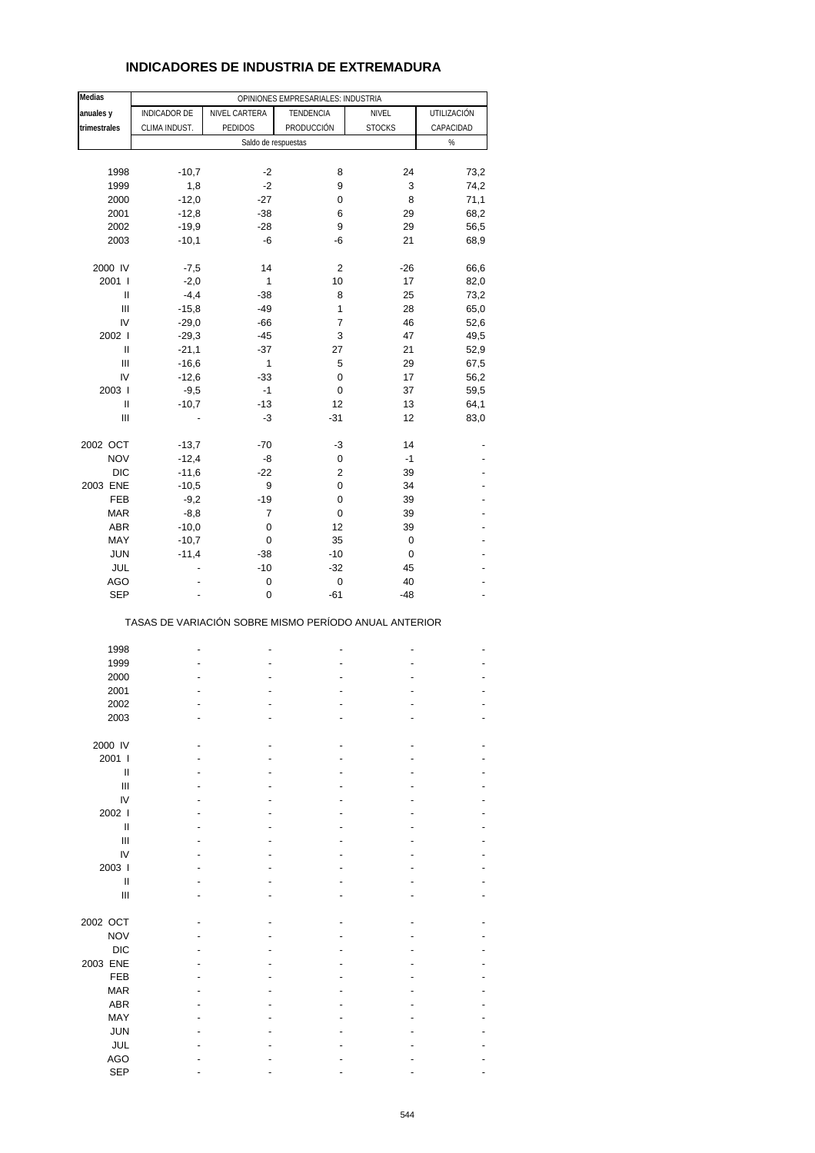### **INDICADORES DE INDUSTRIA DE EXTREMADURA**

| <b>Medias</b>                      |                                                       |                     | OPINIONES EMPRESARIALES: INDUSTRIA |               |             |
|------------------------------------|-------------------------------------------------------|---------------------|------------------------------------|---------------|-------------|
| anuales y                          | INDICADOR DE                                          | NIVEL CARTERA       | TENDENCIA                          | NIVEL         | UTILIZACIÓN |
| trimestrales                       | CLIMA INDUST.                                         | PEDIDOS             | PRODUCCIÓN                         | <b>STOCKS</b> | CAPACIDAD   |
|                                    |                                                       | Saldo de respuestas |                                    |               | $\%$        |
|                                    |                                                       |                     |                                    |               |             |
| 1998                               | $-10,7$                                               | -2                  | 8                                  | 24            | 73,2        |
| 1999                               | 1,8                                                   | $-2$                | 9                                  | 3             | 74,2        |
|                                    | $-12,0$                                               | $-27$               | 0                                  | 8             | 71,1        |
| 2000                               |                                                       |                     |                                    |               |             |
| 2001                               | $-12,8$                                               | $-38$               | 6                                  | 29            | 68,2        |
| 2002                               | $-19,9$                                               | $-28$               | 9                                  | 29            | 56,5        |
| 2003                               | $-10,1$                                               | -6                  | -6                                 | 21            | 68,9        |
|                                    |                                                       |                     |                                    |               |             |
| 2000 IV                            | $-7,5$                                                | 14                  | 2                                  | $-26$         | 66,6        |
| 2001 l                             | $-2,0$                                                | 1                   | 10                                 | 17            | 82,0        |
| Ш                                  | $-4,4$                                                | $-38$               | 8                                  | 25            | 73,2        |
| $\ensuremath{\mathsf{III}}\xspace$ | $-15,8$                                               | $-49$               | 1                                  | 28            | 65,0        |
| IV                                 | $-29,0$                                               | $-66$               | $\overline{7}$                     | 46            | 52,6        |
| 2002                               | $-29,3$                                               | $-45$               | 3                                  | 47            | 49,5        |
| Ш                                  | $-21,1$                                               | $-37$               | 27                                 | 21            | 52,9        |
| Ш                                  | $-16,6$                                               | 1                   | 5                                  | 29            | 67,5        |
| IV                                 | $-12,6$                                               | $-33$               | 0                                  | 17            | 56,2        |
| 2003                               | $-9,5$                                                | $-1$                | 0                                  | 37            | 59,5        |
| Ш                                  | $-10,7$                                               | $-13$               | 12                                 | 13            | 64,1        |
| Ш                                  |                                                       | -3                  | $-31$                              | 12            | 83,0        |
|                                    |                                                       |                     |                                    |               |             |
| 2002 OCT                           | $-13,7$                                               | $-70$               | -3                                 | 14            |             |
| <b>NOV</b>                         | $-12,4$                                               | -8                  | 0                                  | $-1$          |             |
| <b>DIC</b>                         | $-11,6$                                               | $-22$               | $\overline{2}$                     | 39            |             |
|                                    |                                                       |                     |                                    |               |             |
| 2003 ENE                           | $-10,5$                                               | 9                   | $\mathbf 0$                        | 34            |             |
| FEB                                | $-9,2$                                                | $-19$               | 0                                  | 39            |             |
| <b>MAR</b>                         | $-8,8$                                                | $\overline{7}$      | 0                                  | 39            |             |
| <b>ABR</b>                         | $-10,0$                                               | 0                   | 12                                 | 39            |             |
| MAY                                | $-10,7$                                               | 0                   | 35                                 | 0             |             |
| <b>JUN</b>                         | $-11,4$                                               | $-38$               | $-10$                              | 0             |             |
| JUL                                |                                                       | $-10$               | $-32$                              | 45            |             |
| AGO                                |                                                       | 0                   | 0                                  | 40            |             |
| <b>SEP</b>                         |                                                       | $\mathbf 0$         | $-61$                              | $-48$         |             |
|                                    | TASAS DE VARIACIÓN SOBRE MISMO PERÍODO ANUAL ANTERIOR |                     |                                    |               |             |
|                                    |                                                       |                     |                                    |               |             |
| 1998                               |                                                       |                     |                                    |               |             |
| 1999                               |                                                       |                     |                                    |               |             |
| 2000                               |                                                       |                     |                                    |               |             |
| 2001                               |                                                       |                     |                                    |               |             |
| 2002                               |                                                       |                     |                                    |               |             |
| 2003                               |                                                       |                     |                                    |               |             |
|                                    |                                                       |                     |                                    |               |             |
| 2000 IV                            |                                                       |                     |                                    |               |             |
| 2001 l                             |                                                       |                     |                                    |               |             |
| Ш                                  |                                                       |                     |                                    |               |             |
| Ш                                  |                                                       |                     |                                    |               |             |
| IV                                 |                                                       |                     |                                    |               |             |
|                                    |                                                       |                     |                                    |               |             |
| 2002                               |                                                       |                     |                                    |               |             |
| $\mathbf{I}$                       |                                                       |                     |                                    |               |             |
| Ш                                  |                                                       |                     |                                    |               |             |
| IV                                 |                                                       |                     |                                    |               |             |
| 2003                               |                                                       |                     |                                    |               |             |
| Ш                                  |                                                       |                     |                                    |               |             |
| Ш                                  |                                                       |                     |                                    |               |             |
|                                    |                                                       |                     |                                    |               |             |
| 2002 OCT                           |                                                       |                     |                                    |               |             |
| <b>NOV</b>                         |                                                       |                     |                                    |               |             |
| <b>DIC</b>                         |                                                       |                     |                                    |               |             |
| 2003 ENE                           |                                                       |                     |                                    |               |             |
| <b>FEB</b>                         |                                                       |                     |                                    |               |             |
| <b>MAR</b>                         |                                                       |                     |                                    |               |             |
| ABR                                |                                                       |                     |                                    |               |             |
| MAY                                |                                                       |                     |                                    |               |             |
|                                    |                                                       |                     |                                    |               |             |
| <b>JUN</b>                         |                                                       |                     |                                    |               |             |
| JUL                                |                                                       |                     |                                    |               |             |
| <b>AGO</b>                         |                                                       |                     |                                    |               |             |
| <b>SEP</b>                         |                                                       |                     |                                    |               |             |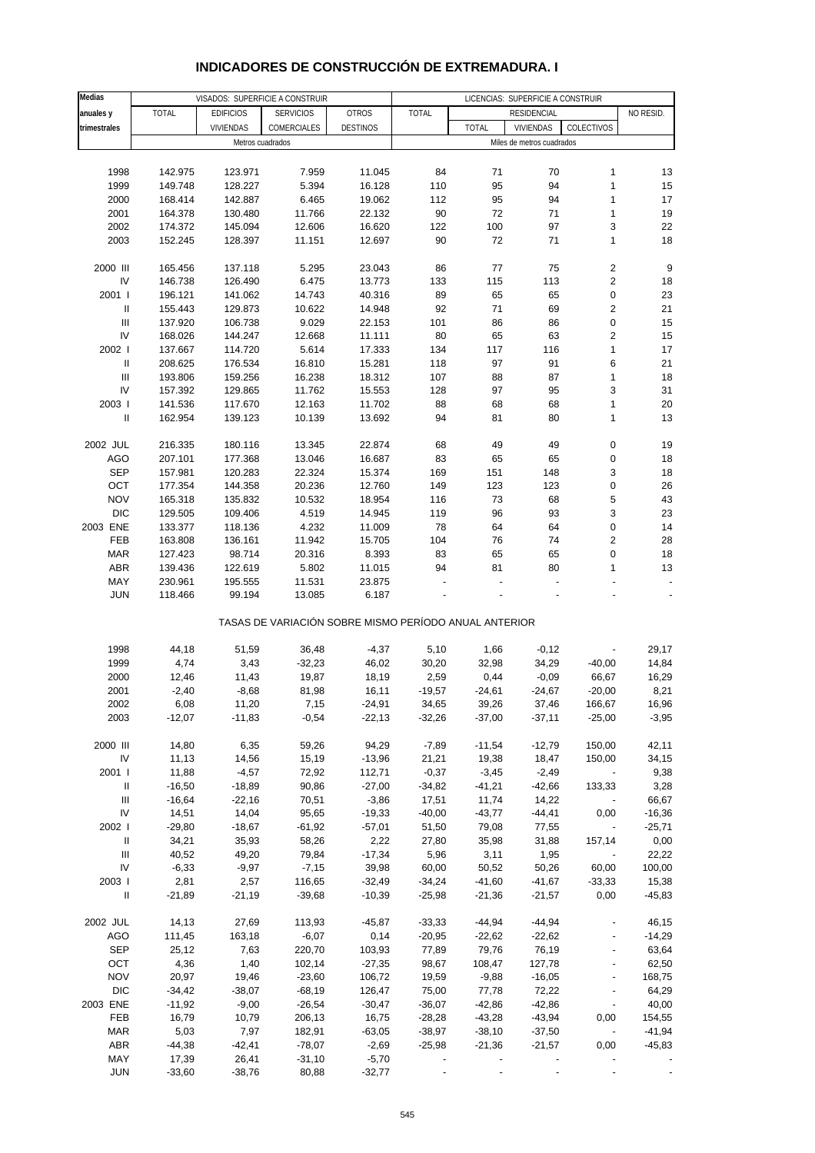| INDICADORES DE CONSTRUCCION DE EXTREMADURA. I |  |
|-----------------------------------------------|--|
|-----------------------------------------------|--|

| Medias                             |              |                  | VISADOS: SUPERFICIE A CONSTRUIR                       |                 |              |              | LICENCIAS: SUPERFICIE A CONSTRUIR |                          |                  |
|------------------------------------|--------------|------------------|-------------------------------------------------------|-----------------|--------------|--------------|-----------------------------------|--------------------------|------------------|
| anuales y                          | <b>TOTAL</b> | <b>EDIFICIOS</b> | <b>SERVICIOS</b>                                      | <b>OTROS</b>    | <b>TOTAL</b> |              | RESIDENCIAL                       |                          | NO RESID.        |
| trimestrales                       |              | <b>VIVIENDAS</b> | COMERCIALES                                           | <b>DESTINOS</b> |              | <b>TOTAL</b> | VIVIENDAS                         | COLECTIVOS               |                  |
|                                    |              |                  |                                                       |                 |              |              |                                   |                          |                  |
|                                    |              | Metros cuadrados |                                                       |                 |              |              | Miles de metros cuadrados         |                          |                  |
|                                    |              |                  |                                                       |                 |              |              |                                   |                          |                  |
| 1998                               | 142.975      | 123.971          | 7.959                                                 | 11.045          | 84           | 71           | 70                                | $\mathbf{1}$             | 13               |
| 1999                               | 149.748      | 128.227          | 5.394                                                 | 16.128          | 110          | 95           | 94                                | $\mathbf{1}$             | 15               |
| 2000                               | 168.414      | 142.887          | 6.465                                                 | 19.062          | 112          | 95           | 94                                | $\mathbf{1}$             | 17               |
| 2001                               | 164.378      | 130.480          | 11.766                                                | 22.132          | 90           | 72           | 71                                | $\mathbf{1}$             | 19               |
| 2002                               | 174.372      | 145.094          | 12.606                                                | 16.620          | 122          | 100          | 97                                | 3                        | 22               |
| 2003                               |              |                  |                                                       |                 |              | 72           |                                   | $\mathbf{1}$             |                  |
|                                    | 152.245      | 128.397          | 11.151                                                | 12.697          | 90           |              | 71                                |                          | 18               |
|                                    |              |                  |                                                       |                 |              |              |                                   |                          |                  |
| 2000 III                           | 165.456      | 137.118          | 5.295                                                 | 23.043          | 86           | 77           | 75                                | $\sqrt{2}$               | $\boldsymbol{9}$ |
| IV                                 | 146.738      | 126.490          | 6.475                                                 | 13.773          | 133          | 115          | 113                               | $\sqrt{2}$               | 18               |
| 2001 l                             | 196.121      | 141.062          | 14.743                                                | 40.316          | 89           | 65           | 65                                | 0                        | 23               |
| Ш                                  | 155.443      | 129.873          | 10.622                                                | 14.948          | 92           | 71           | 69                                | $\sqrt{2}$               | 21               |
| $\ensuremath{\mathsf{III}}\xspace$ | 137.920      | 106.738          | 9.029                                                 | 22.153          | 101          | 86           | 86                                | $\pmb{0}$                | 15               |
| IV                                 | 168.026      | 144.247          | 12.668                                                | 11.111          | 80           | 65           | 63                                | $\sqrt{2}$               | 15               |
|                                    |              |                  |                                                       |                 |              |              |                                   |                          |                  |
| 2002 l                             | 137.667      | 114.720          | 5.614                                                 | 17.333          | 134          | 117          | 116                               | $\mathbf{1}$             | 17               |
| $\ensuremath{\mathsf{II}}$         | 208.625      | 176.534          | 16.810                                                | 15.281          | 118          | 97           | 91                                | 6                        | 21               |
| $\ensuremath{\mathsf{III}}\xspace$ | 193.806      | 159.256          | 16.238                                                | 18.312          | 107          | 88           | 87                                | $\mathbf{1}$             | 18               |
| IV                                 | 157.392      | 129.865          | 11.762                                                | 15.553          | 128          | 97           | 95                                | 3                        | 31               |
| 2003                               | 141.536      | 117.670          | 12.163                                                | 11.702          | 88           | 68           | 68                                | $\mathbf{1}$             | 20               |
| Ш                                  | 162.954      | 139.123          | 10.139                                                | 13.692          | 94           | 81           | 80                                | $\mathbf{1}$             | 13               |
|                                    |              |                  |                                                       |                 |              |              |                                   |                          |                  |
|                                    |              |                  | 13.345                                                |                 |              |              |                                   | $\pmb{0}$                |                  |
| 2002 JUL                           | 216.335      | 180.116          |                                                       | 22.874          | 68           | 49           | 49                                |                          | 19               |
| <b>AGO</b>                         | 207.101      | 177.368          | 13.046                                                | 16.687          | 83           | 65           | 65                                | $\pmb{0}$                | 18               |
| <b>SEP</b>                         | 157.981      | 120.283          | 22.324                                                | 15.374          | 169          | 151          | 148                               | 3                        | 18               |
| OCT                                | 177.354      | 144.358          | 20.236                                                | 12.760          | 149          | 123          | 123                               | $\pmb{0}$                | 26               |
| <b>NOV</b>                         | 165.318      | 135.832          | 10.532                                                | 18.954          | 116          | 73           | 68                                | 5                        | 43               |
| <b>DIC</b>                         | 129.505      | 109.406          | 4.519                                                 | 14.945          | 119          | 96           | 93                                | 3                        | 23               |
| 2003 ENE                           | 133.377      | 118.136          | 4.232                                                 | 11.009          | 78           | 64           | 64                                | $\pmb{0}$                | 14               |
| FEB                                | 163.808      | 136.161          | 11.942                                                | 15.705          | 104          | 76           | 74                                | $\sqrt{2}$               | 28               |
|                                    |              |                  |                                                       |                 |              |              |                                   |                          |                  |
| <b>MAR</b>                         | 127.423      | 98.714           | 20.316                                                | 8.393           | 83           | 65           | 65                                | $\mathbf 0$              | 18               |
| ABR                                | 139.436      | 122.619          | 5.802                                                 | 11.015          | 94           | 81           | 80                                | $\mathbf{1}$             | 13               |
| MAY                                | 230.961      | 195.555          | 11.531                                                | 23.875          |              |              |                                   |                          |                  |
| <b>JUN</b>                         | 118.466      | 99.194           | 13.085                                                | 6.187           |              |              |                                   |                          |                  |
|                                    |              |                  | TASAS DE VARIACIÓN SOBRE MISMO PERÍODO ANUAL ANTERIOR |                 |              |              |                                   |                          |                  |
|                                    |              |                  |                                                       |                 |              |              |                                   |                          |                  |
| 1998                               | 44,18        | 51,59            | 36,48                                                 | $-4,37$         | 5,10         | 1,66         | $-0,12$                           |                          | 29,17            |
| 1999                               | 4,74         | 3,43             | $-32,23$                                              | 46,02           | 30,20        | 32,98        | 34,29                             | $-40,00$                 | 14,84            |
| 2000                               | 12,46        | 11,43            | 19,87                                                 | 18,19           | 2,59         | 0,44         | $-0,09$                           | 66,67                    | 16,29            |
| 2001                               | $-2,40$      | $-8,68$          | 81,98                                                 | 16,11           | $-19,57$     | $-24,61$     | $-24,67$                          | $-20,00$                 | 8,21             |
| 2002                               | 6,08         | 11,20            | 7,15                                                  | $-24,91$        | 34,65        | 39,26        | 37,46                             | 166,67                   | 16,96            |
| 2003                               | $-12,07$     | $-11,83$         | $-0,54$                                               | $-22,13$        | $-32,26$     | $-37,00$     | $-37,11$                          | $-25,00$                 | $-3,95$          |
|                                    |              |                  |                                                       |                 |              |              |                                   |                          |                  |
| 2000 III                           | 14,80        | 6,35             | 59,26                                                 | 94,29           | $-7,89$      | $-11,54$     | $-12,79$                          | 150,00                   | 42,11            |
|                                    |              |                  |                                                       |                 |              |              |                                   |                          |                  |
| IV                                 | 11,13        | 14,56            | 15,19                                                 | $-13,96$        | 21,21        | 19,38        | 18,47                             | 150,00                   | 34,15            |
| 2001 l                             | 11,88        | $-4,57$          | 72,92                                                 | 112,71          | $-0,37$      | $-3,45$      | $-2,49$                           | $\overline{\phantom{a}}$ | 9,38             |
| Ш                                  | $-16,50$     | $-18,89$         | 90,86                                                 | $-27,00$        | $-34,82$     | $-41,21$     | $-42,66$                          | 133,33                   | 3,28             |
| $\ensuremath{\mathsf{III}}\xspace$ | $-16,64$     | $-22,16$         | 70,51                                                 | $-3,86$         | 17,51        | 11,74        | 14,22                             | $\overline{\phantom{a}}$ | 66,67            |
| IV                                 | 14,51        | 14,04            | 95,65                                                 | $-19,33$        | $-40,00$     | $-43,77$     | $-44,41$                          | 0,00                     | $-16,36$         |
| 2002 l                             | $-29,80$     | $-18,67$         | $-61,92$                                              | $-57,01$        | 51,50        | 79,08        | 77,55                             | $\overline{\phantom{a}}$ | $-25,71$         |
| $\ensuremath{\mathsf{II}}$         | 34,21        | 35,93            | 58,26                                                 | 2,22            | 27,80        | 35,98        | 31,88                             | 157,14                   | 0,00             |
| Ш                                  | 40,52        | 49,20            | 79,84                                                 | $-17,34$        | 5,96         | 3,11         | 1,95                              |                          | 22,22            |
|                                    |              |                  |                                                       |                 |              |              |                                   |                          |                  |
| IV                                 | $-6,33$      | $-9,97$          | $-7,15$                                               | 39,98           | 60,00        | 50,52        | 50,26                             | 60,00                    | 100,00           |
| 2003                               | 2,81         | 2,57             | 116,65                                                | $-32,49$        | $-34,24$     | $-41,60$     | $-41,67$                          | $-33,33$                 | 15,38            |
| $\ensuremath{\mathsf{II}}$         | $-21,89$     | $-21,19$         | $-39,68$                                              | $-10,39$        | $-25,98$     | $-21,36$     | $-21,57$                          | 0,00                     | $-45,83$         |
|                                    |              |                  |                                                       |                 |              |              |                                   |                          |                  |
| 2002 JUL                           | 14,13        | 27,69            | 113,93                                                | $-45,87$        | $-33,33$     | $-44,94$     | $-44,94$                          |                          | 46,15            |
| AGO                                | 111,45       | 163,18           | $-6,07$                                               | 0,14            | $-20,95$     | $-22,62$     | $-22,62$                          |                          | $-14,29$         |
| <b>SEP</b>                         | 25,12        | 7,63             | 220,70                                                | 103,93          | 77,89        | 79,76        | 76,19                             |                          | 63,64            |
| OCT                                | 4,36         | 1,40             | 102,14                                                | $-27,35$        | 98,67        | 108,47       | 127,78                            | $\overline{\phantom{a}}$ | 62,50            |
|                                    |              |                  |                                                       |                 |              |              |                                   |                          |                  |
| <b>NOV</b>                         | 20,97        | 19,46            | $-23,60$                                              | 106,72          | 19,59        | $-9,88$      | $-16,05$                          |                          | 168,75           |
| <b>DIC</b>                         | $-34,42$     | $-38,07$         | $-68,19$                                              | 126,47          | 75,00        | 77,78        | 72,22                             |                          | 64,29            |
| 2003 ENE                           | $-11,92$     | $-9,00$          | $-26,54$                                              | $-30,47$        | $-36,07$     | $-42,86$     | $-42,86$                          | $\blacksquare$           | 40,00            |
| FEB                                | 16,79        | 10,79            | 206,13                                                | 16,75           | $-28,28$     | $-43,28$     | $-43,94$                          | 0,00                     | 154,55           |
| <b>MAR</b>                         | 5,03         | 7,97             | 182,91                                                | $-63,05$        | $-38,97$     | $-38,10$     | $-37,50$                          | $\overline{\phantom{a}}$ | $-41,94$         |
| <b>ABR</b>                         | $-44,38$     | $-42,41$         | $-78,07$                                              | $-2,69$         | $-25,98$     | $-21,36$     | $-21,57$                          | 0,00                     | $-45,83$         |
| MAY                                | 17,39        | 26,41            | $-31,10$                                              | $-5,70$         |              |              |                                   |                          |                  |
| <b>JUN</b>                         | $-33,60$     | $-38,76$         | 80,88                                                 | $-32,77$        |              |              |                                   |                          |                  |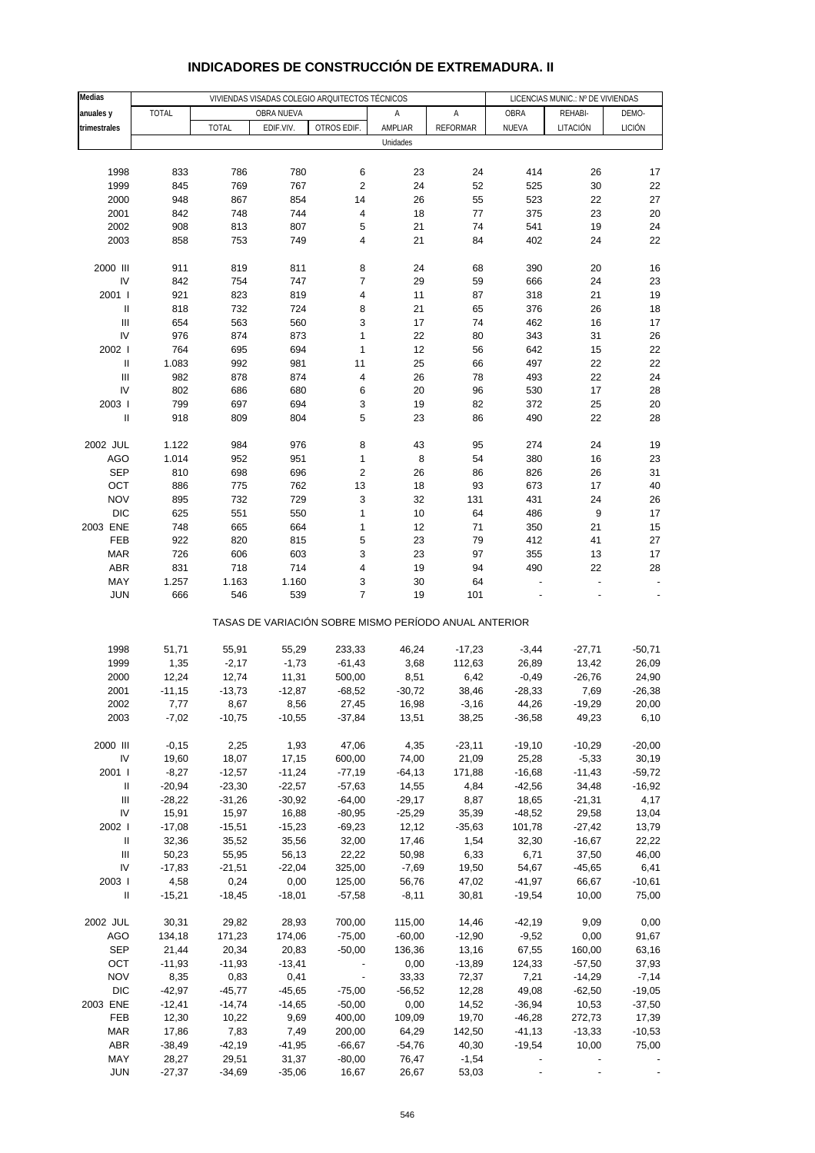| Medias                               |                   |                  |                  | VIVIENDAS VISADAS COLEGIO ARQUITECTOS TÉCNICOS        |                   |                 |                       | LICENCIAS MUNIC.: Nº DE VIVIENDAS |                   |
|--------------------------------------|-------------------|------------------|------------------|-------------------------------------------------------|-------------------|-----------------|-----------------------|-----------------------------------|-------------------|
| anuales y                            | <b>TOTAL</b>      |                  | OBRA NUEVA       |                                                       | Α                 | А               | OBRA                  | REHABI-                           | DEMO-             |
| trimestrales                         |                   | <b>TOTAL</b>     | EDIF.VIV.        | OTROS EDIF.                                           | AMPLIAR           | <b>REFORMAR</b> | NUEVA                 | LITACIÓN                          | LICIÓN            |
|                                      |                   |                  |                  |                                                       | Unidades          |                 |                       |                                   |                   |
|                                      |                   |                  |                  |                                                       |                   |                 |                       |                                   |                   |
| 1998                                 | 833               | 786              | 780              | 6                                                     | 23                | 24              | 414                   | 26                                | 17                |
| 1999                                 | 845               | 769              | 767              | $\overline{\mathbf{c}}$<br>14                         | 24<br>26          | 52              | 525                   | 30<br>22                          | 22<br>27          |
| 2000<br>2001                         | 948<br>842        | 867<br>748       | 854<br>744       | 4                                                     | 18                | 55<br>77        | 523<br>375            | 23                                | 20                |
| 2002                                 | 908               | 813              | 807              | 5                                                     | 21                | 74              | 541                   | 19                                | 24                |
| 2003                                 | 858               | 753              | 749              | 4                                                     | 21                | 84              | 402                   | 24                                | 22                |
|                                      |                   |                  |                  |                                                       |                   |                 |                       |                                   |                   |
| 2000 III                             | 911               | 819              | 811              | 8                                                     | 24                | 68              | 390                   | 20                                | 16                |
| IV                                   | 842               | 754              | 747              | $\overline{7}$                                        | 29                | 59              | 666                   | 24                                | 23                |
| 2001 l                               | 921               | 823              | 819              | 4                                                     | 11                | 87              | 318                   | 21                                | 19                |
| $\, \parallel$                       | 818               | 732              | 724              | 8                                                     | 21                | 65              | 376                   | 26                                | 18                |
| Ш<br>IV                              | 654               | 563              | 560              | 3                                                     | 17                | 74              | 462                   | 16                                | 17                |
| 2002                                 | 976<br>764        | 874<br>695       | 873<br>694       | 1<br>1                                                | 22<br>12          | 80<br>56        | 343<br>642            | 31<br>15                          | 26<br>22          |
| $\mathbf{II}$                        | 1.083             | 992              | 981              | 11                                                    | 25                | 66              | 497                   | 22                                | 22                |
| $\ensuremath{\mathsf{III}}\xspace$   | 982               | 878              | 874              | 4                                                     | 26                | 78              | 493                   | 22                                | 24                |
| IV                                   | 802               | 686              | 680              | 6                                                     | 20                | 96              | 530                   | 17                                | 28                |
| 2003                                 | 799               | 697              | 694              | 3                                                     | 19                | 82              | 372                   | 25                                | 20                |
| $\sf II$                             | 918               | 809              | 804              | 5                                                     | 23                | 86              | 490                   | 22                                | 28                |
|                                      |                   |                  |                  |                                                       |                   |                 |                       |                                   |                   |
| 2002 JUL                             | 1.122             | 984              | 976              | 8                                                     | 43                | 95              | 274                   | 24                                | 19                |
| <b>AGO</b>                           | 1.014             | 952              | 951              | 1                                                     | 8                 | 54              | 380                   | 16                                | 23                |
| <b>SEP</b>                           | 810               | 698              | 696              | $\overline{\mathbf{c}}$                               | 26                | 86              | 826                   | 26                                | 31                |
| OCT<br><b>NOV</b>                    | 886<br>895        | 775<br>732       | 762<br>729       | 13<br>3                                               | 18<br>32          | 93<br>131       | 673<br>431            | 17<br>24                          | 40<br>26          |
| <b>DIC</b>                           | 625               | 551              | 550              | $\mathbf{1}$                                          | $10$              | 64              | 486                   | 9                                 | 17                |
| 2003 ENE                             | 748               | 665              | 664              | 1                                                     | 12                | 71              | 350                   | 21                                | 15                |
| FEB                                  | 922               | 820              | 815              | 5                                                     | 23                | 79              | 412                   | 41                                | 27                |
| <b>MAR</b>                           | 726               | 606              | 603              | 3                                                     | 23                | 97              | 355                   | 13                                | 17                |
| ABR                                  | 831               | 718              | 714              | 4                                                     | 19                | 94              | 490                   | 22                                | 28                |
| MAY                                  | 1.257             | 1.163            | 1.160            | 3                                                     | 30                | 64              | ÷                     | ÷                                 |                   |
| <b>JUN</b>                           | 666               | 546              | 539              | $\overline{7}$                                        | 19                | 101             |                       |                                   |                   |
|                                      |                   |                  |                  | TASAS DE VARIACIÓN SOBRE MISMO PERÍODO ANUAL ANTERIOR |                   |                 |                       |                                   |                   |
| 1998                                 | 51,71             | 55,91            | 55,29            | 233,33                                                | 46,24             | $-17,23$        | $-3,44$               | $-27,71$                          | $-50,71$          |
| 1999                                 | 1,35              | $-2,17$          | $-1,73$          | $-61,43$                                              | 3,68              | 112,63          | 26,89                 | 13,42                             | 26,09             |
| 2000                                 | 12,24             | 12,74            | 11,31            | 500,00                                                | 8,51              | 6,42            | $-0,49$               | $-26,76$                          | 24,90             |
| 2001                                 | $-11,15$          | $-13,73$         | $-12,87$         | $-68,52$                                              | $-30,72$          | 38,46           | $-28,33$              | 7,69                              | $-26,38$          |
| 2002                                 | 7,77              | 8,67             | 8,56             | 27,45                                                 | 16,98             | $-3,16$         | 44,26                 | $-19,29$                          | 20,00             |
| 2003                                 | $-7,02$           | $-10,75$         | $-10,55$         | $-37,84$                                              | 13,51             | 38,25           | $-36,58$              | 49,23                             | 6, 10             |
| 2000 III                             | $-0,15$           | 2,25             | 1,93             | 47,06                                                 | 4,35              | $-23,11$        | $-19,10$              | $-10,29$                          | $-20,00$          |
| IV                                   | 19,60             | 18,07            | 17,15            | 600,00                                                | 74,00             | 21,09           | 25,28                 | $-5,33$                           | 30,19             |
| 2001 l                               | $-8,27$           | $-12,57$         | $-11,24$         | $-77,19$                                              | $-64, 13$         | 171,88          | $-16,68$              | $-11,43$                          | $-59,72$          |
| Ш                                    | $-20,94$          | $-23,30$         | $-22,57$         | $-57,63$                                              | 14,55             | 4,84            | $-42,56$              | 34,48                             | $-16,92$          |
| $\ensuremath{\mathsf{III}}\xspace$   | $-28,22$          | $-31,26$         | $-30,92$         | $-64,00$                                              | $-29,17$          | 8,87            | 18,65                 | $-21,31$                          | 4,17              |
| IV                                   | 15,91             | 15,97            | 16,88            | $-80,95$                                              | $-25,29$          | 35,39           | $-48,52$              | 29,58                             | 13,04             |
| 2002                                 | $-17,08$          | $-15,51$         | $-15,23$         | $-69,23$                                              | 12,12             | $-35,63$        | 101,78                | $-27,42$                          | 13,79             |
| $\, \parallel$                       | 32,36             | 35,52            | 35,56            | 32,00                                                 | 17,46             | 1,54            | 32,30                 | $-16,67$                          | 22,22             |
| Ш                                    | 50,23             | 55,95            | 56,13            | 22,22                                                 | 50,98             | 6,33            | 6,71                  | 37,50                             | 46,00             |
| IV                                   | $-17,83$          | $-21,51$         | $-22,04$         | 325,00                                                | $-7,69$           | 19,50           | 54,67                 | $-45,65$                          | 6,41              |
| 2003  <br>$\ensuremath{\mathsf{II}}$ | 4,58<br>$-15,21$  | 0,24<br>$-18,45$ | 0,00<br>$-18,01$ | 125,00<br>$-57,58$                                    | 56,76<br>$-8,11$  | 47,02<br>30,81  | $-41,97$<br>$-19,54$  | 66,67<br>10,00                    | $-10,61$<br>75,00 |
|                                      |                   |                  |                  |                                                       |                   |                 |                       |                                   |                   |
| 2002 JUL                             | 30,31             | 29,82            | 28,93            | 700,00                                                | 115,00            | 14,46           | $-42,19$              | 9,09                              | 0,00              |
| AGO                                  | 134,18            | 171,23           | 174,06           | $-75,00$                                              | $-60,00$          | $-12,90$        | $-9,52$               | 0,00                              | 91,67             |
| <b>SEP</b>                           | 21,44             | 20,34            | 20,83            | $-50,00$                                              | 136,36            | 13,16           | 67,55                 | 160,00                            | 63,16             |
| OCT                                  | $-11,93$          | $-11,93$         | $-13,41$         |                                                       | 0,00              | $-13,89$        | 124,33                | $-57,50$                          | 37,93             |
| <b>NOV</b>                           | 8,35              | 0,83             | 0,41             | $\blacksquare$                                        | 33,33             | 72,37           | 7,21                  | $-14,29$                          | $-7,14$           |
| <b>DIC</b>                           | $-42,97$          | $-45,77$         | $-45,65$         | $-75,00$                                              | $-56,52$          | 12,28           | 49,08                 | $-62,50$                          | $-19,05$          |
| 2003 ENE                             | $-12,41$          | $-14,74$         | $-14,65$         | $-50,00$                                              | 0,00              | 14,52           | $-36,94$              | 10,53                             | $-37,50$          |
| FEB                                  | 12,30             | 10,22            | 9,69             | 400,00                                                | 109,09            | 19,70           | $-46,28$              | 272,73                            | 17,39             |
| <b>MAR</b><br><b>ABR</b>             | 17,86<br>$-38,49$ | 7,83<br>$-42,19$ | 7,49<br>$-41,95$ | 200,00<br>$-66,67$                                    | 64,29<br>$-54,76$ | 142,50<br>40,30 | $-41, 13$<br>$-19,54$ | $-13,33$<br>10,00                 | $-10,53$<br>75,00 |
| MAY                                  | 28,27             | 29,51            | 31,37            | $-80,00$                                              | 76,47             | $-1,54$         |                       |                                   |                   |
| <b>JUN</b>                           | $-27,37$          | $-34,69$         | $-35,06$         | 16,67                                                 | 26,67             | 53,03           |                       |                                   |                   |

### **INDICADORES DE CONSTRUCCIÓN DE EXTREMADURA. II**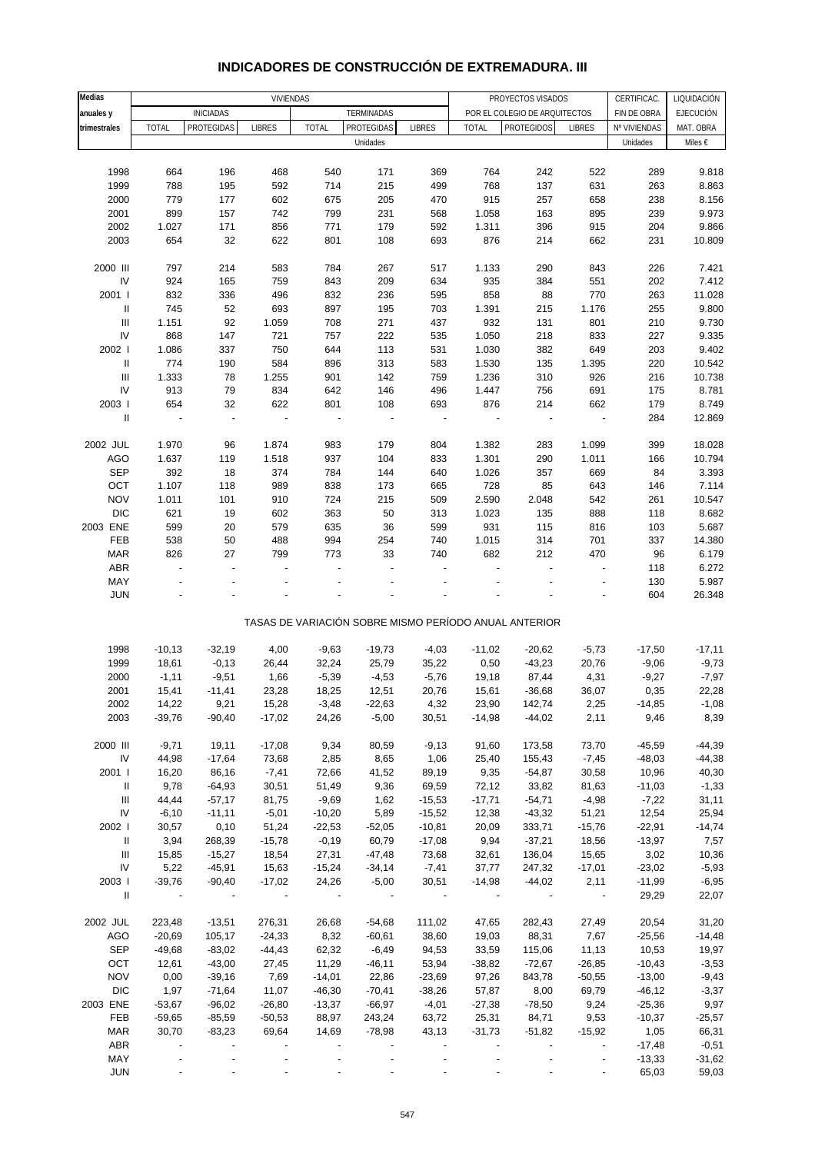| Medias                             |                |                  | <b>VIVIENDAS</b>     |                          |                          |               |                |                                                       |                          |                            | LIQUIDACIÓN      |
|------------------------------------|----------------|------------------|----------------------|--------------------------|--------------------------|---------------|----------------|-------------------------------------------------------|--------------------------|----------------------------|------------------|
|                                    |                | <b>INICIADAS</b> |                      |                          | TERMINADAS               |               |                | PROYECTOS VISADOS<br>POR EL COLEGIO DE ARQUITECTOS    |                          | CERTIFICAC.<br>FIN DE OBRA | <b>EJECUCIÓN</b> |
| anuales y<br>trimestrales          | <b>TOTAL</b>   | PROTEGIDAS       | <b>LIBRES</b>        | <b>TOTAL</b>             | PROTEGIDAS               | <b>LIBRES</b> | <b>TOTAL</b>   | <b>PROTEGIDOS</b>                                     | <b>LIBRES</b>            | Nº VIVIENDAS               | MAT. OBRA        |
|                                    |                |                  |                      |                          | Unidades                 |               |                |                                                       |                          | Unidades                   | Miles €          |
|                                    |                |                  |                      |                          |                          |               |                |                                                       |                          |                            |                  |
|                                    |                |                  |                      |                          |                          |               |                |                                                       |                          |                            |                  |
| 1998<br>1999                       | 664<br>788     | 196<br>195       | 468<br>592           | 540<br>714               | 171<br>215               | 369           | 764<br>768     | 242                                                   | 522<br>631               | 289                        | 9.818<br>8.863   |
|                                    |                |                  |                      |                          |                          | 499           |                | 137                                                   |                          | 263                        |                  |
| 2000<br>2001                       | 779<br>899     | 177<br>157       | 602<br>742           | 675<br>799               | 205<br>231               | 470<br>568    | 915<br>1.058   | 257<br>163                                            | 658<br>895               | 238<br>239                 | 8.156<br>9.973   |
| 2002                               | 1.027          | 171              | 856                  |                          |                          | 592           |                | 396                                                   | 915                      |                            | 9.866            |
| 2003                               | 654            | 32               | 622                  | 771<br>801               | 179<br>108               |               | 1.311<br>876   |                                                       | 662                      | 204                        |                  |
|                                    |                |                  |                      |                          |                          | 693           |                | 214                                                   |                          | 231                        | 10.809           |
| 2000 III                           | 797            | 214              | 583                  | 784                      | 267                      | 517           | 1.133          | 290                                                   | 843                      | 226                        | 7.421            |
| IV                                 | 924            | 165              | 759                  | 843                      | 209                      | 634           | 935            | 384                                                   | 551                      | 202                        | 7.412            |
| 2001 l                             | 832            | 336              | 496                  | 832                      | 236                      | 595           | 858            | 88                                                    | 770                      | 263                        | 11.028           |
| $\ensuremath{\mathsf{II}}$         | 745            | 52               | 693                  | 897                      | 195                      | 703           | 1.391          | 215                                                   | 1.176                    | 255                        | 9.800            |
| $\ensuremath{\mathsf{III}}\xspace$ | 1.151          | 92               | 1.059                | 708                      | 271                      | 437           | 932            | 131                                                   | 801                      | 210                        | 9.730            |
| IV                                 | 868            | 147              | 721                  | 757                      | 222                      | 535           | 1.050          | 218                                                   | 833                      | 227                        | 9.335            |
| 2002                               | 1.086          | 337              | 750                  | 644                      | 113                      | 531           | 1.030          | 382                                                   | 649                      | 203                        | 9.402            |
| $\ensuremath{\mathsf{II}}$         | 774            | 190              | 584                  | 896                      | 313                      | 583           | 1.530          | 135                                                   | 1.395                    | 220                        | 10.542           |
| $\mathbf{III}$                     | 1.333          | 78               | 1.255                | 901                      | 142                      | 759           | 1.236          | 310                                                   | 926                      | 216                        | 10.738           |
| IV                                 | 913            | 79               | 834                  | 642                      | 146                      | 496           | 1.447          | 756                                                   | 691                      | 175                        | 8.781            |
| 2003                               | 654            | 32               | 622                  | 801                      | 108                      | 693           | 876            | 214                                                   | 662                      | 179                        | 8.749            |
| $\ensuremath{\mathsf{II}}$         | ÷,             | ÷,               | $\ddot{\phantom{0}}$ | $\overline{\phantom{a}}$ | $\overline{\phantom{a}}$ | ÷,            | $\overline{a}$ | $\overline{a}$                                        | $\overline{\phantom{a}}$ | 284                        | 12.869           |
|                                    |                |                  |                      |                          |                          |               |                |                                                       |                          |                            |                  |
| 2002 JUL                           | 1.970          | 96               | 1.874                | 983                      | 179                      | 804           | 1.382          | 283                                                   | 1.099                    | 399                        | 18.028           |
| <b>AGO</b>                         | 1.637          | 119              | 1.518                | 937                      | 104                      | 833           | 1.301          | 290                                                   | 1.011                    | 166                        | 10.794           |
| <b>SEP</b>                         | 392            | 18               | 374                  | 784                      | 144                      | 640           | 1.026          | 357                                                   | 669                      | 84                         | 3.393            |
| OCT                                | 1.107          | 118              | 989                  | 838                      | 173                      | 665           | 728            | 85                                                    | 643                      | 146                        | 7.114            |
| <b>NOV</b>                         | 1.011          | 101              | 910                  | 724                      | 215                      | 509           | 2.590          | 2.048                                                 | 542                      | 261                        | 10.547           |
| <b>DIC</b>                         | 621            | 19               | 602                  | 363                      | 50                       | 313           | 1.023          | 135                                                   | 888                      | 118                        | 8.682            |
| 2003 ENE                           | 599            | 20               | 579                  | 635                      | 36                       | 599           | 931            | 115                                                   | 816                      | 103                        | 5.687            |
| FEB                                | 538            | 50               | 488                  | 994                      | 254                      | 740           | 1.015          | 314                                                   | 701                      | 337                        | 14.380           |
| <b>MAR</b>                         | 826            | 27               | 799                  | 773                      | 33                       | 740           | 682            | 212                                                   | 470                      | 96                         | 6.179            |
| ABR                                | $\overline{a}$ | $\overline{a}$   | Ĭ.                   |                          |                          |               | Ĭ.             | $\overline{a}$                                        | $\overline{a}$           | 118                        | 6.272            |
| MAY                                |                |                  |                      |                          |                          |               |                |                                                       |                          | 130                        | 5.987            |
| <b>JUN</b>                         |                |                  |                      |                          |                          |               |                |                                                       |                          | 604                        | 26.348           |
|                                    |                |                  |                      |                          |                          |               |                |                                                       |                          |                            |                  |
|                                    |                |                  |                      |                          |                          |               |                | TASAS DE VARIACIÓN SOBRE MISMO PERÍODO ANUAL ANTERIOR |                          |                            |                  |
|                                    |                |                  |                      |                          |                          |               |                |                                                       |                          |                            |                  |
| 1998                               | $-10,13$       | $-32,19$         | 4,00                 | $-9,63$                  | $-19,73$                 | $-4,03$       | $-11,02$       | $-20,62$                                              | $-5,73$                  | $-17,50$                   | $-17,11$         |
| 1999                               | 18,61          | $-0,13$          | 26,44                | 32,24                    | 25,79                    | 35,22         | 0,50           | $-43,23$                                              | 20,76                    | $-9,06$                    | $-9,73$          |
| 2000                               | $-1,11$        | $-9,51$          | 1,66                 | $-5,39$                  | $-4,53$                  | $-5,76$       | 19,18          | 87,44                                                 | 4,31                     | $-9,27$                    | $-7,97$          |
| 2001                               | 15,41          | $-11,41$         | 23,28                | 18,25                    | 12,51                    | 20,76         | 15,61          | $-36,68$                                              | 36,07                    | 0,35                       | 22,28            |
| 2002                               | 14,22          | 9,21             | 15,28                | $-3,48$                  | $-22,63$                 | 4,32          | 23,90          | 142,74                                                | 2,25                     | $-14,85$                   | $-1,08$          |
| 2003                               | $-39,76$       | $-90,40$         | $-17,02$             | 24,26                    | $-5,00$                  | 30,51         | $-14,98$       | $-44,02$                                              | 2,11                     | 9,46                       | 8,39             |
|                                    |                |                  |                      |                          |                          |               |                |                                                       |                          |                            |                  |
| 2000 III                           | $-9,71$        | 19,11            | $-17,08$             | 9,34                     | 80,59                    | $-9,13$       | 91,60          | 173,58                                                | 73,70                    | $-45,59$                   | $-44,39$         |
| ${\sf IV}$                         | 44,98          | $-17,64$         | 73,68                | 2,85                     | 8,65                     | 1,06          | 25,40          | 155,43                                                | $-7,45$                  | $-48,03$                   | $-44,38$         |
| 2001                               | 16,20          | 86,16            | $-7,41$              | 72,66                    | 41,52                    | 89,19         | 9,35           | $-54,87$                                              | 30,58                    | 10,96                      | 40,30            |
| Ш                                  | 9,78           | $-64,93$         | 30,51                | 51,49                    | 9,36                     | 69,59         | 72,12          | 33,82                                                 | 81,63                    | $-11,03$                   | $-1,33$          |
| Ш                                  | 44,44          | $-57,17$         | 81,75                | $-9,69$                  | 1,62                     | $-15,53$      | $-17,71$       | $-54,71$                                              | $-4,98$                  | $-7,22$                    | 31,11            |
| IV                                 | $-6,10$        | $-11,11$         | $-5,01$              | $-10,20$                 | 5,89                     | $-15,52$      | 12,38          | $-43,32$                                              | 51,21                    | 12,54                      | 25,94            |
| 2002                               | 30,57          | 0,10             | 51,24                | $-22,53$                 | $-52,05$                 | $-10,81$      | 20,09          | 333,71                                                | $-15,76$                 | $-22,91$                   | $-14,74$         |
| Ш                                  | 3,94           | 268,39           | $-15,78$             | $-0,19$                  | 60,79                    | $-17,08$      | 9,94           | $-37,21$                                              | 18,56                    | $-13,97$                   | 7,57             |
| Ш                                  | 15,85          | $-15,27$         | 18,54                | 27,31                    | $-47,48$                 | 73,68         | 32,61          | 136,04                                                | 15,65                    | 3,02                       | 10,36            |
| IV                                 | 5,22           | $-45,91$         | 15,63                | $-15,24$                 | $-34,14$                 | $-7,41$       | 37,77          | 247,32                                                | $-17,01$                 | $-23,02$                   | $-5,93$          |
| 2003 l                             | $-39,76$       | $-90,40$         | $-17,02$             | 24,26                    | $-5,00$                  | 30,51         | $-14,98$       | $-44,02$                                              | 2,11                     | $-11,99$                   | $-6,95$          |
| $\mathbf{II}$                      |                |                  |                      |                          |                          |               |                |                                                       | $\overline{\phantom{a}}$ | 29,29                      | 22,07            |
|                                    |                |                  |                      |                          |                          |               |                |                                                       |                          |                            |                  |
| 2002 JUL                           | 223,48         | $-13,51$         | 276,31               | 26,68                    | $-54,68$                 | 111,02        | 47,65          | 282,43                                                | 27,49                    | 20,54                      | 31,20            |
| AGO                                | $-20,69$       | 105,17           | $-24,33$             | 8,32                     | $-60,61$                 | 38,60         | 19,03          | 88,31                                                 | 7,67                     | $-25,56$                   | $-14,48$         |
| <b>SEP</b>                         | $-49,68$       | $-83,02$         | $-44,43$             | 62,32                    | $-6,49$                  | 94,53         | 33,59          | 115,06                                                | 11,13                    | 10,53                      | 19,97            |
| OCT                                | 12,61          | $-43,00$         | 27,45                | 11,29                    | $-46,11$                 | 53,94         | $-38,82$       | $-72,67$                                              | $-26,85$                 | $-10,43$                   | $-3,53$          |
| <b>NOV</b>                         | 0,00           | $-39,16$         | 7,69                 | $-14,01$                 | 22,86                    | $-23,69$      | 97,26          | 843,78                                                | $-50,55$                 | $-13,00$                   | $-9,43$          |
| <b>DIC</b>                         | 1,97           | $-71,64$         | 11,07                | $-46,30$                 | $-70,41$                 | $-38,26$      | 57,87          | 8,00                                                  | 69,79                    | $-46, 12$                  | $-3,37$          |
| 2003 ENE                           | $-53,67$       | $-96,02$         | $-26,80$             | $-13,37$                 | $-66,97$                 | $-4,01$       | $-27,38$       | $-78,50$                                              | 9,24                     | $-25,36$                   | 9,97             |
| FEB                                | $-59,65$       | $-85,59$         | $-50,53$             | 88,97                    | 243,24                   | 63,72         | 25,31          | 84,71                                                 | 9,53                     | $-10,37$                   | $-25,57$         |
| <b>MAR</b>                         | 30,70          | $-83,23$         | 69,64                | 14,69                    | $-78,98$                 | 43,13         | $-31,73$       | $-51,82$                                              | $-15,92$                 | 1,05                       | 66,31            |
| ABR                                |                |                  |                      |                          |                          |               |                |                                                       |                          | $-17,48$                   | $-0,51$          |
| MAY                                |                |                  |                      |                          |                          |               |                |                                                       |                          | $-13,33$                   | $-31,62$         |
| <b>JUN</b>                         |                |                  |                      |                          |                          |               |                |                                                       |                          | 65,03                      | 59,03            |

#### **INDICADORES DE CONSTRUCCIÓN DE EXTREMADURA. III**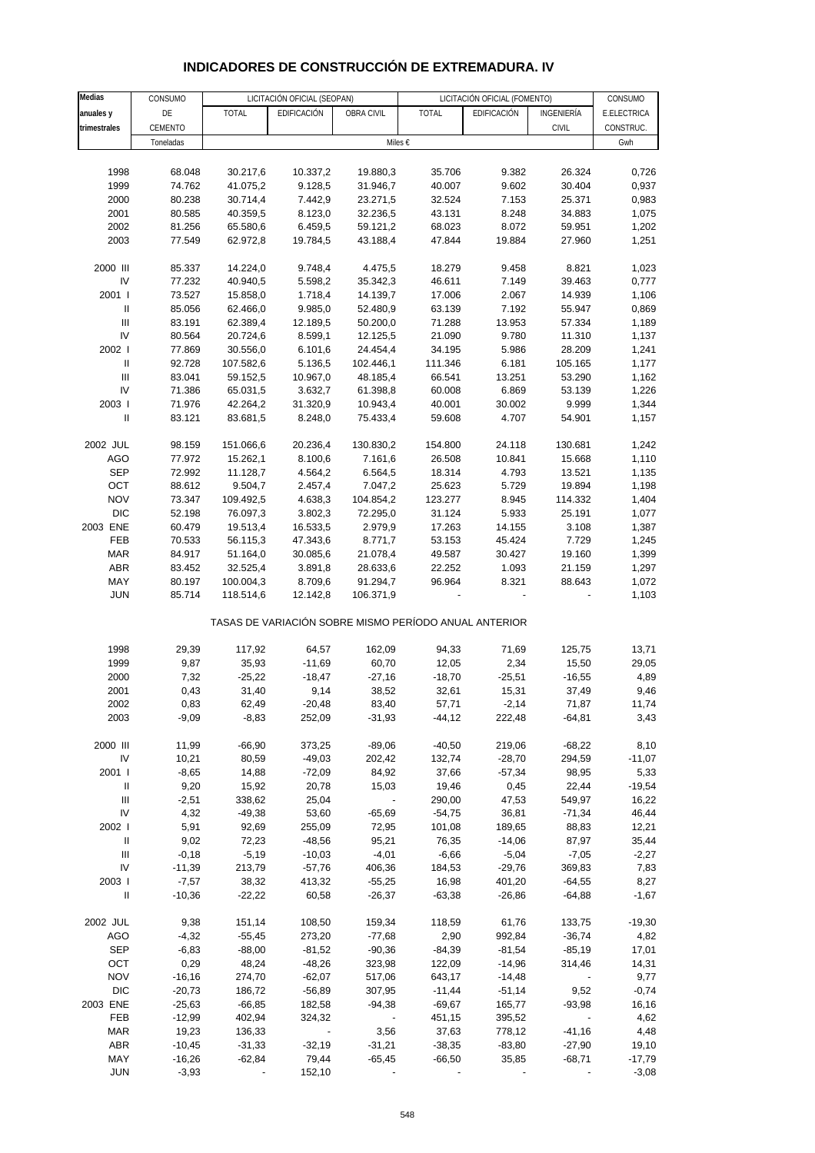# **INDICADORES DE CONSTRUCCIÓN DE EXTREMADURA. IV**

| <b>Medias</b>                      | CONSUMO   |           | LICITACIÓN OFICIAL (SEOPAN) |                          |                                                       | LICITACIÓN OFICIAL (FOMENTO) |              | CONSUMO     |
|------------------------------------|-----------|-----------|-----------------------------|--------------------------|-------------------------------------------------------|------------------------------|--------------|-------------|
| anuales y                          | DE        | TOTAL     | EDIFICACIÓN                 | OBRA CIVIL               | TOTAL                                                 | EDIFICACIÓN                  | INGENIERÍA   | E.ELECTRICA |
| trimestrales                       | CEMENTO   |           |                             |                          |                                                       |                              | <b>CIVIL</b> | CONSTRUC.   |
|                                    | Toneladas |           |                             |                          | Miles €                                               |                              |              | Gwh         |
|                                    |           |           |                             |                          |                                                       |                              |              |             |
| 1998                               | 68.048    | 30.217,6  | 10.337,2                    | 19.880,3                 | 35.706                                                | 9.382                        | 26.324       | 0,726       |
| 1999                               | 74.762    | 41.075,2  | 9.128,5                     | 31.946,7                 | 40.007                                                | 9.602                        | 30.404       | 0,937       |
| 2000                               | 80.238    | 30.714,4  | 7.442,9                     | 23.271,5                 | 32.524                                                | 7.153                        | 25.371       | 0,983       |
| 2001                               | 80.585    |           | 8.123,0                     | 32.236,5                 | 43.131                                                | 8.248                        | 34.883       | 1,075       |
| 2002                               | 81.256    | 40.359,5  |                             |                          |                                                       |                              |              |             |
|                                    |           | 65.580,6  | 6.459,5                     | 59.121,2                 | 68.023                                                | 8.072                        | 59.951       | 1,202       |
| 2003                               | 77.549    | 62.972,8  | 19.784,5                    | 43.188,4                 | 47.844                                                | 19.884                       | 27.960       | 1,251       |
| 2000 III                           | 85.337    | 14.224,0  | 9.748,4                     | 4.475,5                  | 18.279                                                | 9.458                        | 8.821        | 1,023       |
| IV                                 | 77.232    | 40.940,5  | 5.598,2                     | 35.342,3                 | 46.611                                                | 7.149                        | 39.463       | 0,777       |
| 2001 l                             | 73.527    | 15.858,0  | 1.718,4                     |                          | 17.006                                                | 2.067                        | 14.939       | 1,106       |
| Ш                                  | 85.056    | 62.466,0  | 9.985,0                     | 14.139,7                 | 63.139                                                | 7.192                        | 55.947       |             |
|                                    |           |           |                             | 52.480,9                 |                                                       |                              |              | 0,869       |
| $\ensuremath{\mathsf{III}}\xspace$ | 83.191    | 62.389,4  | 12.189,5                    | 50.200,0                 | 71.288                                                | 13.953                       | 57.334       | 1,189       |
| IV                                 | 80.564    | 20.724,6  | 8.599,1                     | 12.125,5                 | 21.090                                                | 9.780                        | 11.310       | 1,137       |
| 2002                               | 77.869    | 30.556,0  | 6.101,6                     | 24.454,4                 | 34.195                                                | 5.986                        | 28.209       | 1,241       |
| $\, \parallel$                     | 92.728    | 107.582,6 | 5.136,5                     | 102.446,1                | 111.346                                               | 6.181                        | 105.165      | 1,177       |
| Ш                                  | 83.041    | 59.152,5  | 10.967,0                    | 48.185,4                 | 66.541                                                | 13.251                       | 53.290       | 1,162       |
| IV                                 | 71.386    | 65.031,5  | 3.632,7                     | 61.398,8                 | 60.008                                                | 6.869                        | 53.139       | 1,226       |
| 2003                               | 71.976    | 42.264,2  | 31.320,9                    | 10.943,4                 | 40.001                                                | 30.002                       | 9.999        | 1,344       |
| $\mathbf{II}$                      | 83.121    | 83.681,5  | 8.248,0                     | 75.433,4                 | 59.608                                                | 4.707                        | 54.901       | 1,157       |
|                                    |           |           |                             |                          |                                                       |                              |              |             |
| 2002 JUL                           | 98.159    | 151.066,6 | 20.236,4                    | 130.830,2                | 154.800                                               | 24.118                       | 130.681      | 1,242       |
| AGO                                | 77.972    | 15.262,1  | 8.100,6                     | 7.161,6                  | 26.508                                                | 10.841                       | 15.668       | 1,110       |
| <b>SEP</b>                         | 72.992    | 11.128,7  | 4.564,2                     | 6.564,5                  | 18.314                                                | 4.793                        | 13.521       | 1,135       |
| OCT                                | 88.612    | 9.504,7   | 2.457,4                     | 7.047,2                  | 25.623                                                | 5.729                        | 19.894       | 1,198       |
| <b>NOV</b>                         | 73.347    | 109.492,5 | 4.638,3                     | 104.854,2                | 123.277                                               | 8.945                        | 114.332      | 1,404       |
| <b>DIC</b>                         | 52.198    | 76.097,3  | 3.802,3                     | 72.295,0                 | 31.124                                                | 5.933                        | 25.191       | 1,077       |
| 2003 ENE                           | 60.479    | 19.513,4  | 16.533,5                    | 2.979,9                  | 17.263                                                | 14.155                       | 3.108        | 1,387       |
| FEB                                | 70.533    | 56.115,3  | 47.343,6                    | 8.771,7                  | 53.153                                                | 45.424                       | 7.729        | 1,245       |
| <b>MAR</b>                         | 84.917    | 51.164,0  | 30.085,6                    | 21.078,4                 | 49.587                                                | 30.427                       | 19.160       | 1,399       |
| <b>ABR</b>                         | 83.452    | 32.525,4  | 3.891,8                     | 28.633,6                 | 22.252                                                | 1.093                        | 21.159       | 1,297       |
| MAY                                | 80.197    | 100.004,3 | 8.709,6                     | 91.294,7                 | 96.964                                                | 8.321                        | 88.643       | 1,072       |
| <b>JUN</b>                         | 85.714    | 118.514,6 | 12.142,8                    | 106.371,9                |                                                       |                              |              | 1,103       |
|                                    |           |           |                             |                          | TASAS DE VARIACIÓN SOBRE MISMO PERÍODO ANUAL ANTERIOR |                              |              |             |
|                                    |           |           |                             |                          |                                                       |                              |              |             |
| 1998                               | 29,39     | 117,92    | 64,57                       | 162,09                   | 94,33                                                 | 71,69                        | 125,75       | 13,71       |
| 1999                               | 9,87      | 35,93     | $-11,69$                    | 60,70                    | 12,05                                                 | 2,34                         | 15,50        | 29,05       |
| 2000                               | 7,32      | $-25,22$  | $-18,47$                    | $-27,16$                 | $-18,70$                                              | $-25,51$                     | $-16,55$     | 4,89        |
| 2001                               | 0,43      | 31,40     | 9,14                        | 38,52                    | 32,61                                                 | 15,31                        | 37,49        | 9,46        |
| 2002                               | 0,83      | 62,49     | $-20,48$                    | 83,40                    | 57,71                                                 | $-2,14$                      | 71,87        | 11,74       |
| 2003                               | $-9,09$   | $-8,83$   | 252,09                      | $-31,93$                 | $-44, 12$                                             | 222,48                       | $-64,81$     | 3,43        |
|                                    |           |           |                             |                          |                                                       |                              |              |             |
| 2000 III                           | 11,99     | $-66,90$  | 373,25                      | $-89,06$                 | $-40,50$                                              | 219,06                       | $-68,22$     | 8,10        |
| IV                                 | 10,21     | 80,59     | $-49,03$                    | 202,42                   | 132,74                                                | $-28,70$                     | 294,59       | $-11,07$    |
| 2001 l                             | $-8,65$   | 14,88     | $-72,09$                    | 84,92                    | 37,66                                                 | $-57,34$                     | 98,95        | 5,33        |
| Ш                                  | 9,20      | 15,92     | 20,78                       | 15,03                    | 19,46                                                 | 0,45                         | 22,44        | $-19,54$    |
| Ш                                  | $-2,51$   | 338,62    | 25,04                       | $\overline{\phantom{a}}$ | 290,00                                                | 47,53                        | 549,97       | 16,22       |
| IV                                 | 4,32      | -49,38    | 53,60                       | $-65,69$                 | $-54,75$                                              | 36,81                        | $-71,34$     | 46,44       |
| 2002                               | 5,91      | 92,69     | 255,09                      | 72,95                    | 101,08                                                | 189,65                       | 88,83        | 12,21       |
| Ш                                  | 9,02      | 72,23     | $-48,56$                    | 95,21                    | 76,35                                                 | $-14,06$                     | 87,97        | 35,44       |
| Ш                                  | $-0,18$   | $-5,19$   | $-10,03$                    | $-4,01$                  | $-6,66$                                               | $-5,04$                      | $-7,05$      | $-2,27$     |
| IV                                 | $-11,39$  | 213,79    | $-57,76$                    | 406,36                   | 184,53                                                | $-29,76$                     | 369,83       | 7,83        |
| 2003                               | $-7,57$   | 38,32     | 413,32                      | $-55,25$                 | 16,98                                                 | 401,20                       | $-64,55$     | 8,27        |
| $\ensuremath{\mathsf{II}}$         | $-10,36$  | $-22,22$  | 60,58                       | $-26,37$                 | $-63,38$                                              | $-26,86$                     | $-64,88$     | $-1,67$     |
|                                    |           |           |                             |                          |                                                       |                              |              |             |
| 2002 JUL                           | 9,38      | 151,14    | 108,50                      | 159,34                   | 118,59                                                | 61,76                        | 133,75       | $-19,30$    |
| AGO                                | $-4,32$   | $-55,45$  | 273,20                      | $-77,68$                 | 2,90                                                  | 992,84                       | $-36,74$     | 4,82        |
| <b>SEP</b>                         | $-6,83$   | $-88,00$  | $-81,52$                    | $-90,36$                 | $-84,39$                                              | $-81,54$                     | $-85,19$     | 17,01       |
| OCT                                | 0,29      | 48,24     | $-48,26$                    | 323,98                   | 122,09                                                | $-14,96$                     | 314,46       | 14,31       |
| <b>NOV</b>                         | $-16,16$  | 274,70    | $-62,07$                    | 517,06                   | 643,17                                                | $-14,48$                     |              | 9,77        |
| <b>DIC</b>                         | $-20,73$  | 186,72    | $-56,89$                    | 307,95                   | $-11,44$                                              | $-51,14$                     | 9,52         | $-0,74$     |
| 2003 ENE                           | $-25,63$  | $-66,85$  | 182,58                      | $-94,38$                 | $-69,67$                                              | 165,77                       | $-93,98$     | 16,16       |
| FEB                                | $-12,99$  | 402,94    | 324,32                      |                          | 451,15                                                | 395,52                       |              | 4,62        |
| <b>MAR</b>                         | 19,23     | 136,33    | $\overline{\phantom{a}}$    | 3,56                     | 37,63                                                 | 778,12                       | $-41,16$     | 4,48        |
| <b>ABR</b>                         | $-10,45$  | $-31,33$  | $-32,19$                    | $-31,21$                 | $-38,35$                                              | $-83,80$                     | $-27,90$     | 19,10       |
| MAY                                | $-16,26$  | $-62,84$  | 79,44                       | $-65,45$                 | $-66,50$                                              | 35,85                        | $-68,71$     | $-17,79$    |
| <b>JUN</b>                         | $-3,93$   |           | 152,10                      |                          |                                                       |                              |              | $-3,08$     |
|                                    |           |           |                             |                          |                                                       |                              |              |             |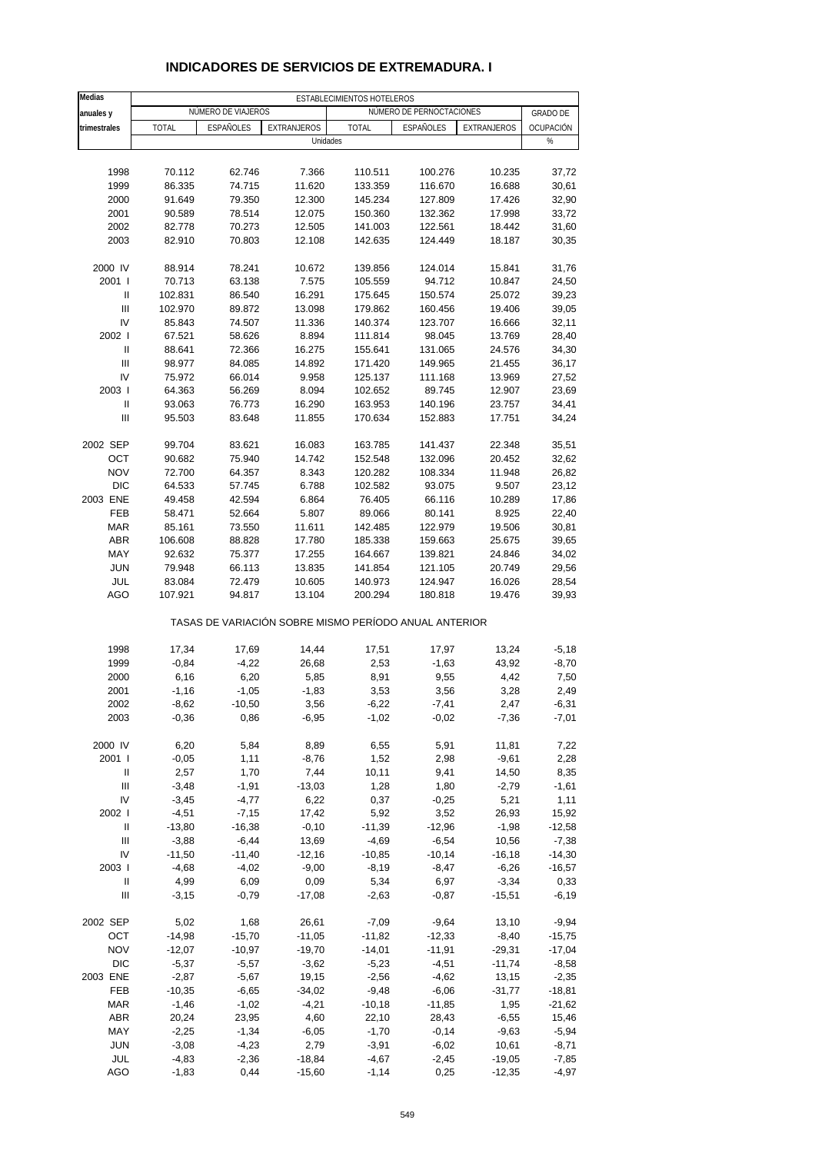| Medias                             |                    |                    |                    | ESTABLECIMIENTOS HOTELEROS                            |                          |                  |                    |
|------------------------------------|--------------------|--------------------|--------------------|-------------------------------------------------------|--------------------------|------------------|--------------------|
| anuales y                          |                    | NÚMERO DE VIAJEROS |                    |                                                       | NÚMERO DE PERNOCTACIONES |                  | <b>GRADO DE</b>    |
| trimestrales                       | <b>TOTAL</b>       | <b>ESPAÑOLES</b>   | <b>EXTRANJEROS</b> | <b>TOTAL</b>                                          | <b>ESPAÑOLES</b>         | EXTRANJEROS      | OCUPACIÓN          |
|                                    |                    |                    | Unidades           |                                                       |                          |                  | %                  |
|                                    |                    |                    |                    |                                                       |                          |                  |                    |
| 1998                               | 70.112             | 62.746             | 7.366              | 110.511                                               | 100.276                  | 10.235           | 37,72              |
| 1999                               | 86.335             | 74.715             | 11.620             | 133.359                                               | 116.670                  | 16.688           | 30,61              |
| 2000                               | 91.649             | 79.350             | 12.300             | 145.234                                               | 127.809                  | 17.426           | 32,90              |
| 2001                               | 90.589             | 78.514             | 12.075             | 150.360                                               | 132.362                  | 17.998           | 33,72              |
| 2002                               | 82.778             | 70.273             | 12.505             | 141.003                                               | 122.561                  | 18.442           | 31,60              |
| 2003                               | 82.910             | 70.803             | 12.108             | 142.635                                               | 124.449                  | 18.187           | 30,35              |
|                                    |                    |                    |                    |                                                       |                          |                  |                    |
| 2000 IV                            | 88.914             | 78.241             | 10.672             | 139.856                                               | 124.014                  | 15.841           | 31,76              |
| 2001 l                             | 70.713             | 63.138             | 7.575              | 105.559                                               | 94.712                   | 10.847           | 24,50              |
| $\mathbf{I}$                       | 102.831            | 86.540             | 16.291             | 175.645                                               | 150.574                  | 25.072           | 39,23              |
| $\mathbf{III}$                     | 102.970            | 89.872             | 13.098             | 179.862                                               | 160.456                  | 19.406           | 39,05              |
| IV                                 | 85.843             | 74.507             | 11.336             | 140.374                                               | 123.707                  | 16.666           | 32,11              |
| 2002                               | 67.521             | 58.626             | 8.894              | 111.814                                               | 98.045                   | 13.769           | 28,40              |
| Ш                                  | 88.641             | 72.366             | 16.275             | 155.641                                               | 131.065                  | 24.576           | 34,30              |
| $\mathbf{III}$                     | 98.977             | 84.085             | 14.892             | 171.420                                               | 149.965                  | 21.455           | 36,17              |
| IV                                 | 75.972             | 66.014             | 9.958              | 125.137                                               | 111.168                  | 13.969           | 27,52              |
| 2003                               | 64.363             | 56.269             | 8.094              | 102.652                                               | 89.745                   | 12.907           | 23,69              |
| $\mathbf{I}$                       | 93.063             | 76.773             | 16.290             | 163.953                                               | 140.196                  | 23.757           | 34,41              |
| Ш                                  | 95.503             | 83.648             | 11.855             | 170.634                                               | 152.883                  | 17.751           | 34,24              |
| 2002 SEP                           |                    |                    |                    | 163.785                                               | 141.437                  |                  | 35,51              |
| OCT                                | 99.704<br>90.682   | 83.621<br>75.940   | 16.083<br>14.742   | 152.548                                               | 132.096                  | 22.348<br>20.452 | 32,62              |
| <b>NOV</b>                         | 72.700             | 64.357             | 8.343              | 120.282                                               | 108.334                  | 11.948           | 26,82              |
| <b>DIC</b>                         | 64.533             | 57.745             | 6.788              | 102.582                                               | 93.075                   | 9.507            | 23,12              |
| 2003 ENE                           | 49.458             | 42.594             | 6.864              | 76.405                                                | 66.116                   | 10.289           | 17,86              |
| FEB                                | 58.471             | 52.664             | 5.807              | 89.066                                                | 80.141                   | 8.925            | 22,40              |
| <b>MAR</b>                         | 85.161             | 73.550             | 11.611             | 142.485                                               | 122.979                  | 19.506           | 30,81              |
| ABR                                | 106.608            | 88.828             | 17.780             | 185.338                                               | 159.663                  | 25.675           | 39,65              |
| MAY                                | 92.632             | 75.377             | 17.255             | 164.667                                               | 139.821                  | 24.846           | 34,02              |
| <b>JUN</b>                         | 79.948             | 66.113             | 13.835             | 141.854                                               | 121.105                  | 20.749           | 29,56              |
| JUL                                | 83.084             | 72.479             | 10.605             | 140.973                                               | 124.947                  | 16.026           | 28,54              |
| AGO                                | 107.921            | 94.817             | 13.104             | 200.294                                               | 180.818                  | 19.476           | 39,93              |
|                                    |                    |                    |                    | TASAS DE VARIACIÓN SOBRE MISMO PERÍODO ANUAL ANTERIOR |                          |                  |                    |
|                                    |                    |                    |                    |                                                       |                          |                  |                    |
| 1998                               | 17,34              | 17,69              | 14,44              | 17,51                                                 | 17,97                    | 13,24            | $-5,18$            |
| 1999                               | $-0,84$            | $-4,22$            | 26,68              | 2,53                                                  | $-1,63$                  | 43,92            | $-8,70$            |
| 2000                               | 6,16               | 6,20               | 5,85               | 8,91                                                  | 9,55                     | 4,42             | 7,50<br>2,49       |
| 2001                               | $-1,16$            | $-1,05$            | $-1,83$            | 3,53                                                  | 3,56                     | 3,28             |                    |
| 2002<br>2003                       | $-8,62$<br>$-0,36$ | $-10,50$<br>0,86   | 3,56<br>$-6,95$    | $-6,22$<br>$-1,02$                                    | $-7,41$<br>$-0,02$       | 2,47<br>$-7,36$  | $-6,31$<br>$-7,01$ |
|                                    |                    |                    |                    |                                                       |                          |                  |                    |
| 2000 IV                            | 6,20               | 5,84               | 8,89               | 6,55                                                  | 5,91                     | 11,81            | 7,22               |
| 2001 l                             | $-0,05$            | 1,11               | $-8,76$            | 1,52                                                  | 2,98                     | $-9,61$          | 2,28               |
| Ш                                  | 2,57               | 1,70               | 7,44               | 10,11                                                 | 9,41                     | 14,50            | 8,35               |
| $\ensuremath{\mathsf{III}}\xspace$ | $-3,48$            | $-1,91$            | $-13,03$           | 1,28                                                  | 1,80                     | $-2,79$          | $-1,61$            |
| IV                                 | $-3,45$            | $-4,77$            | 6,22               | 0,37                                                  | $-0,25$                  | 5,21             | 1,11               |
| 2002 l                             | $-4,51$            | $-7,15$            | 17,42              | 5,92                                                  | 3,52                     | 26,93            | 15,92              |
| Ш                                  | $-13,80$           | $-16,38$           | $-0,10$            | $-11,39$                                              | $-12,96$                 | $-1,98$          | $-12,58$           |
| $\ensuremath{\mathsf{III}}\xspace$ | $-3,88$            | $-6,44$            | 13,69              | $-4,69$                                               | $-6,54$                  | 10,56            | $-7,38$            |
| IV                                 | $-11,50$           | $-11,40$           | $-12,16$           | $-10,85$                                              | $-10,14$                 | $-16,18$         | $-14,30$           |
| 2003                               | $-4,68$            | $-4,02$            | $-9,00$            | $-8,19$                                               | $-8,47$                  | $-6,26$          | $-16,57$           |
| Ш                                  | 4,99               | 6,09               | 0,09               | 5,34                                                  | 6,97                     | $-3,34$          | 0,33               |
| $\ensuremath{\mathsf{III}}\xspace$ | $-3,15$            | $-0,79$            | $-17,08$           | $-2,63$                                               | $-0,87$                  | $-15,51$         | $-6,19$            |
| 2002 SEP                           | 5,02               | 1,68               | 26,61              | $-7,09$                                               | $-9,64$                  | 13,10            | $-9,94$            |
| OCT                                | $-14,98$           | $-15,70$           | $-11,05$           | $-11,82$                                              | $-12,33$                 | $-8,40$          | $-15,75$           |
| <b>NOV</b>                         | $-12,07$           | $-10,97$           | $-19,70$           | $-14,01$                                              | $-11,91$                 | $-29,31$         | $-17,04$           |
| <b>DIC</b>                         | $-5,37$            | $-5,57$            | $-3,62$            | $-5,23$                                               | $-4,51$                  | $-11,74$         | $-8,58$            |
| 2003 ENE                           | $-2,87$            | $-5,67$            | 19,15              | $-2,56$                                               | $-4,62$                  | 13,15            | $-2,35$            |
| FEB                                | $-10,35$           | $-6,65$            | $-34,02$           | $-9,48$                                               | $-6,06$                  | $-31,77$         | $-18,81$           |
| <b>MAR</b>                         | $-1,46$            | $-1,02$            | $-4,21$            | $-10,18$                                              | $-11,85$                 | 1,95             | $-21,62$           |
| <b>ABR</b>                         | 20,24              | 23,95              | 4,60               | 22,10                                                 | 28,43                    | $-6,55$          | 15,46              |
| MAY                                | $-2,25$            | $-1,34$            | $-6,05$            | $-1,70$                                               | $-0,14$                  | $-9,63$          | $-5,94$            |
| <b>JUN</b>                         | $-3,08$            | $-4,23$            | 2,79               | $-3,91$                                               | $-6,02$                  | 10,61            | $-8,71$            |
| JUL                                | $-4,83$            | $-2,36$            | $-18,84$           | $-4,67$                                               | $-2,45$                  | $-19,05$         | $-7,85$            |
| <b>AGO</b>                         | $-1,83$            | 0,44               | $-15,60$           | $-1, 14$                                              | 0,25                     | $-12,35$         | $-4,97$            |

#### **INDICADORES DE SERVICIOS DE EXTREMADURA. I**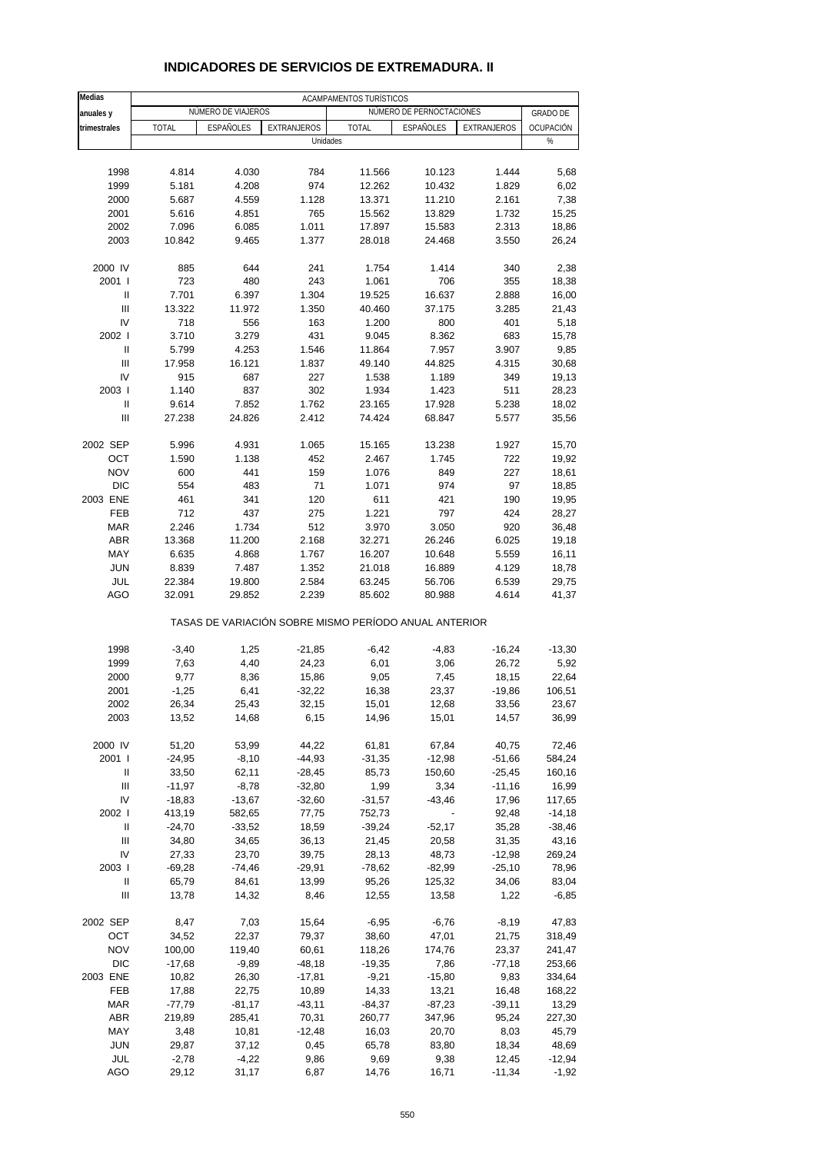| Medias                             |                    |                    |                      | ACAMPAMENTOS TURÍSTICOS                               |                          |                      |                 |
|------------------------------------|--------------------|--------------------|----------------------|-------------------------------------------------------|--------------------------|----------------------|-----------------|
| anuales y                          |                    | NÚMERO DE VIAJEROS |                      |                                                       | NÚMERO DE PERNOCTACIONES |                      | <b>GRADO DE</b> |
| trimestrales                       | <b>TOTAL</b>       | ESPAÑOLES          | EXTRANJEROS          | <b>TOTAL</b>                                          | ESPAÑOLES                | EXTRANJEROS          | OCUPACIÓN       |
|                                    |                    |                    | Unidades             |                                                       |                          |                      | %               |
| 1998                               | 4.814              | 4.030              | 784                  | 11.566                                                | 10.123                   | 1.444                |                 |
| 1999                               | 5.181              | 4.208              | 974                  | 12.262                                                | 10.432                   | 1.829                | 5,68<br>6,02    |
| 2000                               | 5.687              | 4.559              | 1.128                | 13.371                                                | 11.210                   | 2.161                | 7,38            |
| 2001                               | 5.616              | 4.851              | 765                  | 15.562                                                | 13.829                   | 1.732                | 15,25           |
| 2002                               | 7.096              | 6.085              | 1.011                | 17.897                                                | 15.583                   | 2.313                | 18,86           |
| 2003                               | 10.842             | 9.465              | 1.377                | 28.018                                                | 24.468                   | 3.550                | 26,24           |
|                                    |                    |                    |                      |                                                       |                          |                      |                 |
| 2000 IV                            | 885                | 644                | 241                  | 1.754                                                 | 1.414                    | 340                  | 2,38            |
| 2001 l                             | 723                | 480                | 243                  | 1.061                                                 | 706                      | 355                  | 18,38           |
| Ш                                  | 7.701              | 6.397              | 1.304                | 19.525                                                | 16.637                   | 2.888                | 16,00           |
| Ш                                  | 13.322             | 11.972             | 1.350                | 40.460                                                | 37.175                   | 3.285                | 21,43           |
| IV                                 | 718                | 556                | 163                  | 1.200                                                 | 800                      | 401                  | 5,18            |
| 2002 l                             | 3.710              | 3.279              | 431                  | 9.045                                                 | 8.362                    | 683                  | 15,78           |
| Ш                                  | 5.799              | 4.253              | 1.546                | 11.864                                                | 7.957                    | 3.907                | 9,85            |
| Ш                                  | 17.958             | 16.121             | 1.837                | 49.140                                                | 44.825                   | 4.315                | 30,68           |
| IV                                 | 915                | 687                | 227                  | 1.538                                                 | 1.189                    | 349                  | 19,13           |
| 2003                               | 1.140              | 837                | 302                  | 1.934                                                 | 1.423                    | 511                  | 28,23           |
| Ш                                  | 9.614              | 7.852              | 1.762                | 23.165                                                | 17.928                   | 5.238                | 18,02           |
| Ш                                  | 27.238             | 24.826             | 2.412                | 74.424                                                | 68.847                   | 5.577                | 35,56           |
| 2002 SEP                           | 5.996              | 4.931              | 1.065                | 15.165                                                | 13.238                   | 1.927                | 15,70           |
| OCT                                | 1.590              | 1.138              | 452                  | 2.467                                                 | 1.745                    | 722                  | 19,92           |
| <b>NOV</b>                         | 600                | 441                | 159                  | 1.076                                                 | 849                      | 227                  | 18,61           |
| <b>DIC</b>                         | 554                | 483                | 71                   | 1.071                                                 | 974                      | 97                   | 18,85           |
| 2003 ENE                           | 461                | 341                | 120                  | 611                                                   | 421                      | 190                  | 19,95           |
| <b>FEB</b>                         | 712                | 437                | 275                  | 1.221                                                 | 797                      | 424                  | 28,27           |
| <b>MAR</b>                         | 2.246              | 1.734              | 512                  | 3.970                                                 | 3.050                    | 920                  | 36,48           |
| <b>ABR</b>                         | 13.368             | 11.200             | 2.168                | 32.271                                                | 26.246                   | 6.025                | 19,18           |
| MAY                                | 6.635              | 4.868              | 1.767                | 16.207                                                | 10.648                   | 5.559                | 16,11           |
| <b>JUN</b>                         | 8.839              | 7.487              | 1.352                | 21.018                                                | 16.889                   | 4.129                | 18,78           |
| JUL                                | 22.384             | 19.800             | 2.584                | 63.245                                                | 56.706                   | 6.539                | 29,75           |
| AGO                                | 32.091             | 29.852             | 2.239                | 85.602                                                | 80.988                   | 4.614                | 41,37           |
|                                    |                    |                    |                      | TASAS DE VARIACIÓN SOBRE MISMO PERÍODO ANUAL ANTERIOR |                          |                      |                 |
| 1998                               | $-3,40$            | 1,25               | $-21,85$             | $-6,42$                                               | $-4,83$                  | $-16,24$             | $-13,30$        |
| 1999                               | 7,63               | 4,40               | 24,23                | 6,01                                                  | 3,06                     | 26,72                | 5,92            |
| 2000                               | 9,77               | 8,36               | 15,86                | 9,05                                                  | 7,45                     | 18,15                | 22,64           |
| 2001                               | $-1,25$            | 6,41               | $-32,22$             | 16,38                                                 | 23,37                    | $-19,86$             | 106,51          |
| 2002                               | 26,34              | 25,43              | 32,15                | 15,01                                                 | 12,68                    | 33,56                | 23,67           |
| 2003                               | 13,52              | 14,68              | 6,15                 | 14,96                                                 | 15,01                    | 14,57                | 36,99           |
|                                    |                    |                    |                      |                                                       |                          |                      |                 |
| 2000 IV                            | 51,20              | 53,99              | 44,22                | 61,81                                                 | 67,84                    | 40,75                | 72,46           |
| 2001 l                             | $-24,95$           | $-8,10$            | $-44,93$             | $-31,35$                                              | $-12,98$                 | $-51,66$             | 584,24          |
| Ш<br>Ш                             | 33,50<br>$-11,97$  | 62,11<br>$-8,78$   | $-28,45$<br>$-32,80$ | 85,73<br>1,99                                         | 150,60                   | $-25,45$<br>$-11,16$ | 160,16          |
| IV                                 | $-18,83$           | $-13,67$           | $-32,60$             | $-31,57$                                              | 3,34<br>$-43,46$         | 17,96                | 16,99<br>117,65 |
| 2002                               | 413,19             | 582,65             | 77,75                | 752,73                                                |                          | 92,48                | $-14,18$        |
| Ш                                  | $-24,70$           | $-33,52$           | 18,59                | $-39,24$                                              | $-52,17$                 | 35,28                | $-38,46$        |
| $\ensuremath{\mathsf{III}}\xspace$ | 34,80              | 34,65              | 36,13                | 21,45                                                 | 20,58                    | 31,35                | 43,16           |
| IV                                 | 27,33              | 23,70              | 39,75                | 28,13                                                 | 48,73                    | $-12,98$             | 269,24          |
| 2003                               | $-69,28$           | $-74,46$           | $-29,91$             | $-78,62$                                              | $-82,99$                 | $-25,10$             | 78,96           |
| Ш                                  | 65,79              | 84,61              | 13,99                | 95,26                                                 | 125,32                   | 34,06                | 83,04           |
| $\ensuremath{\mathsf{III}}\xspace$ | 13,78              | 14,32              | 8,46                 | 12,55                                                 | 13,58                    | 1,22                 | $-6,85$         |
|                                    |                    |                    |                      |                                                       |                          |                      |                 |
| 2002 SEP                           | 8,47               | 7,03               | 15,64                | $-6,95$                                               | $-6,76$                  | $-8,19$              | 47,83           |
| OCT                                | 34,52              | 22,37              | 79,37                | 38,60                                                 | 47,01                    | 21,75                | 318,49          |
| <b>NOV</b>                         | 100,00             | 119,40             | 60,61                | 118,26                                                | 174,76                   | 23,37                | 241,47          |
| DIC                                | $-17,68$           | $-9,89$            | $-48,18$             | $-19,35$                                              | 7,86                     | $-77,18$             | 253,66          |
| 2003 ENE                           | 10,82              | 26,30              | $-17,81$             | $-9,21$                                               | $-15,80$                 | 9,83                 | 334,64          |
| FEB                                | 17,88              | 22,75              | 10,89                | 14,33                                                 | 13,21                    | 16,48                | 168,22          |
| <b>MAR</b><br><b>ABR</b>           | $-77,79$<br>219,89 | $-81,17$<br>285,41 | $-43,11$<br>70,31    | $-84,37$<br>260,77                                    | $-87,23$<br>347,96       | $-39,11$<br>95,24    | 13,29<br>227,30 |
| MAY                                | 3,48               | 10,81              | $-12,48$             | 16,03                                                 | 20,70                    | 8,03                 | 45,79           |
| <b>JUN</b>                         | 29,87              | 37,12              | 0,45                 | 65,78                                                 | 83,80                    | 18,34                | 48,69           |
| JUL                                | $-2,78$            | $-4,22$            | 9,86                 | 9,69                                                  | 9,38                     | 12,45                | $-12,94$        |
| AGO                                | 29,12              | 31,17              | 6,87                 | 14,76                                                 | 16,71                    | $-11,34$             | $-1,92$         |

#### **INDICADORES DE SERVICIOS DE EXTREMADURA. II**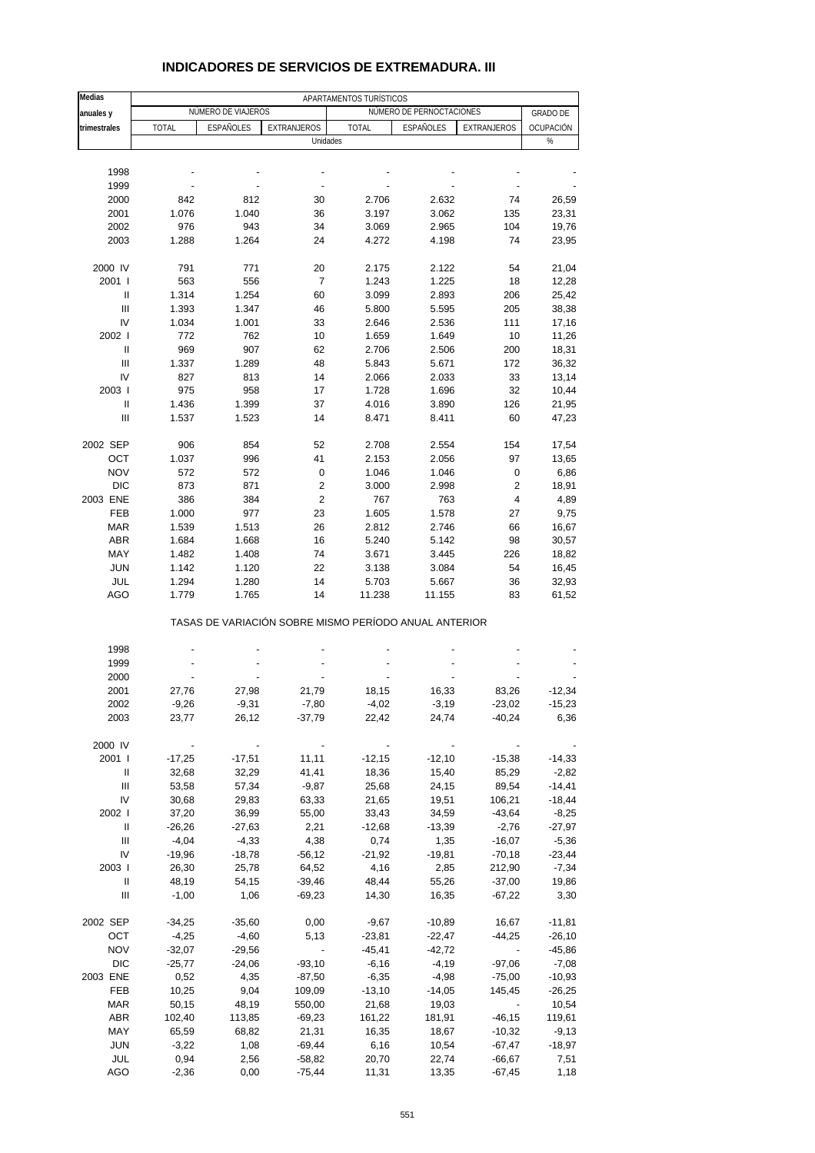| Medias                             | APARTAMENTOS TURÍSTICOS |                     |                                                       |                  |                          |                          |                     |  |
|------------------------------------|-------------------------|---------------------|-------------------------------------------------------|------------------|--------------------------|--------------------------|---------------------|--|
| anuales y                          |                         | NÚMERO DE VIAJEROS  |                                                       |                  | NÚMERO DE PERNOCTACIONES |                          | <b>GRADO DE</b>     |  |
| trimestrales                       | <b>TOTAL</b>            | ESPAÑOLES           | EXTRANJEROS                                           | <b>TOTAL</b>     | ESPAÑOLES                | EXTRANJEROS              | OCUPACIÓN           |  |
|                                    |                         |                     | Unidades                                              |                  |                          |                          | %                   |  |
|                                    |                         |                     |                                                       |                  |                          |                          |                     |  |
| 1998                               |                         |                     |                                                       |                  |                          |                          |                     |  |
| 1999                               |                         |                     |                                                       |                  |                          |                          |                     |  |
| 2000                               | 842                     | 812                 | 30                                                    | 2.706            | 2.632                    | 74                       | 26,59               |  |
| 2001                               | 1.076                   | 1.040               | 36                                                    | 3.197            | 3.062                    | 135                      | 23,31               |  |
| 2002<br>2003                       | 976<br>1.288            | 943<br>1.264        | 34<br>24                                              | 3.069<br>4.272   | 2.965<br>4.198           | 104<br>74                | 19,76               |  |
|                                    |                         |                     |                                                       |                  |                          |                          | 23,95               |  |
| 2000 IV                            | 791                     | 771                 | 20                                                    | 2.175            | 2.122                    | 54                       | 21,04               |  |
| 2001 l                             | 563                     | 556                 | $\overline{7}$                                        | 1.243            | 1.225                    | 18                       | 12,28               |  |
| Ш                                  | 1.314                   | 1.254               | 60                                                    | 3.099            | 2.893                    | 206                      | 25,42               |  |
| Ш                                  | 1.393                   | 1.347               | 46                                                    | 5.800            | 5.595                    | 205                      | 38,38               |  |
| IV                                 | 1.034                   | 1.001               | 33                                                    | 2.646            | 2.536                    | 111                      | 17,16               |  |
| 2002 l                             | 772                     | 762                 | 10                                                    | 1.659            | 1.649                    | 10                       | 11,26               |  |
| Ш                                  | 969                     | 907                 | 62                                                    | 2.706            | 2.506                    | 200                      | 18,31               |  |
| Ш                                  | 1.337                   | 1.289               | 48                                                    | 5.843            | 5.671                    | 172                      | 36,32               |  |
| IV                                 | 827                     | 813                 | 14                                                    | 2.066            | 2.033                    | 33                       | 13,14               |  |
| 2003                               | 975                     | 958                 | 17                                                    | 1.728            | 1.696                    | 32                       | 10,44               |  |
| Ш<br>Ш                             | 1.436                   | 1.399               | 37<br>14                                              | 4.016<br>8.471   | 3.890                    | 126<br>60                | 21,95               |  |
|                                    | 1.537                   | 1.523               |                                                       |                  | 8.411                    |                          | 47,23               |  |
| 2002 SEP                           | 906                     | 854                 | 52                                                    | 2.708            | 2.554                    | 154                      | 17,54               |  |
| OCT                                | 1.037                   | 996                 | 41                                                    | 2.153            | 2.056                    | 97                       | 13,65               |  |
| <b>NOV</b>                         | 572                     | 572                 | 0                                                     | 1.046            | 1.046                    | 0                        | 6,86                |  |
| <b>DIC</b>                         | 873                     | 871                 | 2                                                     | 3.000            | 2.998                    | $\overline{2}$           | 18,91               |  |
| 2003 ENE                           | 386                     | 384                 | 2                                                     | 767              | 763                      | 4                        | 4,89                |  |
| <b>FEB</b>                         | 1.000                   | 977                 | 23                                                    | 1.605            | 1.578                    | 27                       | 9,75                |  |
| <b>MAR</b>                         | 1.539                   | 1.513               | 26                                                    | 2.812            | 2.746                    | 66                       | 16,67               |  |
| <b>ABR</b>                         | 1.684                   | 1.668               | 16                                                    | 5.240            | 5.142                    | 98                       | 30,57               |  |
| MAY                                | 1.482                   | 1.408               | 74                                                    | 3.671            | 3.445                    | 226                      | 18,82               |  |
| <b>JUN</b>                         | 1.142                   | 1.120               | 22                                                    | 3.138            | 3.084                    | 54                       | 16,45               |  |
| JUL                                | 1.294                   | 1.280               | 14                                                    | 5.703            | 5.667                    | 36                       | 32,93               |  |
| <b>AGO</b>                         | 1.779                   | 1.765               | 14                                                    | 11.238           | 11.155                   | 83                       | 61,52               |  |
|                                    |                         |                     | TASAS DE VARIACIÓN SOBRE MISMO PERÍODO ANUAL ANTERIOR |                  |                          |                          |                     |  |
| 1998                               |                         |                     |                                                       |                  |                          |                          |                     |  |
| 1999                               |                         |                     |                                                       |                  |                          |                          |                     |  |
| 2000                               |                         |                     |                                                       |                  |                          |                          |                     |  |
| 2001                               | 27,76                   | 27,98               | 21,79                                                 | 18,15            | 16,33                    | 83,26                    | $-12,34$            |  |
| 2002                               | -9,26                   | $-9,31$             | $-7,80$                                               | $-4,02$          | $-3,19$                  | $-23,02$                 | -15,23              |  |
| 2003                               | 23,77                   | 26,12               | $-37,79$                                              | 22,42            | 24,74                    | $-40,24$                 | 6,36                |  |
|                                    |                         |                     |                                                       |                  |                          |                          |                     |  |
| 2000 IV                            |                         |                     |                                                       |                  |                          |                          |                     |  |
| 2001 l                             | $-17,25$                | $-17,51$            | 11,11                                                 | $-12,15$         | $-12,10$                 | $-15,38$                 | $-14,33$            |  |
| Ш                                  | 32,68                   | 32,29               | 41,41                                                 | 18,36            | 15,40                    | 85,29                    | $-2,82$             |  |
| $\ensuremath{\mathsf{III}}\xspace$ | 53,58                   | 57,34               | $-9,87$                                               | 25,68            | 24,15                    | 89,54                    | $-14,41$            |  |
| IV                                 | 30,68                   | 29,83               | 63,33                                                 | 21,65            | 19,51                    | 106,21                   | $-18,44$            |  |
| 2002 l                             | 37,20                   | 36,99               | 55,00                                                 | 33,43            | 34,59                    | $-43,64$                 | $-8,25$             |  |
| Ш<br>$\mathbf{III}$                | $-26,26$<br>$-4,04$     | $-27,63$<br>$-4,33$ | 2,21<br>4,38                                          | $-12,68$<br>0,74 | $-13,39$<br>1,35         | $-2,76$<br>$-16,07$      | $-27,97$<br>$-5,36$ |  |
| IV                                 | $-19,96$                | $-18,78$            | $-56,12$                                              | $-21,92$         | $-19,81$                 | $-70,18$                 | $-23,44$            |  |
| 2003                               | 26,30                   | 25,78               | 64,52                                                 | 4,16             | 2,85                     | 212,90                   | $-7,34$             |  |
| Ш                                  | 48,19                   | 54,15               | $-39,46$                                              | 48,44            | 55,26                    | $-37,00$                 | 19,86               |  |
| III                                | $-1,00$                 | 1,06                | $-69,23$                                              | 14,30            | 16,35                    | $-67,22$                 | 3,30                |  |
|                                    |                         |                     |                                                       |                  |                          |                          |                     |  |
| 2002 SEP                           | $-34,25$                | $-35,60$            | 0,00                                                  | $-9,67$          | $-10,89$                 | 16,67                    | $-11,81$            |  |
| OCT                                | $-4,25$                 | $-4,60$             | 5,13                                                  | $-23,81$         | $-22,47$                 | $-44,25$                 | $-26,10$            |  |
| <b>NOV</b>                         | $-32,07$                | $-29,56$            | $\overline{\phantom{a}}$                              | $-45,41$         | $-42,72$                 | $\overline{\phantom{a}}$ | $-45,86$            |  |
| <b>DIC</b>                         | $-25,77$                | $-24,06$            | $-93,10$                                              | $-6,16$          | $-4,19$                  | $-97,06$                 | $-7,08$             |  |
| 2003 ENE                           | 0,52                    | 4,35                | $-87,50$                                              | $-6,35$          | $-4,98$                  | $-75,00$                 | $-10,93$            |  |
| FEB                                | 10,25                   | 9,04                | 109,09                                                | $-13,10$         | $-14,05$                 | 145,45                   | $-26,25$            |  |
| <b>MAR</b>                         | 50,15                   | 48,19               | 550,00                                                | 21,68            | 19,03                    | $\blacksquare$           | 10,54               |  |
| ABR                                | 102,40                  | 113,85              | $-69,23$                                              | 161,22           | 181,91                   | $-46, 15$                | 119,61              |  |
| MAY<br><b>JUN</b>                  | 65,59                   | 68,82               | 21,31                                                 | 16,35            | 18,67                    | $-10,32$                 | $-9,13$             |  |
| JUL                                | $-3,22$<br>0,94         | 1,08<br>2,56        | $-69,44$<br>$-58,82$                                  | 6,16<br>20,70    | 10,54<br>22,74           | $-67,47$<br>$-66,67$     | $-18,97$<br>7,51    |  |
| AGO                                | $-2,36$                 | 0,00                | $-75,44$                                              | 11,31            | 13,35                    | $-67,45$                 | 1,18                |  |
|                                    |                         |                     |                                                       |                  |                          |                          |                     |  |

#### **INDICADORES DE SERVICIOS DE EXTREMADURA. III**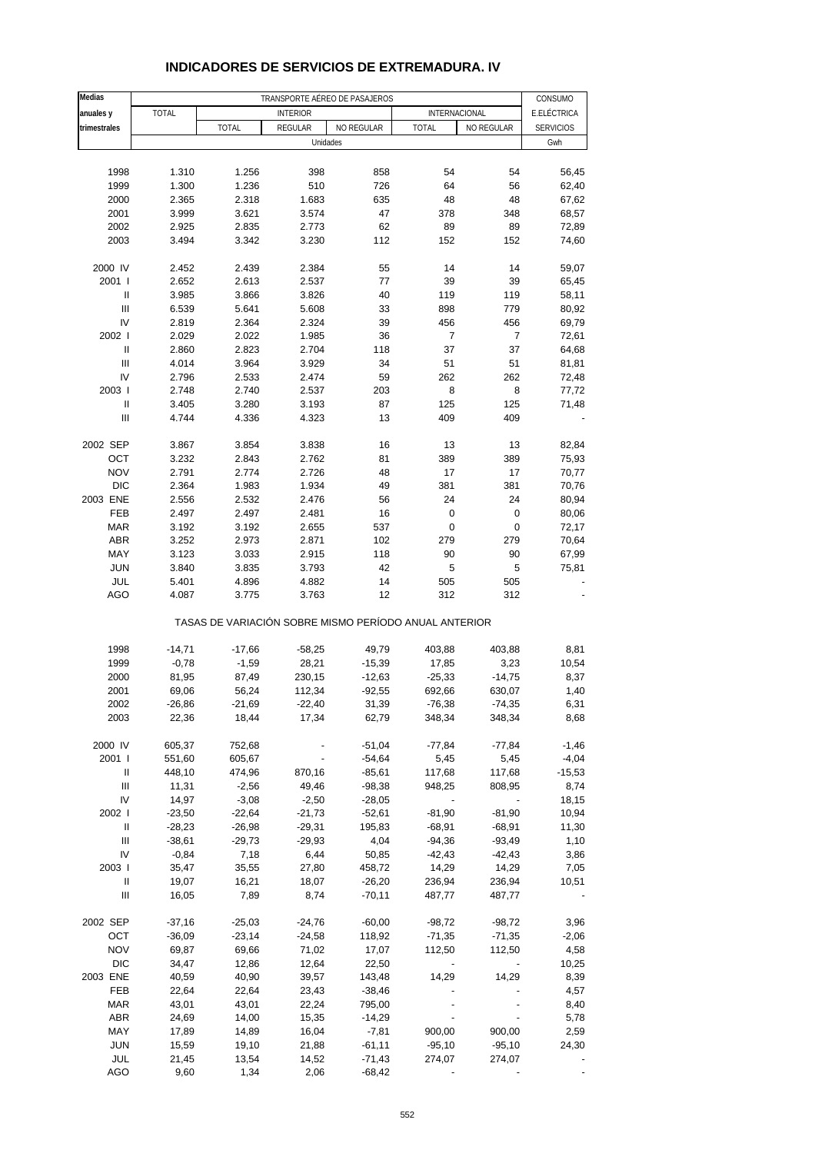| Medias                             |                |                                                       | CONSUMO                                          |                      |                    |                    |                  |
|------------------------------------|----------------|-------------------------------------------------------|--------------------------------------------------|----------------------|--------------------|--------------------|------------------|
| anuales y                          | <b>TOTAL</b>   |                                                       | TRANSPORTE AÉREO DE PASAJEROS<br><b>INTERIOR</b> |                      | INTERNACIONAL      |                    | E.ELÉCTRICA      |
| trimestrales                       |                | <b>TOTAL</b>                                          | REGULAR                                          | NO REGULAR           | <b>TOTAL</b>       | NO REGULAR         | <b>SERVICIOS</b> |
|                                    |                |                                                       | Unidades                                         |                      |                    |                    | Gwh              |
|                                    |                |                                                       |                                                  |                      |                    |                    |                  |
| 1998                               | 1.310          | 1.256                                                 | 398                                              | 858                  | 54                 | 54                 | 56,45            |
| 1999                               | 1.300          | 1.236                                                 | 510                                              | 726                  | 64                 | 56                 | 62,40            |
| 2000                               | 2.365          | 2.318                                                 | 1.683                                            | 635                  | 48                 | 48                 | 67,62            |
| 2001                               | 3.999          | 3.621                                                 | 3.574                                            | 47                   | 378                | 348                | 68,57            |
| 2002                               | 2.925          | 2.835                                                 | 2.773                                            | 62                   | 89                 | 89                 | 72,89            |
| 2003                               | 3.494          | 3.342                                                 | 3.230                                            | 112                  | 152                | 152                | 74,60            |
| 2000 IV                            | 2.452          | 2.439                                                 | 2.384                                            | 55                   | 14                 | 14                 | 59,07            |
| 2001 l                             | 2.652          | 2.613                                                 | 2.537                                            | 77                   | 39                 | 39                 | 65,45            |
| Ш                                  | 3.985          | 3.866                                                 | 3.826                                            | 40                   | 119                | 119                | 58,11            |
| $\ensuremath{\mathsf{III}}\xspace$ | 6.539          | 5.641                                                 | 5.608                                            | 33                   | 898                | 779                | 80,92            |
| IV                                 | 2.819          | 2.364                                                 | 2.324                                            | 39                   | 456                | 456                | 69,79            |
| 2002 l                             | 2.029          | 2.022                                                 | 1.985                                            | 36                   | 7                  | 7                  | 72,61            |
| $\mathbf{I}$                       | 2.860          | 2.823                                                 | 2.704                                            | 118                  | 37                 | 37                 | 64,68            |
| Ш                                  | 4.014          | 3.964                                                 | 3.929                                            | 34                   | 51                 | 51                 | 81,81            |
| IV                                 | 2.796          | 2.533                                                 | 2.474                                            | 59                   | 262                | 262                | 72,48            |
| 2003                               | 2.748          | 2.740                                                 | 2.537                                            | 203                  | 8                  | 8                  | 77,72            |
| $\ensuremath{\mathsf{II}}$         | 3.405          | 3.280                                                 | 3.193                                            | 87                   | 125                | 125                | 71,48            |
| Ш                                  | 4.744          | 4.336                                                 | 4.323                                            | 13                   | 409                | 409                |                  |
| 2002 SEP                           | 3.867          | 3.854                                                 | 3.838                                            | 16                   | 13                 | 13                 | 82,84            |
| OCT                                | 3.232          | 2.843                                                 | 2.762                                            | 81                   | 389                | 389                | 75,93            |
| <b>NOV</b>                         | 2.791          | 2.774                                                 | 2.726                                            | 48                   | 17                 | 17                 | 70,77            |
| <b>DIC</b>                         | 2.364          | 1.983                                                 | 1.934                                            | 49                   | 381                | 381                | 70,76            |
| 2003 ENE                           | 2.556          | 2.532                                                 | 2.476                                            | 56                   | 24                 | 24                 | 80,94            |
| FEB                                | 2.497          | 2.497                                                 | 2.481                                            | 16                   | 0                  | 0                  | 80,06            |
| <b>MAR</b>                         | 3.192          | 3.192                                                 | 2.655                                            | 537                  | 0                  | $\pmb{0}$          | 72,17            |
| <b>ABR</b>                         | 3.252          | 2.973                                                 | 2.871                                            | 102                  | 279                | 279                | 70,64            |
| MAY                                | 3.123          | 3.033                                                 | 2.915                                            | 118                  | 90                 | 90                 | 67,99            |
| <b>JUN</b>                         | 3.840          | 3.835                                                 | 3.793                                            | 42                   | 5                  | 5                  | 75,81            |
| JUL<br><b>AGO</b>                  | 5.401<br>4.087 | 4.896<br>3.775                                        | 4.882<br>3.763                                   | 14<br>12             | 505<br>312         | 505<br>312         |                  |
|                                    |                |                                                       |                                                  |                      |                    |                    |                  |
|                                    |                | TASAS DE VARIACIÓN SOBRE MISMO PERÍODO ANUAL ANTERIOR |                                                  |                      |                    |                    |                  |
| 1998                               | $-14,71$       | $-17,66$                                              | $-58,25$                                         | 49,79                | 403,88             | 403,88             | 8,81             |
| 1999                               | $-0,78$        | $-1,59$                                               | 28,21                                            | $-15,39$             | 17,85              | 3,23               | 10,54            |
| 2000                               | 81,95          | 87,49                                                 | 230,15                                           | $-12,63$             | $-25,33$           | $-14,75$           | 8,37             |
| 2001                               | 69,06          | 56,24                                                 | 112,34                                           | $-92,55$             | 692,66             | 630,07             | 1,40             |
| 2002                               | $-26,86$       | -21,69                                                | -22,40                                           | 31,39                | -76,38             | -74,35             | 6,31             |
| 2003                               | 22,36          | 18,44                                                 | 17,34                                            | 62,79                | 348,34             | 348,34             | 8,68             |
|                                    |                |                                                       |                                                  |                      |                    |                    |                  |
| 2000 IV                            | 605,37         | 752,68                                                |                                                  | $-51,04$             | $-77,84$           | $-77,84$           | $-1,46$          |
| 2001 l                             | 551,60         | 605,67                                                |                                                  | $-54,64$             | 5,45               | 5,45               | $-4,04$          |
| Ш                                  | 448,10         | 474,96                                                | 870,16                                           | $-85,61$             | 117,68             | 117,68             | $-15,53$         |
| Ш<br>IV                            | 11,31<br>14,97 | $-2,56$<br>$-3,08$                                    | 49,46<br>$-2,50$                                 | $-98,38$             | 948,25             | 808,95             | 8,74<br>18,15    |
| 2002 l                             | $-23,50$       | $-22,64$                                              | $-21,73$                                         | $-28,05$<br>$-52,61$ | $-81,90$           | $-81,90$           | 10,94            |
| Ш                                  | $-28,23$       | $-26,98$                                              | $-29,31$                                         | 195,83               | $-68,91$           | $-68,91$           | 11,30            |
| $\ensuremath{\mathsf{III}}\xspace$ | $-38,61$       | $-29,73$                                              | $-29,93$                                         | 4,04                 | $-94,36$           | $-93,49$           | 1,10             |
| IV                                 | $-0,84$        | 7,18                                                  | 6,44                                             | 50,85                | $-42,43$           | $-42,43$           | 3,86             |
| 2003                               | 35,47          | 35,55                                                 | 27,80                                            | 458,72               | 14,29              | 14,29              | 7,05             |
| Ш                                  | 19,07          | 16,21                                                 | 18,07                                            | $-26,20$             | 236,94             | 236,94             | 10,51            |
| Ш                                  | 16,05          | 7,89                                                  | 8,74                                             | $-70,11$             | 487,77             | 487,77             |                  |
| 2002 SEP                           | $-37,16$       | $-25,03$                                              | $-24,76$                                         | $-60,00$             | $-98,72$           | $-98,72$           | 3,96             |
| OCT                                | $-36,09$       | $-23,14$                                              | $-24,58$                                         | 118,92               | $-71,35$           | $-71,35$           | $-2,06$          |
| <b>NOV</b>                         | 69,87          | 69,66                                                 | 71,02                                            | 17,07                | 112,50             | 112,50             | 4,58             |
| <b>DIC</b>                         | 34,47          | 12,86                                                 | 12,64                                            | 22,50                |                    |                    | 10,25            |
| 2003 ENE                           | 40,59          | 40,90                                                 | 39,57                                            | 143,48               | 14,29              | 14,29              | 8,39             |
| FEB                                | 22,64          | 22,64                                                 | 23,43                                            | $-38,46$             |                    |                    | 4,57             |
| <b>MAR</b>                         | 43,01          | 43,01                                                 | 22,24                                            | 795,00               |                    |                    | 8,40             |
| <b>ABR</b>                         | 24,69          | 14,00                                                 | 15,35                                            | $-14,29$             |                    |                    | 5,78             |
| MAY<br><b>JUN</b>                  | 17,89          | 14,89                                                 | 16,04                                            | $-7,81$              | 900,00<br>$-95,10$ | 900,00<br>$-95,10$ | 2,59<br>24,30    |
| JUL                                | 15,59<br>21,45 | 19,10<br>13,54                                        | 21,88<br>14,52                                   | $-61,11$<br>$-71,43$ | 274,07             | 274,07             |                  |
| AGO                                | 9,60           | 1,34                                                  | 2,06                                             | $-68,42$             |                    |                    |                  |
|                                    |                |                                                       |                                                  |                      |                    |                    |                  |

### **INDICADORES DE SERVICIOS DE EXTREMADURA. IV**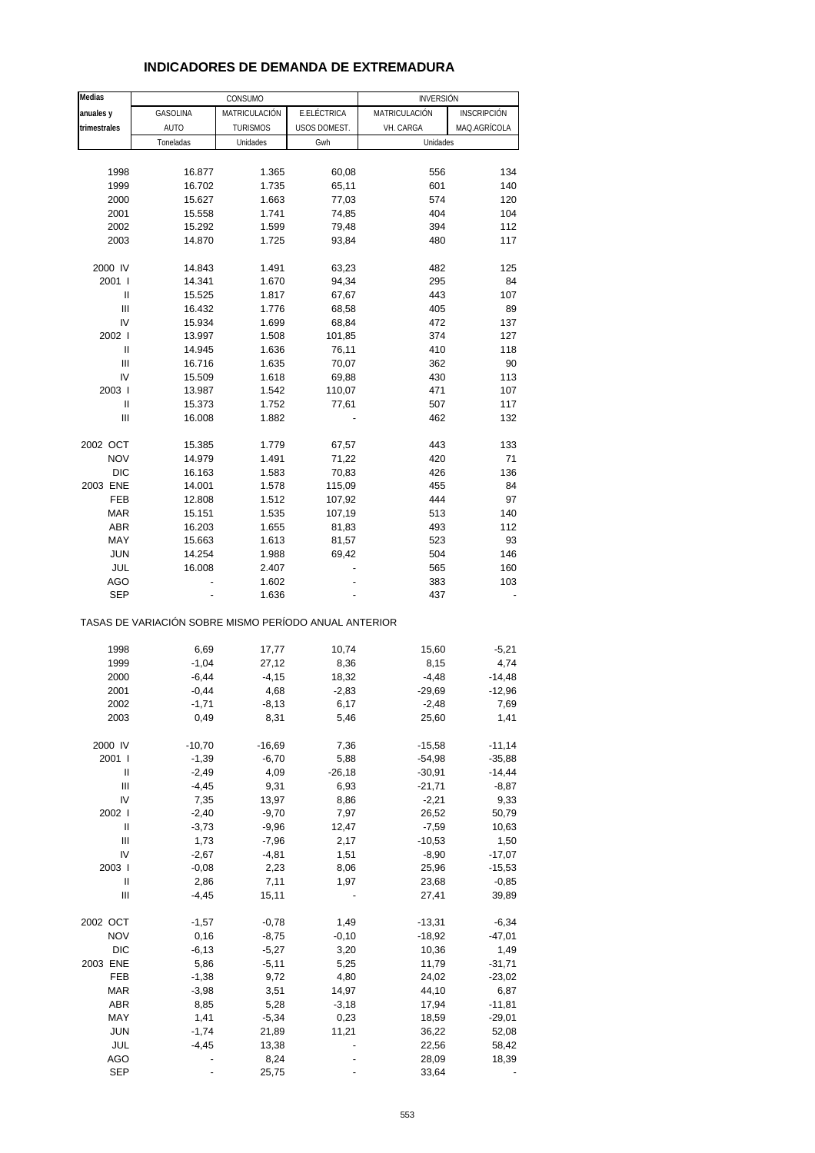# **INDICADORES DE DEMANDA DE EXTREMADURA**

| <b>Medias</b>  |                                                       | CONSUMO         |              | <b>INVERSIÓN</b> |              |
|----------------|-------------------------------------------------------|-----------------|--------------|------------------|--------------|
| anuales y      | GASOLINA                                              | MATRICULACIÓN   | E.ELÉCTRICA  | MATRICULACIÓN    | INSCRIPCIÓN  |
| trimestrales   | <b>AUTO</b>                                           | <b>TURISMOS</b> | USOS DOMEST. | VH. CARGA        | MAQ.AGRÍCOLA |
|                | Toneladas                                             | Unidades        | Gwh          | Unidades         |              |
|                |                                                       |                 |              |                  |              |
| 1998           | 16.877                                                | 1.365           | 60,08        | 556              | 134          |
| 1999           | 16.702                                                | 1.735           | 65,11        | 601              | 140          |
| 2000           | 15.627                                                | 1.663           | 77,03        | 574              | 120          |
| 2001           | 15.558                                                | 1.741           | 74,85        | 404              | 104          |
| 2002           | 15.292                                                | 1.599           | 79,48        | 394              | 112          |
| 2003           | 14.870                                                | 1.725           | 93,84        | 480              | 117          |
|                |                                                       |                 |              |                  |              |
| 2000 IV        | 14.843                                                | 1.491           | 63,23        | 482              | 125          |
| 2001 l         | 14.341                                                | 1.670           | 94,34        | 295              | 84           |
| Ш              | 15.525                                                | 1.817           | 67,67        | 443              | 107          |
| Ш              | 16.432                                                | 1.776           | 68,58        | 405              | 89           |
| IV             | 15.934                                                | 1.699           | 68,84        | 472              | 137          |
| 2002 l         | 13.997                                                | 1.508           | 101,85       | 374              | 127          |
| Ш              | 14.945                                                | 1.636           | 76,11        | 410              | 118          |
| Ш              | 16.716                                                | 1.635           | 70,07        | 362              | 90           |
| IV             | 15.509                                                | 1.618           | 69,88        | 430              | 113          |
| 2003           | 13.987                                                | 1.542           | 110,07       | 471              | 107          |
| Ш              | 15.373                                                | 1.752           | 77,61        | 507              | 117          |
| Ш              | 16.008                                                | 1.882           |              | 462              | 132          |
|                |                                                       |                 |              |                  |              |
| 2002 OCT       | 15.385                                                | 1.779           | 67,57        | 443              | 133          |
| <b>NOV</b>     | 14.979                                                | 1.491           | 71,22        | 420              | 71           |
| <b>DIC</b>     | 16.163                                                | 1.583           | 70,83        | 426              | 136          |
| 2003 ENE       | 14.001                                                | 1.578           | 115,09       | 455              | 84           |
| FEB            | 12.808                                                | 1.512           | 107,92       | 444              | 97           |
| <b>MAR</b>     | 15.151                                                | 1.535           | 107,19       | 513              | 140          |
| <b>ABR</b>     | 16.203                                                | 1.655           | 81,83        | 493              | 112          |
| MAY            | 15.663                                                | 1.613           | 81,57        | 523              | 93           |
| <b>JUN</b>     | 14.254                                                | 1.988           | 69,42        | 504              | 146          |
| JUL            | 16.008                                                | 2.407           |              | 565              | 160          |
| AGO            |                                                       | 1.602           |              | 383              | 103          |
| SEP            |                                                       | 1.636           |              | 437              |              |
|                | TASAS DE VARIACIÓN SOBRE MISMO PERÍODO ANUAL ANTERIOR |                 |              |                  |              |
| 1998           | 6,69                                                  | 17,77           | 10,74        | 15,60            | $-5,21$      |
| 1999           | $-1,04$                                               | 27,12           | 8,36         | 8,15             | 4,74         |
| 2000           | $-6,44$                                               | $-4, 15$        | 18,32        | $-4,48$          | $-14,48$     |
| 2001           | $-0,44$                                               | 4,68            | $-2,83$      | $-29,69$         | $-12,96$     |
| 2002           | $-1,71$                                               | $-8,13$         | 6,17         | $-2,48$          | 7,69         |
| 2003           | 0,49                                                  | 8,31            | 5,46         | 25,60            | 1,41         |
|                |                                                       |                 |              |                  |              |
| 2000 IV        | $-10,70$                                              | $-16,69$        | 7,36         | $-15,58$         | $-11,14$     |
| 2001 l         | $-1,39$                                               | $-6,70$         | 5,88         | $-54,98$         | $-35,88$     |
| Ш              | $-2,49$                                               | 4,09            | $-26,18$     | $-30,91$         | $-14,44$     |
| Ш              | $-4,45$                                               | 9,31            | 6,93         | $-21,71$         | $-8,87$      |
| IV             | 7,35                                                  | 13,97           | 8,86         | $-2,21$          | 9,33         |
| 2002 l         | $-2,40$                                               | $-9,70$         | 7,97         | 26,52            | 50,79        |
| Ш              | $-3,73$                                               | $-9,96$         | 12,47        | $-7,59$          | 10,63        |
| $\mathbf{III}$ | 1,73                                                  | $-7,96$         | 2,17         | $-10,53$         | 1,50         |
| IV             | $-2,67$                                               | $-4,81$         | 1,51         | $-8,90$          | $-17,07$     |
| 2003           | $-0,08$                                               | 2,23            | 8,06         | 25,96            | $-15,53$     |
| $\mathbf{II}$  | 2,86                                                  | 7,11            | 1,97         | 23,68            | $-0,85$      |
| Ш              | $-4,45$                                               | 15,11           |              | 27,41            | 39,89        |
| 2002 OCT       | $-1,57$                                               | $-0,78$         | 1,49         | $-13,31$         | $-6,34$      |
| <b>NOV</b>     | 0,16                                                  | $-8,75$         | $-0,10$      | -18,92           | $-47,01$     |
| <b>DIC</b>     | $-6, 13$                                              | $-5,27$         | 3,20         | 10,36            | 1,49         |
| 2003 ENE       | 5,86                                                  | $-5,11$         | 5,25         | 11,79            | $-31,71$     |
| FEB            | $-1,38$                                               | 9,72            | 4,80         | 24,02            | $-23,02$     |
| <b>MAR</b>     | $-3,98$                                               | 3,51            | 14,97        | 44,10            | 6,87         |
| ABR            | 8,85                                                  | 5,28            | $-3,18$      | 17,94            | $-11,81$     |
| MAY            | 1,41                                                  | $-5,34$         | 0,23         | 18,59            | $-29,01$     |
| <b>JUN</b>     | $-1,74$                                               | 21,89           | 11,21        | 36,22            | 52,08        |
| JUL            | -4,45                                                 | 13,38           |              | 22,56            | 58,42        |
| <b>AGO</b>     |                                                       | 8,24            |              | 28,09            | 18,39        |
| SEP            |                                                       | 25,75           |              | 33,64            |              |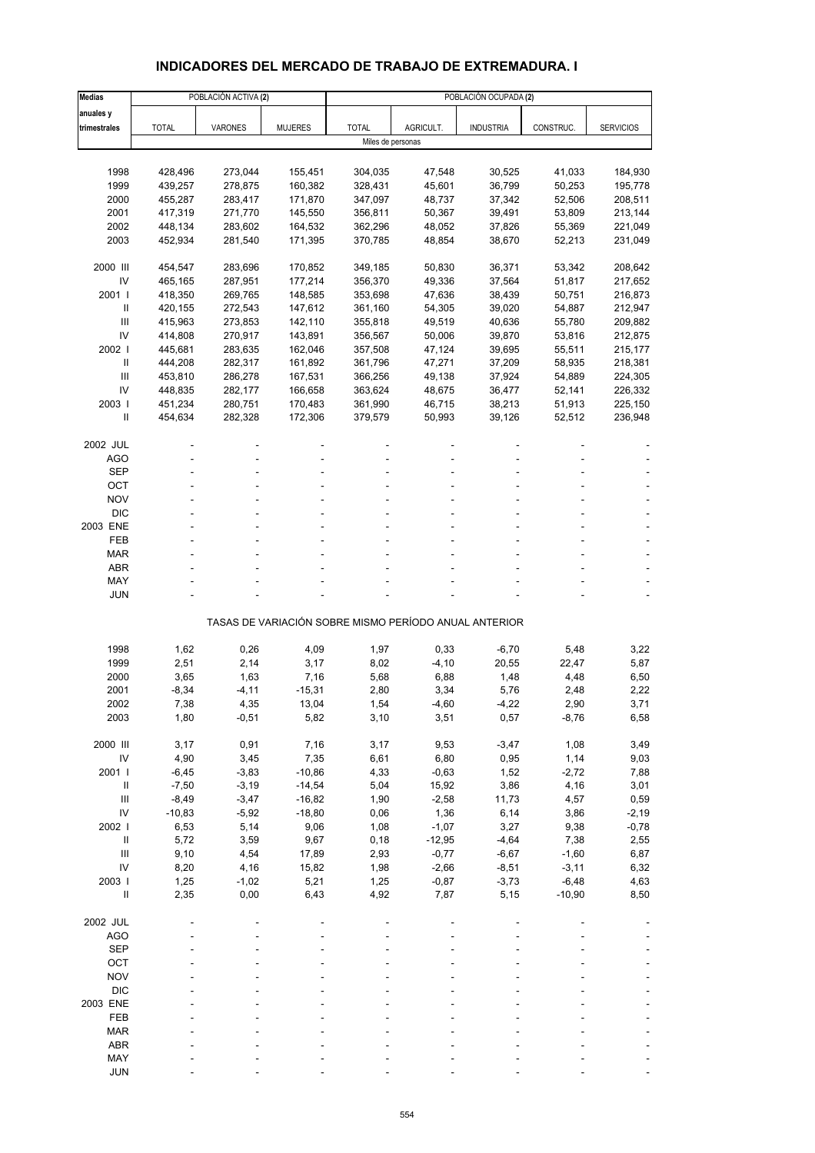### **INDICADORES DEL MERCADO DE TRABAJO DE EXTREMADURA. I**

| <b>Medias</b>  |              | POBLACIÓN ACTIVA (2) |                |                   |           | POBLACIÓN OCUPADA (2)                                 |           |                  |
|----------------|--------------|----------------------|----------------|-------------------|-----------|-------------------------------------------------------|-----------|------------------|
| anuales y      |              |                      |                |                   |           |                                                       |           |                  |
| trimestrales   | <b>TOTAL</b> | VARONES              | <b>MUJERES</b> | <b>TOTAL</b>      | AGRICULT. | <b>INDUSTRIA</b>                                      | CONSTRUC. | <b>SERVICIOS</b> |
|                |              |                      |                | Miles de personas |           |                                                       |           |                  |
|                |              |                      |                |                   |           |                                                       |           |                  |
| 1998           | 428,496      | 273,044              | 155,451        | 304,035           | 47,548    | 30,525                                                | 41,033    | 184,930          |
| 1999           | 439,257      | 278,875              | 160,382        | 328,431           | 45,601    | 36,799                                                | 50,253    | 195,778          |
| 2000           | 455,287      | 283,417              | 171,870        | 347,097           | 48,737    | 37,342                                                | 52,506    | 208,511          |
| 2001           | 417,319      | 271,770              | 145,550        | 356,811           | 50,367    | 39,491                                                | 53,809    | 213,144          |
| 2002           | 448,134      | 283,602              | 164,532        | 362,296           | 48,052    | 37,826                                                | 55,369    | 221,049          |
| 2003           | 452,934      | 281,540              | 171,395        | 370,785           | 48,854    | 38,670                                                | 52,213    | 231,049          |
| 2000 III       | 454,547      | 283,696              | 170,852        | 349,185           | 50,830    | 36,371                                                | 53,342    | 208,642          |
| IV             | 465,165      | 287,951              | 177,214        | 356,370           | 49,336    | 37,564                                                | 51,817    | 217,652          |
| 2001 l         | 418,350      | 269,765              | 148,585        | 353,698           | 47,636    | 38,439                                                | 50,751    | 216,873          |
| Ш              | 420,155      | 272,543              | 147,612        | 361,160           | 54,305    | 39,020                                                | 54,887    | 212,947          |
| III            | 415,963      | 273,853              | 142,110        | 355,818           | 49,519    | 40,636                                                | 55,780    | 209,882          |
| IV             | 414,808      | 270,917              | 143,891        | 356,567           | 50,006    | 39,870                                                | 53,816    | 212,875          |
| 2002           | 445,681      | 283,635              | 162,046        | 357,508           | 47,124    | 39,695                                                | 55,511    | 215,177          |
| $\mathbf{I}$   | 444,208      | 282,317              | 161,892        | 361,796           | 47,271    | 37,209                                                | 58,935    | 218,381          |
| Ш              | 453,810      | 286,278              | 167,531        | 366,256           | 49,138    | 37,924                                                | 54,889    | 224,305          |
| IV             | 448,835      | 282,177              | 166,658        | 363,624           | 48,675    | 36,477                                                | 52,141    | 226,332          |
| 2003           | 451,234      | 280,751              | 170,483        | 361,990           | 46,715    | 38,213                                                | 51,913    | 225,150          |
| Ш              | 454,634      | 282,328              | 172,306        | 379,579           | 50,993    | 39,126                                                | 52,512    | 236,948          |
|                |              |                      |                |                   |           |                                                       |           |                  |
| 2002 JUL       |              |                      |                |                   |           |                                                       |           |                  |
| AGO            |              |                      |                |                   |           |                                                       |           |                  |
| <b>SEP</b>     |              |                      |                |                   |           |                                                       |           |                  |
| OCT            |              |                      |                |                   |           |                                                       |           |                  |
| <b>NOV</b>     |              |                      |                |                   |           |                                                       |           |                  |
| <b>DIC</b>     |              |                      |                |                   |           |                                                       |           |                  |
| 2003 ENE       |              |                      |                |                   |           |                                                       |           |                  |
| FEB            |              |                      |                |                   |           |                                                       |           |                  |
| <b>MAR</b>     |              |                      |                |                   |           |                                                       |           |                  |
| <b>ABR</b>     |              |                      |                |                   |           |                                                       |           |                  |
| MAY            |              |                      |                |                   |           |                                                       |           |                  |
| <b>JUN</b>     |              |                      |                |                   |           |                                                       |           |                  |
|                |              |                      |                |                   |           | TASAS DE VARIACIÓN SOBRE MISMO PERÍODO ANUAL ANTERIOR |           |                  |
|                |              |                      |                |                   |           |                                                       |           |                  |
| 1998           | 1,62         | 0,26                 | 4,09           | 1,97              | 0,33      | $-6,70$                                               | 5,48      | 3,22             |
| 1999           | 2,51         | 2,14                 | 3,17           | 8,02              | $-4, 10$  | 20,55                                                 | 22,47     | 5,87             |
| 2000           | 3,65         | 1,63                 | 7,16           | 5,68              | 6,88      | 1,48                                                  | 4,48      | 6,50             |
| 2001           | $-8,34$      | $-4, 11$             | $-15,31$       | 2,80              | 3,34      | 5,76                                                  | 2,48      | 2,22             |
| 2002           | 7,38         | 4,35                 | 13,04          | 1,54              | -4,60     | -4,22                                                 | 2,90      | 3,71             |
| 2003           | 1,80         | $-0,51$              | 5,82           | 3,10              | 3,51      | 0,57                                                  | $-8,76$   | 6,58             |
| 2000 III       | 3,17         | 0,91                 | 7,16           | 3,17              | 9,53      | $-3,47$                                               | 1,08      | 3,49             |
| IV             | 4,90         | 3,45                 | 7,35           | 6,61              | 6,80      | 0,95                                                  | 1,14      | 9,03             |
| 2001           | $-6,45$      | $-3,83$              | $-10,86$       | 4,33              | $-0,63$   | 1,52                                                  | $-2,72$   | 7,88             |
| $\, \parallel$ | $-7,50$      | $-3,19$              | $-14,54$       | 5,04              | 15,92     | 3,86                                                  | 4,16      | 3,01             |
| Ш              | $-8,49$      | $-3,47$              | $-16,82$       | 1,90              | $-2,58$   | 11,73                                                 | 4,57      | 0,59             |
| IV             | $-10,83$     | $-5,92$              | $-18,80$       | 0,06              | 1,36      | 6,14                                                  | 3,86      | $-2,19$          |
| 2002           | 6,53         | 5,14                 | 9,06           | 1,08              | $-1,07$   | 3,27                                                  | 9,38      | $-0,78$          |
| $\, \parallel$ | 5,72         | 3,59                 | 9,67           | 0, 18             | $-12,95$  | $-4,64$                                               | 7,38      | 2,55             |
| $\mathbf{III}$ | 9,10         | 4,54                 | 17,89          | 2,93              | $-0,77$   | $-6,67$                                               | $-1,60$   | 6,87             |
| IV             | 8,20         | 4,16                 | 15,82          | 1,98              | $-2,66$   | $-8,51$                                               | $-3,11$   | 6,32             |
| 2003           | 1,25         | $-1,02$              | 5,21           | 1,25              | $-0,87$   | $-3,73$                                               | $-6,48$   | 4,63             |
| $\sf II$       | 2,35         | 0,00                 | 6,43           | 4,92              | 7,87      | 5,15                                                  | $-10,90$  | 8,50             |
|                |              |                      |                |                   |           |                                                       |           |                  |
| 2002 JUL       |              |                      |                |                   |           |                                                       |           |                  |
| <b>AGO</b>     |              |                      |                |                   |           |                                                       |           |                  |
| <b>SEP</b>     |              |                      |                |                   |           |                                                       |           |                  |
| OCT            |              |                      |                |                   |           |                                                       |           |                  |
| <b>NOV</b>     |              |                      |                |                   |           |                                                       |           |                  |
| <b>DIC</b>     |              |                      |                |                   |           |                                                       |           |                  |
| 2003 ENE       |              |                      |                |                   |           |                                                       |           |                  |
| FEB            |              |                      |                |                   |           |                                                       |           |                  |
| <b>MAR</b>     |              |                      |                |                   |           |                                                       |           |                  |
| ABR            |              |                      |                |                   |           |                                                       |           |                  |
| MAY            |              |                      |                |                   |           |                                                       |           |                  |
| <b>JUN</b>     |              |                      |                |                   |           |                                                       |           |                  |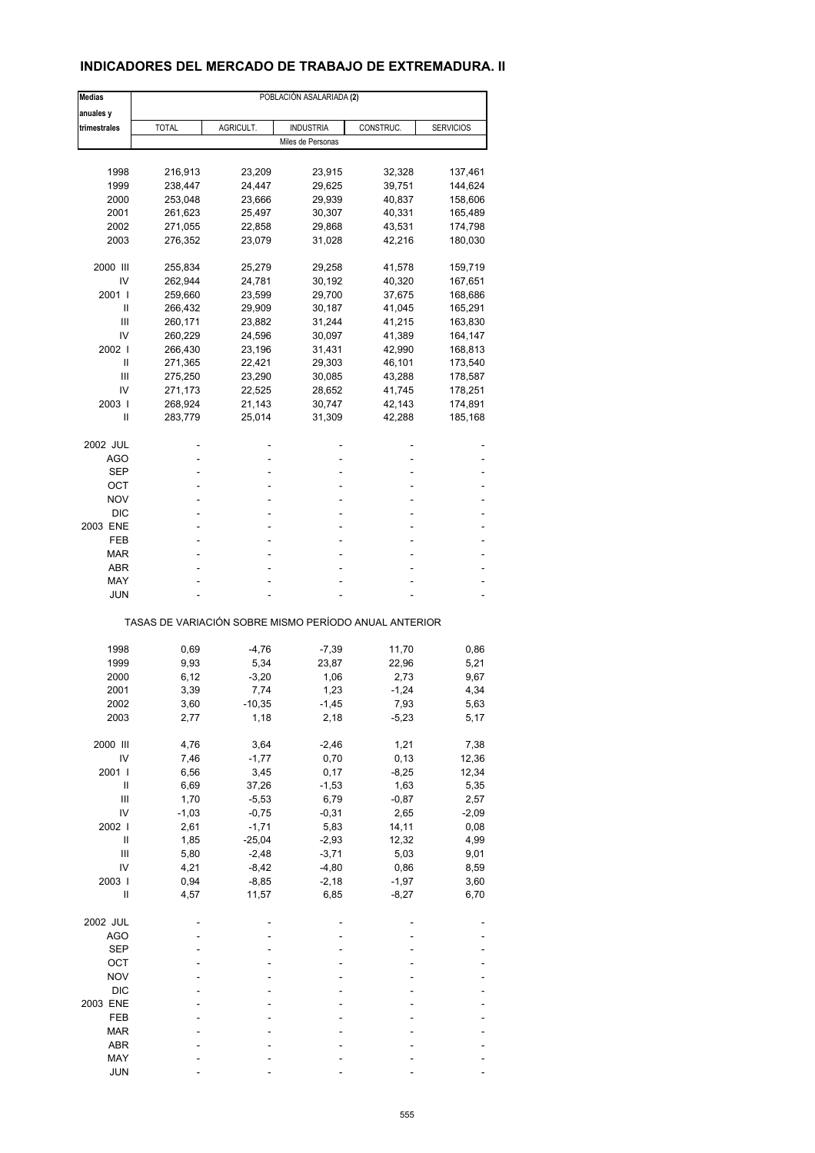### **INDICADORES DEL MERCADO DE TRABAJO DE EXTREMADURA. II**

| <b>Medias</b> |              |           | POBLACIÓN ASALARIADA (2)                              |           |                  |
|---------------|--------------|-----------|-------------------------------------------------------|-----------|------------------|
| anuales y     |              |           |                                                       |           |                  |
| trimestrales  | <b>TOTAL</b> | AGRICULT. | <b>INDUSTRIA</b>                                      | CONSTRUC. | <b>SERVICIOS</b> |
|               |              |           | Miles de Personas                                     |           |                  |
|               |              |           |                                                       |           |                  |
| 1998          | 216,913      | 23,209    | 23,915                                                | 32,328    | 137,461          |
| 1999          | 238,447      | 24,447    | 29,625                                                | 39,751    | 144,624          |
| 2000          | 253,048      | 23,666    | 29,939                                                | 40,837    | 158,606          |
| 2001          | 261,623      | 25,497    | 30,307                                                | 40,331    | 165,489          |
| 2002          | 271,055      | 22,858    | 29,868                                                | 43,531    | 174,798          |
| 2003          | 276,352      | 23,079    | 31,028                                                | 42,216    | 180,030          |
| 2000 III      | 255,834      | 25,279    | 29,258                                                | 41,578    | 159,719          |
| IV            | 262,944      | 24,781    | 30,192                                                | 40,320    | 167,651          |
| 2001 l        | 259,660      | 23,599    | 29,700                                                | 37,675    | 168,686          |
| Ш             | 266,432      | 29,909    | 30,187                                                | 41,045    | 165,291          |
| Ш             | 260,171      | 23,882    | 31,244                                                | 41,215    | 163,830          |
| IV            | 260,229      | 24,596    | 30,097                                                | 41,389    | 164,147          |
| 2002 l        | 266,430      | 23,196    | 31,431                                                | 42,990    | 168,813          |
| Ш             |              |           |                                                       |           |                  |
|               | 271,365      | 22,421    | 29,303                                                | 46,101    | 173,540          |
| Ш             | 275,250      | 23,290    | 30,085                                                | 43,288    | 178,587          |
| IV            | 271,173      | 22,525    | 28,652                                                | 41,745    | 178,251          |
| 2003          | 268,924      | 21,143    | 30,747                                                | 42,143    | 174,891          |
| Ш             | 283,779      | 25,014    | 31,309                                                | 42,288    | 185,168          |
| 2002 JUL      |              |           |                                                       |           |                  |
| AGO           |              |           | ä,                                                    |           |                  |
| SEP           |              |           | ٠                                                     |           |                  |
| ОСТ           |              |           |                                                       |           |                  |
| NOV           |              |           |                                                       |           |                  |
| DIC           |              |           |                                                       |           |                  |
| 2003 ENE      |              |           | ÷                                                     |           |                  |
|               |              |           |                                                       |           |                  |
| FEB           |              |           | ä,                                                    |           |                  |
| <b>MAR</b>    |              |           |                                                       |           |                  |
| ABR           |              |           |                                                       |           |                  |
| MAY           |              |           | ۰                                                     |           |                  |
| <b>JUN</b>    |              |           |                                                       |           |                  |
|               |              |           | TASAS DE VARIACIÓN SOBRE MISMO PERÍODO ANUAL ANTERIOR |           |                  |
|               |              |           |                                                       |           |                  |
| 1998          | 0,69         | $-4,76$   | $-7,39$                                               | 11,70     | 0,86             |
| 1999          | 9,93         | 5,34      | 23,87                                                 | 22,96     | 5,21             |
| 2000          | 6,12         | $-3,20$   | 1,06                                                  | 2,73      | 9,67             |
| 2001          | 3,39         | 7,74      | 1,23                                                  | $-1,24$   | 4,34             |
| 2002          | 3,60         | -10,35    | -1,45                                                 | 7,93      | 5,63             |
| 2003          | 2,77         | 1,18      | 2,18                                                  | $-5,23$   | 5,17             |
| 2000 III      | 4,76         | 3,64      | $-2,46$                                               | 1,21      | 7,38             |
| IV            | 7,46         | $-1,77$   | 0,70                                                  | 0, 13     | 12,36            |
| 2001 l        | 6,56         | 3,45      | 0,17                                                  | $-8,25$   | 12,34            |
| Ш             | 6,69         | 37,26     | $-1,53$                                               | 1,63      | 5,35             |
| Ш             | 1,70         | $-5,53$   | 6,79                                                  | $-0,87$   | 2,57             |
| IV            | $-1,03$      | $-0,75$   | $-0,31$                                               | 2,65      |                  |
|               |              |           |                                                       |           | $-2,09$          |
| 2002 l        | 2,61         | $-1,71$   | 5,83                                                  | 14,11     | 0,08             |
| Ш             | 1,85         | $-25,04$  | $-2,93$                                               | 12,32     | 4,99             |
| Ш             | 5,80         | $-2,48$   | $-3,71$                                               | 5,03      | 9,01             |
| IV            | 4,21         | $-8,42$   | $-4,80$                                               | 0,86      | 8,59             |
| 2003          | 0,94         | $-8,85$   | $-2,18$                                               | $-1,97$   | 3,60             |
| $\sf II$      | 4,57         | 11,57     | 6,85                                                  | $-8,27$   | 6,70             |
| 2002 JUL      |              |           |                                                       |           |                  |
| <b>AGO</b>    |              |           |                                                       |           |                  |
| <b>SEP</b>    |              |           |                                                       |           |                  |
| OCT           |              |           |                                                       |           |                  |
| <b>NOV</b>    |              |           |                                                       |           |                  |
| $DIC$         |              |           |                                                       |           |                  |
|               |              |           |                                                       |           |                  |
| 2003 ENE      |              |           |                                                       |           |                  |
| FEB           |              |           |                                                       |           |                  |
| <b>MAR</b>    |              |           |                                                       |           |                  |
| ABR           |              |           |                                                       |           |                  |
| MAY           |              |           |                                                       |           |                  |
| <b>JUN</b>    |              |           |                                                       |           |                  |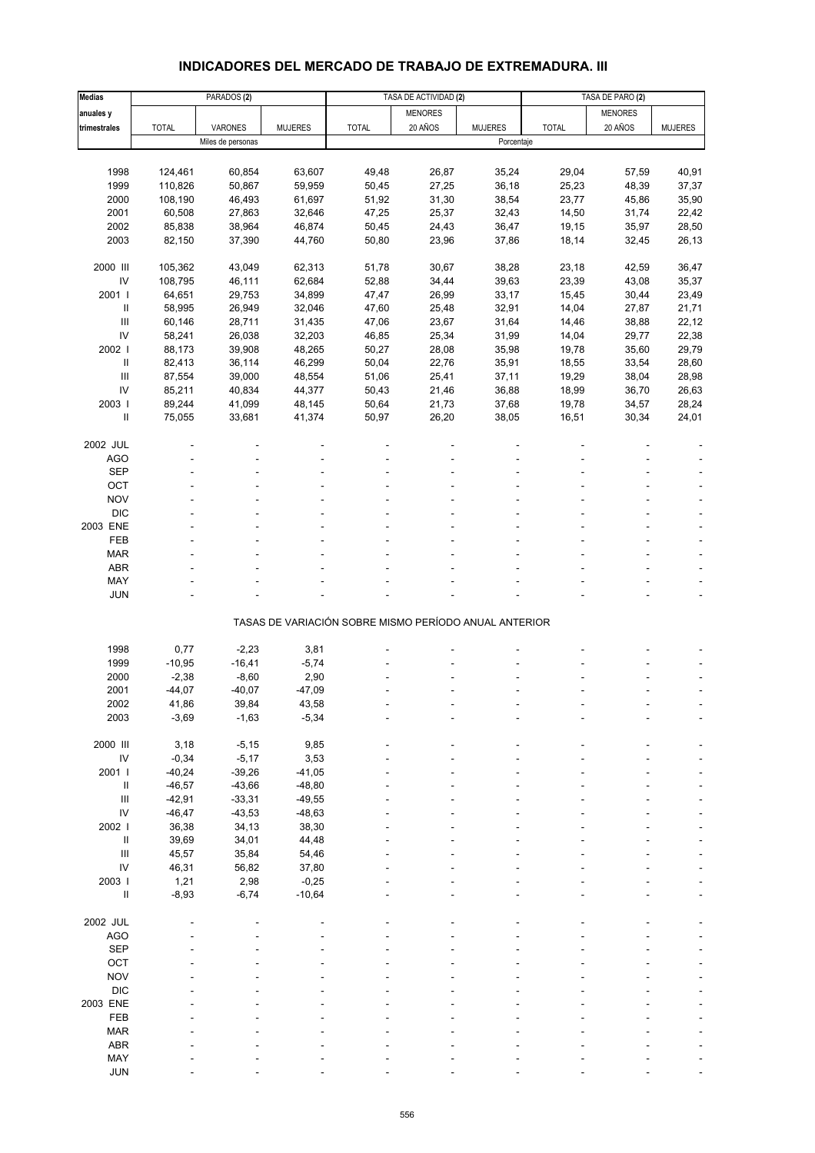# **INDICADORES DEL MERCADO DE TRABAJO DE EXTREMADURA. III**

| <b>Medias</b>                                                                                                                                                                                                                                                                                                                                                                                                                                                                                                                            |              | PARADOS <sub>(2)</sub> |                |                                                       | TASA DE ACTIVIDAD (2) |                |              | TASA DE PARO (2) |                |  |
|------------------------------------------------------------------------------------------------------------------------------------------------------------------------------------------------------------------------------------------------------------------------------------------------------------------------------------------------------------------------------------------------------------------------------------------------------------------------------------------------------------------------------------------|--------------|------------------------|----------------|-------------------------------------------------------|-----------------------|----------------|--------------|------------------|----------------|--|
| anuales y                                                                                                                                                                                                                                                                                                                                                                                                                                                                                                                                |              |                        |                |                                                       | <b>MENORES</b>        |                |              | <b>MENORES</b>   |                |  |
| trimestrales                                                                                                                                                                                                                                                                                                                                                                                                                                                                                                                             | <b>TOTAL</b> | VARONES                | <b>MUJERES</b> | <b>TOTAL</b>                                          | 20 AÑOS               | <b>MUJERES</b> | <b>TOTAL</b> | 20 AÑOS          | <b>MUJERES</b> |  |
|                                                                                                                                                                                                                                                                                                                                                                                                                                                                                                                                          |              | Miles de personas      |                |                                                       |                       | Porcentaje     |              |                  |                |  |
|                                                                                                                                                                                                                                                                                                                                                                                                                                                                                                                                          |              |                        |                |                                                       |                       |                |              |                  |                |  |
| 1998                                                                                                                                                                                                                                                                                                                                                                                                                                                                                                                                     |              | 60,854                 |                |                                                       |                       |                | 29,04        |                  | 40,91          |  |
|                                                                                                                                                                                                                                                                                                                                                                                                                                                                                                                                          | 124,461      |                        | 63,607         | 49,48                                                 | 26,87                 | 35,24          |              | 57,59            |                |  |
| 1999                                                                                                                                                                                                                                                                                                                                                                                                                                                                                                                                     | 110,826      | 50,867                 | 59,959         | 50,45                                                 | 27,25                 | 36,18          | 25,23        | 48,39            | 37,37          |  |
| 2000                                                                                                                                                                                                                                                                                                                                                                                                                                                                                                                                     | 108,190      | 46,493                 | 61,697         | 51,92                                                 | 31,30                 | 38,54          | 23,77        | 45,86            | 35,90          |  |
| 2001                                                                                                                                                                                                                                                                                                                                                                                                                                                                                                                                     | 60,508       | 27,863                 | 32,646         | 47,25                                                 | 25,37                 | 32,43          | 14,50        | 31,74            | 22,42          |  |
| 2002                                                                                                                                                                                                                                                                                                                                                                                                                                                                                                                                     | 85,838       | 38,964                 | 46,874         | 50,45                                                 | 24,43                 | 36,47          | 19,15        | 35,97            | 28,50          |  |
| 2003                                                                                                                                                                                                                                                                                                                                                                                                                                                                                                                                     | 82,150       | 37,390                 | 44,760         | 50,80                                                 | 23,96                 | 37,86          | 18,14        | 32,45            | 26,13          |  |
|                                                                                                                                                                                                                                                                                                                                                                                                                                                                                                                                          |              |                        |                |                                                       |                       |                |              |                  |                |  |
| 2000 III                                                                                                                                                                                                                                                                                                                                                                                                                                                                                                                                 | 105,362      | 43,049                 | 62,313         | 51,78                                                 | 30,67                 | 38,28          | 23,18        | 42,59            | 36,47          |  |
| IV                                                                                                                                                                                                                                                                                                                                                                                                                                                                                                                                       | 108,795      | 46,111                 | 62,684         | 52,88                                                 | 34,44                 | 39,63          | 23,39        | 43,08            | 35,37          |  |
| 2001 l                                                                                                                                                                                                                                                                                                                                                                                                                                                                                                                                   | 64,651       | 29,753                 | 34,899         | 47,47                                                 | 26,99                 | 33,17          | 15,45        | 30,44            | 23,49          |  |
| $\mathop{\mathrm{II}}% \nolimits_{\mathop{\mathrm{II}}% \nolimits} \mathop{\mathrm{II}}% \nolimits_{\mathop{\mathrm{II}}% \nolimits} \mathop{\mathrm{II}}% \nolimits_{\mathop{\mathrm{II}}% \nolimits} \mathop{\mathrm{II}}% \nolimits_{\mathop{\mathrm{II}}% \nolimits} \mathop{\mathrm{II}}% \nolimits_{\mathop{\mathrm{II}}% \nolimits} \mathop{\mathrm{II}}% \nolimits_{\mathop{\mathrm{II}}% \nolimits} \mathop{\mathrm{II}}% \nolimits_{\mathop{\mathrm{II}}% \nolimits} \mathop{\mathrm{II}}% \nolimits_{\mathop{\mathrm{II}}% \$ | 58,995       | 26,949                 | 32,046         | 47,60                                                 | 25,48                 | 32,91          | 14,04        | 27,87            | 21,71          |  |
| $\mathbf{III}$                                                                                                                                                                                                                                                                                                                                                                                                                                                                                                                           | 60,146       | 28,711                 | 31,435         | 47,06                                                 | 23,67                 | 31,64          | 14,46        | 38,88            | 22,12          |  |
| IV                                                                                                                                                                                                                                                                                                                                                                                                                                                                                                                                       | 58,241       | 26,038                 | 32,203         | 46,85                                                 | 25,34                 | 31,99          | 14,04        | 29,77            | 22,38          |  |
| 2002                                                                                                                                                                                                                                                                                                                                                                                                                                                                                                                                     | 88,173       | 39,908                 | 48,265         | 50,27                                                 | 28,08                 | 35,98          | 19,78        | 35,60            | 29,79          |  |
| $\sf II$                                                                                                                                                                                                                                                                                                                                                                                                                                                                                                                                 | 82,413       | 36,114                 | 46,299         | 50,04                                                 | 22,76                 | 35,91          | 18,55        | 33,54            | 28,60          |  |
| $\mathbf{III}$                                                                                                                                                                                                                                                                                                                                                                                                                                                                                                                           | 87,554       | 39,000                 | 48,554         | 51,06                                                 | 25,41                 | 37,11          | 19,29        | 38,04            | 28,98          |  |
| IV                                                                                                                                                                                                                                                                                                                                                                                                                                                                                                                                       | 85,211       | 40,834                 | 44,377         | 50,43                                                 | 21,46                 | 36,88          | 18,99        | 36,70            | 26,63          |  |
| 2003                                                                                                                                                                                                                                                                                                                                                                                                                                                                                                                                     | 89,244       | 41,099                 | 48,145         | 50,64                                                 | 21,73                 | 37,68          | 19,78        | 34,57            | 28,24          |  |
| Ш                                                                                                                                                                                                                                                                                                                                                                                                                                                                                                                                        | 75,055       | 33,681                 | 41,374         | 50,97                                                 | 26,20                 | 38,05          | 16,51        | 30,34            | 24,01          |  |
|                                                                                                                                                                                                                                                                                                                                                                                                                                                                                                                                          |              |                        |                |                                                       |                       |                |              |                  |                |  |
| 2002 JUL                                                                                                                                                                                                                                                                                                                                                                                                                                                                                                                                 |              |                        |                |                                                       |                       |                |              |                  |                |  |
| <b>AGO</b>                                                                                                                                                                                                                                                                                                                                                                                                                                                                                                                               |              |                        |                |                                                       |                       |                |              |                  |                |  |
| <b>SEP</b>                                                                                                                                                                                                                                                                                                                                                                                                                                                                                                                               |              |                        |                |                                                       |                       |                |              |                  |                |  |
| OCT                                                                                                                                                                                                                                                                                                                                                                                                                                                                                                                                      |              |                        |                |                                                       |                       |                |              |                  |                |  |
| <b>NOV</b>                                                                                                                                                                                                                                                                                                                                                                                                                                                                                                                               |              |                        |                |                                                       |                       |                |              |                  |                |  |
| <b>DIC</b>                                                                                                                                                                                                                                                                                                                                                                                                                                                                                                                               |              |                        |                |                                                       |                       |                |              |                  |                |  |
|                                                                                                                                                                                                                                                                                                                                                                                                                                                                                                                                          |              |                        |                |                                                       |                       |                |              |                  |                |  |
| 2003 ENE                                                                                                                                                                                                                                                                                                                                                                                                                                                                                                                                 |              |                        |                |                                                       |                       |                |              |                  |                |  |
| FEB                                                                                                                                                                                                                                                                                                                                                                                                                                                                                                                                      |              |                        |                |                                                       |                       |                |              |                  |                |  |
| <b>MAR</b>                                                                                                                                                                                                                                                                                                                                                                                                                                                                                                                               |              |                        |                |                                                       |                       |                |              |                  |                |  |
| <b>ABR</b>                                                                                                                                                                                                                                                                                                                                                                                                                                                                                                                               |              |                        |                |                                                       |                       |                |              |                  |                |  |
| MAY                                                                                                                                                                                                                                                                                                                                                                                                                                                                                                                                      |              |                        |                |                                                       |                       |                |              |                  |                |  |
| <b>JUN</b>                                                                                                                                                                                                                                                                                                                                                                                                                                                                                                                               |              |                        |                |                                                       |                       |                |              |                  |                |  |
|                                                                                                                                                                                                                                                                                                                                                                                                                                                                                                                                          |              |                        |                | TASAS DE VARIACIÓN SOBRE MISMO PERÍODO ANUAL ANTERIOR |                       |                |              |                  |                |  |
|                                                                                                                                                                                                                                                                                                                                                                                                                                                                                                                                          |              |                        |                |                                                       |                       |                |              |                  |                |  |
| 1998                                                                                                                                                                                                                                                                                                                                                                                                                                                                                                                                     | 0,77         | $-2,23$                | 3,81           |                                                       |                       |                |              |                  |                |  |
| 1999                                                                                                                                                                                                                                                                                                                                                                                                                                                                                                                                     | $-10,95$     | $-16,41$               | $-5,74$        |                                                       |                       |                |              |                  |                |  |
| 2000                                                                                                                                                                                                                                                                                                                                                                                                                                                                                                                                     | $-2,38$      | $-8,60$                | 2,90           |                                                       |                       |                |              |                  |                |  |
| 2001                                                                                                                                                                                                                                                                                                                                                                                                                                                                                                                                     | $-44,07$     | $-40,07$               | $-47,09$       |                                                       |                       |                |              |                  |                |  |
| 2002                                                                                                                                                                                                                                                                                                                                                                                                                                                                                                                                     | 41,86        | 39,84                  | 43,58          |                                                       |                       |                |              |                  |                |  |
| 2003                                                                                                                                                                                                                                                                                                                                                                                                                                                                                                                                     | $-3,69$      | $-1,63$                | $-5,34$        |                                                       |                       |                |              |                  |                |  |
|                                                                                                                                                                                                                                                                                                                                                                                                                                                                                                                                          |              |                        |                |                                                       |                       |                |              |                  |                |  |
| 2000 III                                                                                                                                                                                                                                                                                                                                                                                                                                                                                                                                 | 3,18         | $-5,15$                | 9,85           |                                                       |                       |                |              |                  |                |  |
| $\mathsf{IV}$                                                                                                                                                                                                                                                                                                                                                                                                                                                                                                                            | $-0,34$      | $-5,17$                | 3,53           |                                                       |                       |                |              |                  |                |  |
| 2001 l                                                                                                                                                                                                                                                                                                                                                                                                                                                                                                                                   | $-40,24$     | $-39,26$               | $-41,05$       |                                                       |                       |                |              |                  |                |  |
| $\, \parallel$                                                                                                                                                                                                                                                                                                                                                                                                                                                                                                                           | $-46,57$     | $-43,66$               | $-48,80$       |                                                       |                       |                |              |                  |                |  |
| $\mathbf{III}$                                                                                                                                                                                                                                                                                                                                                                                                                                                                                                                           | $-42,91$     | $-33,31$               | $-49,55$       |                                                       |                       |                |              |                  |                |  |
| IV                                                                                                                                                                                                                                                                                                                                                                                                                                                                                                                                       | $-46,47$     | $-43,53$               | $-48,63$       |                                                       |                       |                |              |                  |                |  |
| 2002 l                                                                                                                                                                                                                                                                                                                                                                                                                                                                                                                                   | 36,38        | 34,13                  | 38,30          |                                                       |                       |                |              |                  |                |  |
| $\,$ II                                                                                                                                                                                                                                                                                                                                                                                                                                                                                                                                  | 39,69        | 34,01                  | 44,48          |                                                       |                       |                |              |                  |                |  |
| $\mathbf{III}$                                                                                                                                                                                                                                                                                                                                                                                                                                                                                                                           | 45,57        | 35,84                  | 54,46          |                                                       |                       |                |              |                  |                |  |
| IV                                                                                                                                                                                                                                                                                                                                                                                                                                                                                                                                       | 46,31        | 56,82                  | 37,80          |                                                       |                       |                |              |                  |                |  |
| 2003                                                                                                                                                                                                                                                                                                                                                                                                                                                                                                                                     | 1,21         | 2,98                   | $-0,25$        |                                                       |                       |                |              |                  |                |  |
| $\sf II$                                                                                                                                                                                                                                                                                                                                                                                                                                                                                                                                 | $-8,93$      | $-6,74$                | $-10,64$       |                                                       |                       |                |              |                  |                |  |
|                                                                                                                                                                                                                                                                                                                                                                                                                                                                                                                                          |              |                        |                |                                                       |                       |                |              |                  |                |  |
| 2002 JUL                                                                                                                                                                                                                                                                                                                                                                                                                                                                                                                                 |              |                        |                |                                                       |                       |                |              |                  |                |  |
| <b>AGO</b>                                                                                                                                                                                                                                                                                                                                                                                                                                                                                                                               |              |                        |                |                                                       |                       |                |              |                  |                |  |
| <b>SEP</b>                                                                                                                                                                                                                                                                                                                                                                                                                                                                                                                               |              |                        |                |                                                       |                       |                |              |                  |                |  |
| OCT                                                                                                                                                                                                                                                                                                                                                                                                                                                                                                                                      |              |                        |                |                                                       |                       |                |              |                  |                |  |
| <b>NOV</b>                                                                                                                                                                                                                                                                                                                                                                                                                                                                                                                               |              |                        |                |                                                       |                       |                |              |                  |                |  |
| <b>DIC</b>                                                                                                                                                                                                                                                                                                                                                                                                                                                                                                                               |              |                        |                |                                                       |                       |                |              |                  |                |  |
| 2003 ENE                                                                                                                                                                                                                                                                                                                                                                                                                                                                                                                                 |              |                        |                |                                                       |                       |                |              |                  |                |  |
| FEB                                                                                                                                                                                                                                                                                                                                                                                                                                                                                                                                      |              |                        |                |                                                       |                       |                |              |                  |                |  |
|                                                                                                                                                                                                                                                                                                                                                                                                                                                                                                                                          |              |                        |                |                                                       |                       |                |              |                  |                |  |
| <b>MAR</b><br><b>ABR</b>                                                                                                                                                                                                                                                                                                                                                                                                                                                                                                                 |              |                        |                |                                                       |                       |                |              |                  |                |  |
|                                                                                                                                                                                                                                                                                                                                                                                                                                                                                                                                          |              |                        |                |                                                       |                       |                |              |                  |                |  |
| MAY                                                                                                                                                                                                                                                                                                                                                                                                                                                                                                                                      |              |                        |                |                                                       |                       |                |              |                  |                |  |
| <b>JUN</b>                                                                                                                                                                                                                                                                                                                                                                                                                                                                                                                               |              |                        |                |                                                       |                       |                |              |                  |                |  |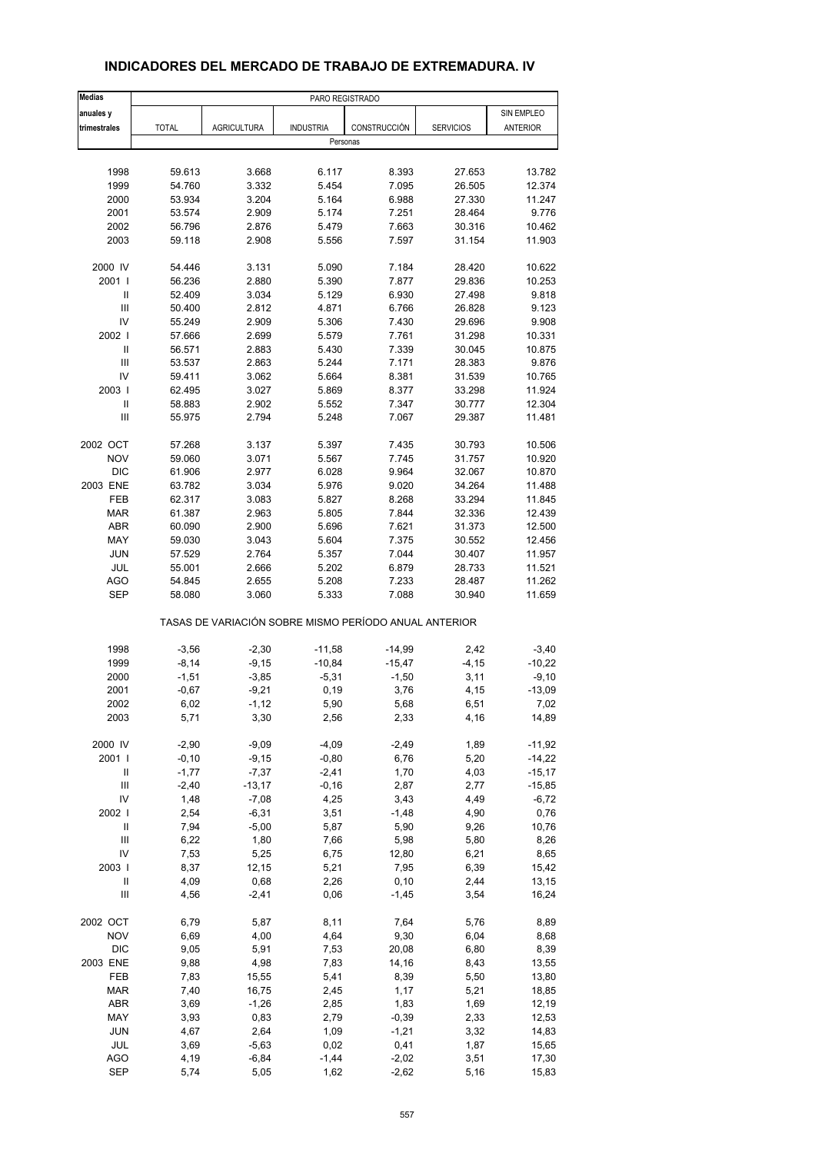| <b>Medias</b>                        | PARO REGISTRADO     |                                                       |                    |                  |                  |                      |
|--------------------------------------|---------------------|-------------------------------------------------------|--------------------|------------------|------------------|----------------------|
| anuales y                            |                     |                                                       |                    |                  |                  | SIN EMPLEO           |
| trimestrales                         | <b>TOTAL</b>        | <b>AGRICULTURA</b>                                    | <b>INDUSTRIA</b>   | CONSTRUCCIÓN     | <b>SERVICIOS</b> | <b>ANTERIOR</b>      |
|                                      |                     |                                                       | Personas           |                  |                  |                      |
|                                      |                     |                                                       |                    |                  |                  |                      |
| 1998                                 | 59.613              | 3.668                                                 | 6.117              | 8.393            | 27.653           | 13.782               |
| 1999                                 | 54.760              | 3.332                                                 | 5.454              | 7.095            | 26.505           | 12.374               |
| 2000                                 | 53.934              | 3.204                                                 | 5.164              | 6.988            | 27.330           | 11.247               |
| 2001                                 | 53.574              | 2.909                                                 | 5.174              | 7.251            | 28.464           | 9.776                |
| 2002                                 | 56.796              | 2.876                                                 | 5.479              | 7.663            | 30.316           | 10.462               |
| 2003                                 | 59.118              | 2.908                                                 | 5.556              | 7.597            | 31.154           | 11.903               |
| 2000 IV                              | 54.446              | 3.131                                                 | 5.090              | 7.184            | 28.420           | 10.622               |
| 2001 l                               | 56.236              | 2.880                                                 | 5.390              | 7.877            | 29.836           | 10.253               |
| Ш                                    | 52.409              | 3.034                                                 | 5.129              | 6.930            | 27.498           | 9.818                |
| $\ensuremath{\mathsf{III}}\xspace$   | 50.400              | 2.812                                                 | 4.871              | 6.766            | 26.828           | 9.123                |
| IV                                   | 55.249              | 2.909                                                 | 5.306              | 7.430            | 29.696           | 9.908                |
| 2002                                 | 57.666              | 2.699                                                 | 5.579              | 7.761            | 31.298           | 10.331               |
| $\mathbf{I}$                         | 56.571              | 2.883                                                 | 5.430              | 7.339            | 30.045           | 10.875               |
| Ш                                    | 53.537              | 2.863                                                 | 5.244              | 7.171            | 28.383           | 9.876                |
| IV                                   | 59.411              | 3.062                                                 | 5.664              | 8.381            | 31.539           | 10.765               |
| 2003                                 | 62.495              | 3.027                                                 | 5.869              | 8.377            | 33.298           | 11.924               |
| $\ensuremath{\mathsf{II}}$           | 58.883              | 2.902                                                 | 5.552              | 7.347            | 30.777           | 12.304               |
| Ш                                    | 55.975              | 2.794                                                 | 5.248              | 7.067            | 29.387           | 11.481               |
| 2002 OCT                             | 57.268              | 3.137                                                 | 5.397              | 7.435            | 30.793           | 10.506               |
| <b>NOV</b>                           | 59.060              | 3.071                                                 | 5.567              | 7.745            | 31.757           | 10.920               |
| <b>DIC</b>                           | 61.906              | 2.977                                                 | 6.028              | 9.964            | 32.067           | 10.870               |
| 2003 ENE                             | 63.782              | 3.034                                                 | 5.976              | 9.020            | 34.264           | 11.488               |
| FEB                                  | 62.317              | 3.083                                                 | 5.827              | 8.268            | 33.294           | 11.845               |
| <b>MAR</b>                           | 61.387              | 2.963                                                 | 5.805              | 7.844            | 32.336           | 12.439               |
| <b>ABR</b>                           | 60.090              | 2.900                                                 | 5.696              | 7.621            | 31.373           | 12.500               |
| MAY                                  | 59.030              | 3.043                                                 | 5.604              | 7.375            | 30.552           | 12.456               |
| <b>JUN</b>                           | 57.529              | 2.764                                                 | 5.357              | 7.044            | 30.407           | 11.957               |
| <b>JUL</b>                           | 55.001              | 2.666                                                 | 5.202              | 6.879            | 28.733           | 11.521               |
| <b>AGO</b>                           | 54.845              | 2.655                                                 | 5.208              | 7.233            | 28.487           | 11.262               |
| <b>SEP</b>                           | 58.080              | 3.060                                                 | 5.333              | 7.088            | 30.940           | 11.659               |
|                                      |                     | TASAS DE VARIACIÓN SOBRE MISMO PERÍODO ANUAL ANTERIOR |                    |                  |                  |                      |
| 1998                                 | $-3,56$             | $-2,30$                                               | $-11,58$           | $-14,99$         | 2,42             | $-3,40$              |
| 1999                                 | $-8,14$             | $-9,15$                                               | $-10,84$           | $-15,47$         | $-4, 15$         | $-10,22$             |
| 2000                                 | $-1,51$             | $-3,85$                                               | $-5,31$            | $-1,50$          | 3,11             | $-9,10$              |
| 2001                                 | $-0,67$             | $-9,21$                                               | 0, 19              | 3,76             | 4,15             | $-13,09$             |
| 2002                                 | 6,02                | -1,12                                                 | 5,90               | 5,68             | 6,51             | 7,02                 |
| 2003                                 | 5,71                | 3,30                                                  | 2,56               | 2,33             | 4,16             | 14,89                |
|                                      |                     |                                                       |                    |                  |                  |                      |
| 2000 IV<br>2001 l                    | $-2,90$             | $-9,09$                                               | $-4,09$            | $-2,49$          | 1,89             | $-11,92$             |
| Ш                                    | $-0, 10$<br>$-1,77$ | $-9,15$<br>$-7,37$                                    | $-0,80$<br>$-2,41$ | 6,76<br>1,70     | 5,20<br>4,03     | $-14,22$<br>$-15,17$ |
| Ш                                    | $-2,40$             | $-13,17$                                              | $-0, 16$           | 2,87             | 2,77             | $-15,85$             |
| IV                                   | 1,48                | $-7,08$                                               | 4,25               | 3,43             | 4,49             |                      |
| 2002 l                               | 2,54                | $-6,31$                                               | 3,51               |                  | 4,90             | $-6,72$<br>0,76      |
| $\sf II$                             |                     |                                                       | 5,87               | $-1,48$<br>5,90  | 9,26             |                      |
| $\mathsf{III}$                       | 7,94                | $-5,00$                                               |                    |                  |                  | 10,76                |
| IV                                   | 6,22                | 1,80                                                  | 7,66               | 5,98             | 5,80             | 8,26                 |
|                                      | 7,53                | 5,25                                                  | 6,75               | 12,80            | 6,21             | 8,65                 |
| 2003  <br>$\ensuremath{\mathsf{II}}$ | 8,37                | 12,15                                                 | 5,21               | 7,95             | 6,39             | 15,42                |
| Ш                                    | 4,09<br>4,56        | 0,68<br>$-2,41$                                       | 2,26<br>0,06       | 0, 10<br>$-1,45$ | 2,44<br>3,54     | 13,15<br>16,24       |
|                                      |                     |                                                       |                    |                  |                  |                      |
| 2002 OCT                             | 6,79                | 5,87                                                  | 8,11               | 7,64             | 5,76             | 8,89                 |
| <b>NOV</b>                           | 6,69                | 4,00                                                  | 4,64               | 9,30             | 6,04             | 8,68                 |
| <b>DIC</b>                           | 9,05                | 5,91                                                  | 7,53               | 20,08            | 6,80             | 8,39                 |
| 2003 ENE                             | 9,88                | 4,98                                                  | 7,83               | 14,16            | 8,43             | 13,55                |
| FEB                                  | 7,83                | 15,55                                                 | 5,41               | 8,39             | 5,50             | 13,80                |
| <b>MAR</b>                           | 7,40                | 16,75                                                 | 2,45               | 1,17             | 5,21             | 18,85                |
| ABR                                  | 3,69                | $-1,26$                                               | 2,85               | 1,83             | 1,69             | 12,19                |
| MAY                                  | 3,93                | 0,83                                                  | 2,79               | $-0,39$          | 2,33             | 12,53                |
| <b>JUN</b>                           | 4,67                | 2,64                                                  | 1,09               | $-1,21$          | 3,32             | 14,83                |
| JUL                                  | 3,69                | $-5,63$                                               | 0,02               | 0,41             | 1,87             | 15,65                |
| <b>AGO</b>                           | 4,19                | $-6,84$                                               | $-1,44$            | $-2,02$          | 3,51             | 17,30                |
| <b>SEP</b>                           | 5,74                | 5,05                                                  | 1,62               | $-2,62$          | 5,16             | 15,83                |

#### **INDICADORES DEL MERCADO DE TRABAJO DE EXTREMADURA. IV**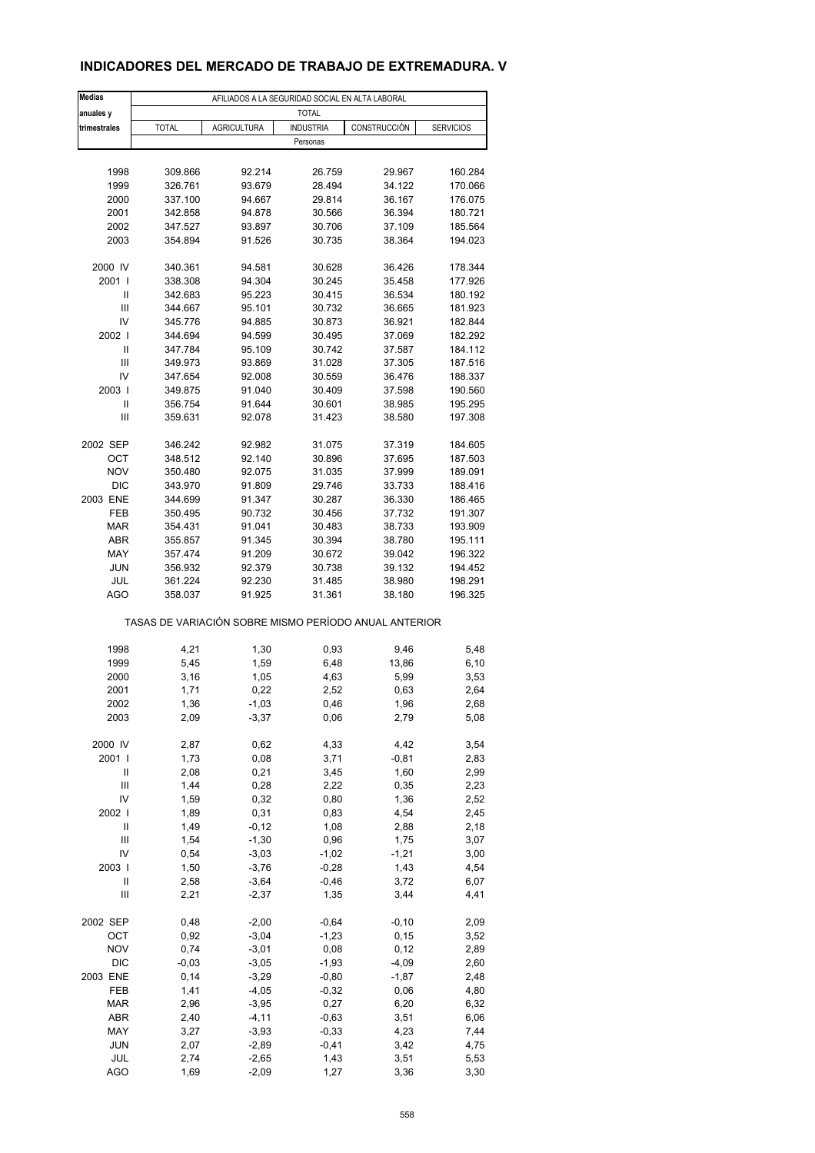### **INDICADORES DEL MERCADO DE TRABAJO DE EXTREMADURA. V**

| <b>Medias</b>                      |                                                       |                    | AFILIADOS A LA SEGURIDAD SOCIAL EN ALTA LABORAL |               |                  |  |  |  |  |
|------------------------------------|-------------------------------------------------------|--------------------|-------------------------------------------------|---------------|------------------|--|--|--|--|
| anuales y                          | <b>TOTAL</b>                                          |                    |                                                 |               |                  |  |  |  |  |
| trimestrales                       | <b>TOTAL</b>                                          | <b>AGRICULTURA</b> | <b>INDUSTRIA</b>                                | CONSTRUCCIÓN  | <b>SERVICIOS</b> |  |  |  |  |
|                                    |                                                       |                    | Personas                                        |               |                  |  |  |  |  |
|                                    |                                                       |                    |                                                 |               |                  |  |  |  |  |
| 1998                               | 309.866                                               | 92.214             | 26.759                                          | 29.967        | 160.284          |  |  |  |  |
| 1999                               | 326.761                                               | 93.679             | 28.494                                          | 34.122        | 170.066          |  |  |  |  |
| 2000                               | 337.100                                               | 94.667             | 29.814                                          | 36.167        | 176.075          |  |  |  |  |
| 2001                               | 342.858                                               | 94.878             | 30.566                                          | 36.394        | 180.721          |  |  |  |  |
| 2002                               | 347.527                                               | 93.897             | 30.706                                          | 37.109        | 185.564          |  |  |  |  |
| 2003                               | 354.894                                               | 91.526             | 30.735                                          | 38.364        | 194.023          |  |  |  |  |
| 2000 IV                            | 340.361                                               | 94.581             | 30.628                                          | 36.426        | 178.344          |  |  |  |  |
| 2001                               | 338.308                                               | 94.304             | 30.245                                          | 35.458        | 177.926          |  |  |  |  |
| Ш                                  | 342.683                                               | 95.223             | 30.415                                          | 36.534        | 180.192          |  |  |  |  |
| Ш                                  | 344.667                                               | 95.101             | 30.732                                          | 36.665        | 181.923          |  |  |  |  |
| IV                                 | 345.776                                               | 94.885             | 30.873                                          | 36.921        | 182.844          |  |  |  |  |
| 2002                               | 344.694                                               | 94.599             | 30.495                                          | 37.069        | 182.292          |  |  |  |  |
| Ш                                  | 347.784                                               | 95.109             | 30.742                                          | 37.587        | 184.112          |  |  |  |  |
| $\mathsf{III}$                     | 349.973                                               | 93.869             | 31.028                                          | 37.305        | 187.516          |  |  |  |  |
| IV                                 | 347.654                                               | 92.008             | 30.559                                          | 36.476        | 188.337          |  |  |  |  |
| 2003                               | 349.875                                               | 91.040             | 30.409                                          | 37.598        | 190.560          |  |  |  |  |
| Ш                                  | 356.754                                               | 91.644             | 30.601                                          | 38.985        | 195.295          |  |  |  |  |
| Ш                                  | 359.631                                               | 92.078             | 31.423                                          | 38.580        | 197.308          |  |  |  |  |
|                                    |                                                       |                    |                                                 |               |                  |  |  |  |  |
| 2002 SEP                           | 346.242                                               | 92.982             | 31.075                                          | 37.319        | 184.605          |  |  |  |  |
| ОСТ                                | 348.512                                               | 92.140             | 30.896                                          | 37.695        | 187.503          |  |  |  |  |
| <b>NOV</b>                         | 350.480                                               | 92.075             | 31.035                                          | 37.999        | 189.091          |  |  |  |  |
| <b>DIC</b>                         | 343.970                                               | 91.809             | 29.746                                          | 33.733        | 188.416          |  |  |  |  |
| 2003 ENE                           | 344.699                                               | 91.347             | 30.287                                          | 36.330        | 186.465          |  |  |  |  |
| FEB                                | 350.495                                               | 90.732             | 30.456                                          | 37.732        | 191.307          |  |  |  |  |
| <b>MAR</b>                         | 354.431                                               | 91.041             | 30.483                                          | 38.733        | 193.909          |  |  |  |  |
| <b>ABR</b>                         | 355.857                                               | 91.345             | 30.394                                          | 38.780        | 195.111          |  |  |  |  |
| MAY                                | 357.474                                               | 91.209             | 30.672                                          | 39.042        | 196.322          |  |  |  |  |
| <b>JUN</b>                         | 356.932                                               | 92.379             | 30.738                                          | 39.132        | 194.452          |  |  |  |  |
| JUL                                | 361.224                                               | 92.230             | 31.485                                          | 38.980        | 198.291          |  |  |  |  |
| <b>AGO</b>                         | 358.037                                               | 91.925             | 31.361                                          | 38.180        | 196.325          |  |  |  |  |
|                                    | TASAS DE VARIACIÓN SOBRE MISMO PERÍODO ANUAL ANTERIOR |                    |                                                 |               |                  |  |  |  |  |
|                                    |                                                       |                    |                                                 |               |                  |  |  |  |  |
| 1998<br>1999                       | 4,21<br>5,45                                          | 1,30<br>1,59       | 0,93<br>6,48                                    | 9,46<br>13,86 | 5,48<br>6, 10    |  |  |  |  |
| 2000                               | 3,16                                                  | 1,05               | 4,63                                            | 5,99          | 3,53             |  |  |  |  |
| 2001                               | 1,71                                                  | 0,22               | 2,52                                            | 0,63          | 2,64             |  |  |  |  |
| 2002                               | 1,36                                                  | $-1,03$            | 0,46                                            | 1,96          | 2,68             |  |  |  |  |
| 2003                               | 2,09                                                  | $-3,37$            | 0,06                                            | 2,79          | 5,08             |  |  |  |  |
|                                    |                                                       |                    |                                                 |               |                  |  |  |  |  |
| 2000 IV                            | 2,87                                                  | 0,62               | 4,33                                            | 4,42          | 3,54             |  |  |  |  |
| 2001 l                             | 1,73                                                  | 0,08               | 3,71                                            | $-0,81$       | 2,83             |  |  |  |  |
| Ш                                  | 2,08                                                  | 0,21               | 3,45                                            | 1,60          | 2,99             |  |  |  |  |
| Ш                                  | 1,44                                                  | 0,28               | 2,22                                            | 0,35          | 2,23             |  |  |  |  |
| IV                                 | 1,59                                                  | 0,32               | 0,80                                            | 1,36          | 2,52             |  |  |  |  |
| 2002                               | 1,89                                                  | 0,31               | 0,83                                            | 4,54          | 2,45             |  |  |  |  |
| Ш                                  | 1,49                                                  | $-0, 12$           | 1,08                                            | 2,88          | 2,18             |  |  |  |  |
| Ш                                  | 1,54                                                  | $-1,30$            | 0,96                                            | 1,75          | 3,07             |  |  |  |  |
| IV                                 | 0,54                                                  | $-3,03$            | $-1,02$                                         | $-1,21$       | 3,00             |  |  |  |  |
| 2003                               | 1,50                                                  | $-3,76$            | $-0,28$                                         | 1,43          | 4,54             |  |  |  |  |
| Ш                                  | 2,58                                                  | $-3,64$            | $-0,46$                                         | 3,72          | 6,07             |  |  |  |  |
| $\ensuremath{\mathsf{III}}\xspace$ | 2,21                                                  | $-2,37$            | 1,35                                            | 3,44          | 4,41             |  |  |  |  |
| 2002 SEP                           | 0,48                                                  | $-2,00$            | $-0,64$                                         | $-0, 10$      | 2,09             |  |  |  |  |
| OCT                                | 0,92                                                  | $-3,04$            | $-1,23$                                         | 0, 15         | 3,52             |  |  |  |  |
| <b>NOV</b>                         | 0,74                                                  | $-3,01$            | 0,08                                            | 0,12          | 2,89             |  |  |  |  |
| <b>DIC</b>                         | $-0,03$                                               | $-3,05$            | $-1,93$                                         | $-4,09$       | 2,60             |  |  |  |  |
| 2003 ENE                           | 0,14                                                  | $-3,29$            | $-0,80$                                         | $-1,87$       | 2,48             |  |  |  |  |
| FEB                                | 1,41                                                  | $-4,05$            | $-0,32$                                         | 0,06          | 4,80             |  |  |  |  |
| <b>MAR</b>                         | 2,96                                                  | $-3,95$            | 0,27                                            | 6,20          | 6,32             |  |  |  |  |
| ABR                                | 2,40                                                  | $-4, 11$           | $-0,63$                                         | 3,51          | 6,06             |  |  |  |  |
| MAY                                | 3,27                                                  | $-3,93$            | $-0,33$                                         | 4,23          | 7,44             |  |  |  |  |
| <b>JUN</b>                         | 2,07                                                  | $-2,89$            | $-0,41$                                         | 3,42          | 4,75             |  |  |  |  |
| JUL                                | 2,74                                                  | $-2,65$            | 1,43                                            | 3,51          | 5,53             |  |  |  |  |
| <b>AGO</b>                         | 1,69                                                  | $-2,09$            | 1,27                                            | 3,36          | 3,30             |  |  |  |  |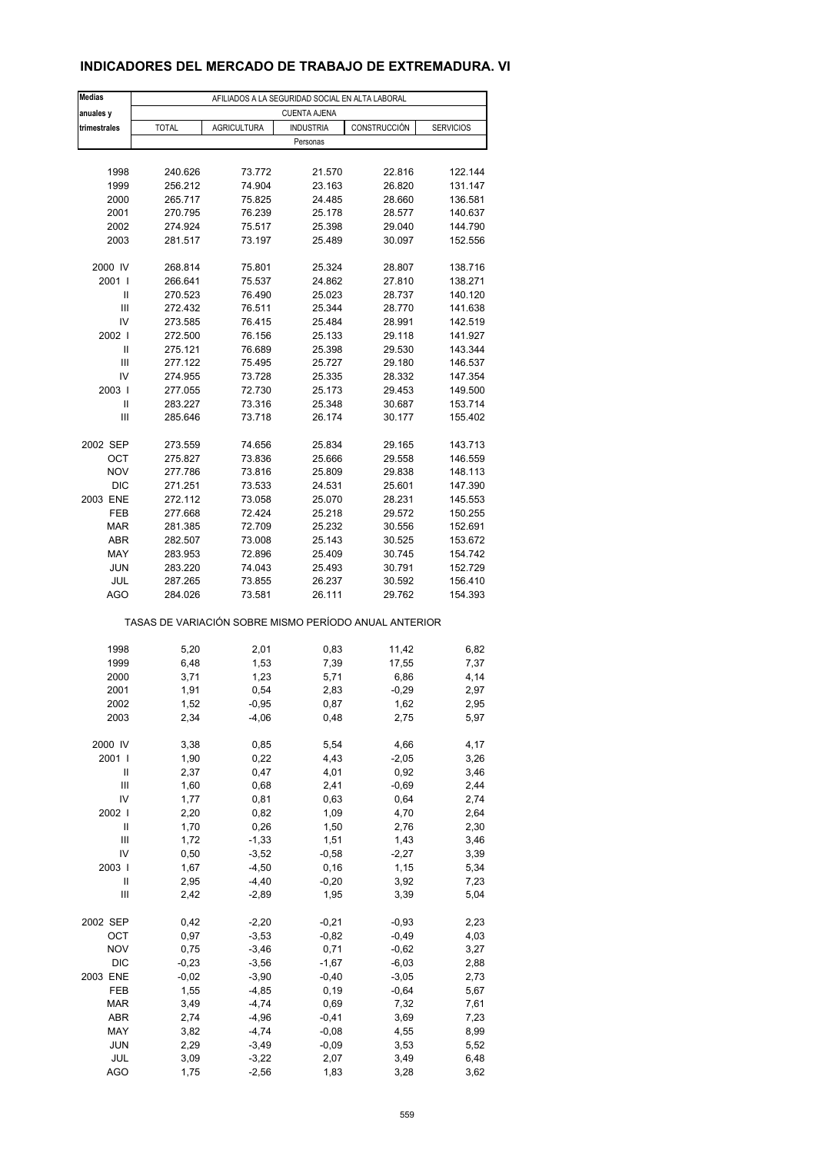#### **INDICADORES DEL MERCADO DE TRABAJO DE EXTREMADURA. VI**

| <b>Medias</b>     | AFILIADOS A LA SEGURIDAD SOCIAL EN ALTA LABORAL       |                    |                     |                  |                    |  |  |  |  |
|-------------------|-------------------------------------------------------|--------------------|---------------------|------------------|--------------------|--|--|--|--|
| anuales y         |                                                       |                    | <b>CUENTA AJENA</b> |                  |                    |  |  |  |  |
| trimestrales      | <b>TOTAL</b>                                          | <b>AGRICULTURA</b> | <b>INDUSTRIA</b>    | CONSTRUCCIÓN     | <b>SERVICIOS</b>   |  |  |  |  |
|                   |                                                       |                    | Personas            |                  |                    |  |  |  |  |
|                   |                                                       |                    |                     |                  |                    |  |  |  |  |
| 1998              | 240.626                                               | 73.772             | 21.570              | 22.816           | 122.144            |  |  |  |  |
| 1999              | 256.212                                               | 74.904             | 23.163              | 26.820           | 131.147            |  |  |  |  |
| 2000              | 265.717                                               | 75.825             | 24.485              | 28.660           | 136.581            |  |  |  |  |
| 2001              | 270.795                                               | 76.239             | 25.178              | 28.577           | 140.637            |  |  |  |  |
| 2002              | 274.924                                               | 75.517             | 25.398              | 29.040           | 144.790            |  |  |  |  |
| 2003              | 281.517                                               | 73.197             | 25.489              | 30.097           | 152.556            |  |  |  |  |
|                   |                                                       |                    |                     |                  |                    |  |  |  |  |
| 2000 IV           | 268.814                                               | 75.801             | 25.324              | 28.807           | 138.716            |  |  |  |  |
| 2001              | 266.641                                               | 75.537             | 24.862              | 27.810           | 138.271            |  |  |  |  |
| Ш                 | 270.523                                               | 76.490             | 25.023              | 28.737           | 140.120            |  |  |  |  |
| Ш                 | 272.432                                               | 76.511             | 25.344              | 28.770           | 141.638            |  |  |  |  |
| IV                | 273.585                                               | 76.415             | 25.484              | 28.991           | 142.519            |  |  |  |  |
| 2002              | 272.500                                               | 76.156             | 25.133              | 29.118           | 141.927            |  |  |  |  |
| Ш                 | 275.121                                               | 76.689             | 25.398              | 29.530           | 143.344            |  |  |  |  |
| Ш                 | 277.122                                               | 75.495             | 25.727              | 29.180           | 146.537            |  |  |  |  |
| IV                | 274.955                                               | 73.728             | 25.335              | 28.332           | 147.354            |  |  |  |  |
| 2003              | 277.055                                               | 72.730             | 25.173              | 29.453           | 149.500            |  |  |  |  |
| Ш                 | 283.227                                               | 73.316             | 25.348              | 30.687           | 153.714            |  |  |  |  |
| Ш                 | 285.646                                               | 73.718             | 26.174              | 30.177           | 155.402            |  |  |  |  |
|                   |                                                       |                    |                     |                  |                    |  |  |  |  |
| 2002 SEP          | 273.559                                               | 74.656<br>73.836   | 25.834<br>25.666    | 29.165<br>29.558 | 143.713            |  |  |  |  |
| ОСТ               | 275.827                                               |                    |                     |                  | 146.559            |  |  |  |  |
| <b>NOV</b>        | 277.786                                               | 73.816             | 25.809              | 29.838           | 148.113            |  |  |  |  |
| <b>DIC</b>        | 271.251                                               | 73.533             | 24.531              | 25.601           | 147.390            |  |  |  |  |
| 2003 ENE          | 272.112                                               | 73.058             | 25.070              | 28.231           | 145.553            |  |  |  |  |
| FEB               | 277.668                                               | 72.424             | 25.218              | 29.572           | 150.255            |  |  |  |  |
| <b>MAR</b>        | 281.385                                               | 72.709             | 25.232              | 30.556           | 152.691            |  |  |  |  |
| <b>ABR</b>        | 282.507                                               | 73.008             | 25.143              | 30.525           | 153.672            |  |  |  |  |
| MAY               | 283.953                                               | 72.896             | 25.409              | 30.745           | 154.742            |  |  |  |  |
| <b>JUN</b>        | 283.220                                               | 74.043             | 25.493              | 30.791           | 152.729            |  |  |  |  |
| JUL<br><b>AGO</b> | 287.265<br>284.026                                    | 73.855<br>73.581   | 26.237<br>26.111    | 30.592<br>29.762 | 156.410<br>154.393 |  |  |  |  |
|                   |                                                       |                    |                     |                  |                    |  |  |  |  |
|                   | TASAS DE VARIACIÓN SOBRE MISMO PERÍODO ANUAL ANTERIOR |                    |                     |                  |                    |  |  |  |  |
|                   |                                                       |                    |                     |                  |                    |  |  |  |  |
| 1998              | 5,20                                                  | 2,01               | 0,83                | 11,42            | 6,82               |  |  |  |  |
| 1999              | 6,48                                                  | 1,53               | 7,39                | 17,55            | 7,37               |  |  |  |  |
| 2000              | 3,71                                                  | 1,23               | 5,71                | 6,86             | 4,14               |  |  |  |  |
| 2001              | 1,91                                                  | 0,54               | 2,83                | $-0,29$          | 2,97               |  |  |  |  |
| 2002              | 1,52                                                  | -0,95              | 0,87                | 1,62             | 2,95               |  |  |  |  |
| 2003              | 2,34                                                  | $-4,06$            | 0,48                | 2,75             | 5,97               |  |  |  |  |
| 2000 IV           | 3,38                                                  | 0,85               | 5,54                | 4,66             | 4,17               |  |  |  |  |
| 2001 l            | 1,90                                                  | 0,22               | 4,43                | $-2,05$          | 3,26               |  |  |  |  |
| Ш                 | 2,37                                                  | 0,47               | 4,01                | 0,92             | 3,46               |  |  |  |  |
| Ш                 | 1,60                                                  | 0,68               | 2,41                | $-0,69$          | 2,44               |  |  |  |  |
| IV                | 1,77                                                  | 0,81               | 0,63                | 0,64             | 2,74               |  |  |  |  |
| 2002              | 2,20                                                  | 0,82               | 1,09                | 4,70             | 2,64               |  |  |  |  |
| Ш                 | 1,70                                                  | 0,26               | 1,50                | 2,76             | 2,30               |  |  |  |  |
| Ш                 | 1,72                                                  | $-1,33$            | 1,51                | 1,43             | 3,46               |  |  |  |  |
| IV                | 0,50                                                  | $-3,52$            | $-0,58$             | $-2,27$          | 3,39               |  |  |  |  |
| 2003              | 1,67                                                  | $-4,50$            | 0, 16               | 1,15             | 5,34               |  |  |  |  |
| Ш                 | 2,95                                                  | $-4,40$            | $-0,20$             | 3,92             | 7,23               |  |  |  |  |
| $\mathsf{III}$    | 2,42                                                  | $-2,89$            | 1,95                | 3,39             | 5,04               |  |  |  |  |
|                   |                                                       |                    |                     |                  |                    |  |  |  |  |
| 2002 SEP          | 0,42                                                  | $-2,20$            | $-0,21$             | $-0,93$          | 2,23               |  |  |  |  |
| OCT               | 0,97                                                  | $-3,53$            | $-0,82$             | $-0,49$          | 4,03               |  |  |  |  |
| <b>NOV</b>        | 0,75                                                  | $-3,46$            | 0,71                | $-0,62$          | 3,27               |  |  |  |  |
| <b>DIC</b>        | $-0,23$                                               | $-3,56$            | $-1,67$             | $-6,03$          | 2,88               |  |  |  |  |
| 2003 ENE          | $-0,02$                                               | $-3,90$            | $-0,40$             | $-3,05$          | 2,73               |  |  |  |  |
| FEB               | 1,55                                                  | $-4,85$            | 0, 19               | $-0,64$          | 5,67               |  |  |  |  |
| <b>MAR</b>        | 3,49                                                  | $-4,74$            | 0,69                | 7,32             | 7,61               |  |  |  |  |
| ABR               | 2,74                                                  | $-4,96$            | $-0,41$             | 3,69             | 7,23               |  |  |  |  |
| MAY               | 3,82                                                  | $-4,74$            | $-0,08$             | 4,55             | 8,99               |  |  |  |  |
| <b>JUN</b>        | 2,29                                                  | $-3,49$            | $-0,09$             | 3,53             | 5,52               |  |  |  |  |
| JUL               | 3,09                                                  | $-3,22$            | 2,07                | 3,49             | 6,48               |  |  |  |  |
| <b>AGO</b>        | 1,75                                                  | $-2,56$            | 1,83                | 3,28             | 3,62               |  |  |  |  |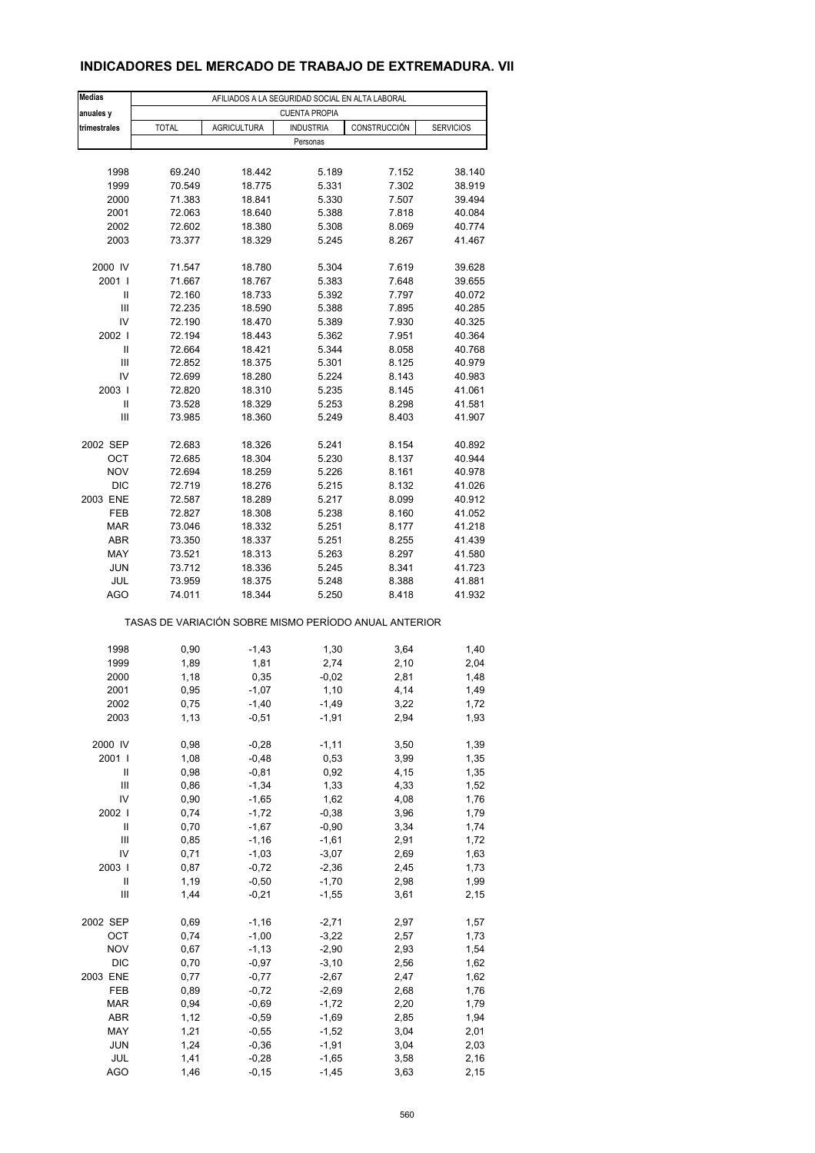### **INDICADORES DEL MERCADO DE TRABAJO DE EXTREMADURA. VII**

| <b>Medias</b>              | AFILIADOS A LA SEGURIDAD SOCIAL EN ALTA LABORAL |                    |                                                       |              |                  |  |  |  |  |
|----------------------------|-------------------------------------------------|--------------------|-------------------------------------------------------|--------------|------------------|--|--|--|--|
| anuales y                  |                                                 |                    | <b>CUENTA PROPIA</b>                                  |              |                  |  |  |  |  |
| trimestrales               | <b>TOTAL</b>                                    | <b>AGRICULTURA</b> | <b>INDUSTRIA</b>                                      | CONSTRUCCIÓN | <b>SERVICIOS</b> |  |  |  |  |
|                            |                                                 |                    | Personas                                              |              |                  |  |  |  |  |
|                            |                                                 |                    |                                                       |              |                  |  |  |  |  |
| 1998                       | 69.240                                          | 18.442             | 5.189                                                 | 7.152        | 38.140           |  |  |  |  |
| 1999                       | 70.549                                          | 18.775             | 5.331                                                 | 7.302        | 38.919           |  |  |  |  |
| 2000                       | 71.383                                          | 18.841             | 5.330                                                 | 7.507        | 39.494           |  |  |  |  |
| 2001                       | 72.063                                          | 18.640             | 5.388                                                 | 7.818        | 40.084           |  |  |  |  |
| 2002                       | 72.602                                          | 18.380             | 5.308                                                 | 8.069        | 40.774           |  |  |  |  |
| 2003                       | 73.377                                          | 18.329             | 5.245                                                 | 8.267        | 41.467           |  |  |  |  |
|                            |                                                 |                    |                                                       |              |                  |  |  |  |  |
| 2000 IV                    | 71.547                                          | 18.780             | 5.304                                                 | 7.619        | 39.628           |  |  |  |  |
| 2001 l                     | 71.667                                          | 18.767             | 5.383                                                 | 7.648        | 39.655           |  |  |  |  |
| Ш                          | 72.160                                          | 18.733             | 5.392                                                 | 7.797        | 40.072           |  |  |  |  |
| Ш                          | 72.235                                          | 18.590             | 5.388                                                 | 7.895        | 40.285           |  |  |  |  |
| IV                         | 72.190                                          | 18.470             | 5.389                                                 | 7.930        | 40.325           |  |  |  |  |
| 2002 l                     | 72.194                                          | 18.443             | 5.362                                                 | 7.951        | 40.364           |  |  |  |  |
| Ш                          | 72.664                                          | 18.421             | 5.344                                                 | 8.058        | 40.768           |  |  |  |  |
| Ш                          | 72.852                                          | 18.375             | 5.301                                                 | 8.125        | 40.979           |  |  |  |  |
| IV                         | 72.699                                          | 18.280             | 5.224                                                 | 8.143        | 40.983           |  |  |  |  |
| 2003                       | 72.820                                          | 18.310             | 5.235                                                 | 8.145        | 41.061           |  |  |  |  |
| Ш                          | 73.528                                          | 18.329             | 5.253                                                 | 8.298        | 41.581           |  |  |  |  |
| Ш                          | 73.985                                          | 18.360             | 5.249                                                 | 8.403        | 41.907           |  |  |  |  |
|                            |                                                 |                    |                                                       |              |                  |  |  |  |  |
| 2002 SEP                   | 72.683                                          | 18.326             | 5.241                                                 | 8.154        | 40.892           |  |  |  |  |
|                            |                                                 | 18.304             |                                                       |              |                  |  |  |  |  |
| ОСТ                        | 72.685                                          |                    | 5.230                                                 | 8.137        | 40.944           |  |  |  |  |
| <b>NOV</b>                 | 72.694                                          | 18.259             | 5.226                                                 | 8.161        | 40.978           |  |  |  |  |
| <b>DIC</b>                 | 72.719                                          | 18.276             | 5.215                                                 | 8.132        | 41.026           |  |  |  |  |
| 2003 ENE                   | 72.587                                          | 18.289             | 5.217                                                 | 8.099        | 40.912           |  |  |  |  |
| FEB                        | 72.827                                          | 18.308             | 5.238                                                 | 8.160        | 41.052           |  |  |  |  |
| <b>MAR</b>                 | 73.046                                          | 18.332             | 5.251                                                 | 8.177        | 41.218           |  |  |  |  |
| <b>ABR</b>                 | 73.350                                          | 18.337             | 5.251                                                 | 8.255        | 41.439           |  |  |  |  |
| MAY                        | 73.521                                          | 18.313             | 5.263                                                 | 8.297        | 41.580           |  |  |  |  |
| <b>JUN</b>                 | 73.712                                          | 18.336             | 5.245                                                 | 8.341        | 41.723           |  |  |  |  |
| JUL                        | 73.959                                          | 18.375             | 5.248                                                 | 8.388        | 41.881           |  |  |  |  |
| AGO                        | 74.011                                          | 18.344             | 5.250                                                 | 8.418        | 41.932           |  |  |  |  |
|                            |                                                 |                    | TASAS DE VARIACIÓN SOBRE MISMO PERÍODO ANUAL ANTERIOR |              |                  |  |  |  |  |
|                            |                                                 |                    |                                                       |              |                  |  |  |  |  |
| 1998                       | 0,90                                            | $-1,43$            | 1,30                                                  | 3,64         | 1,40             |  |  |  |  |
| 1999                       | 1,89                                            | 1,81               | 2,74                                                  | 2,10         | 2,04             |  |  |  |  |
| 2000                       | 1,18                                            | 0,35               | $-0,02$                                               | 2,81         | 1,48             |  |  |  |  |
| 2001                       | 0,95                                            | $-1,07$            | 1,10                                                  | 4,14         | 1,49             |  |  |  |  |
| 2002                       | 0,75                                            | $-1,40$            | -1,49                                                 | 3,22         | 1,72             |  |  |  |  |
| 2003                       | 1,13                                            | $-0,51$            | $-1,91$                                               | 2,94         | 1,93             |  |  |  |  |
| 2000 IV                    | 0,98                                            | $-0,28$            | $-1, 11$                                              | 3,50         | 1,39             |  |  |  |  |
| 2001 l                     | 1,08                                            | $-0,48$            | 0,53                                                  | 3,99         | 1,35             |  |  |  |  |
| Ш                          | 0,98                                            | $-0,81$            | 0,92                                                  | 4,15         | 1,35             |  |  |  |  |
| Ш                          | 0,86                                            | $-1,34$            | 1,33                                                  | 4,33         | 1,52             |  |  |  |  |
| IV                         | 0,90                                            | $-1,65$            | 1,62                                                  | 4,08         | 1,76             |  |  |  |  |
| 2002                       | 0,74                                            | $-1,72$            | $-0,38$                                               | 3,96         | 1,79             |  |  |  |  |
| $\ensuremath{\mathsf{II}}$ |                                                 | $-1,67$            |                                                       | 3,34         |                  |  |  |  |  |
| Ш                          | 0,70                                            |                    | $-0,90$                                               |              | 1,74             |  |  |  |  |
|                            | 0,85                                            | $-1, 16$           | $-1,61$                                               | 2,91         | 1,72             |  |  |  |  |
| IV                         | 0,71                                            | $-1,03$            | $-3,07$                                               | 2,69         | 1,63             |  |  |  |  |
| 2003                       | 0,87                                            | $-0,72$            | $-2,36$                                               | 2,45         | 1,73             |  |  |  |  |
| Ш                          | 1,19                                            | $-0,50$            | $-1,70$                                               | 2,98         | 1,99             |  |  |  |  |
| Ш                          | 1,44                                            | $-0,21$            | $-1,55$                                               | 3,61         | 2,15             |  |  |  |  |
| 2002 SEP                   | 0,69                                            | $-1,16$            | $-2,71$                                               | 2,97         | 1,57             |  |  |  |  |
| OCT                        | 0,74                                            | $-1,00$            | $-3,22$                                               | 2,57         | 1,73             |  |  |  |  |
| <b>NOV</b>                 | 0,67                                            | $-1, 13$           | $-2,90$                                               | 2,93         | 1,54             |  |  |  |  |
| DIC                        | 0,70                                            | $-0,97$            | $-3,10$                                               | 2,56         | 1,62             |  |  |  |  |
| 2003 ENE                   | 0,77                                            | $-0,77$            | $-2,67$                                               | 2,47         | 1,62             |  |  |  |  |
| FEB                        | 0,89                                            | $-0,72$            | $-2,69$                                               | 2,68         | 1,76             |  |  |  |  |
| <b>MAR</b>                 | 0,94                                            | $-0,69$            | $-1,72$                                               | 2,20         | 1,79             |  |  |  |  |
| ABR                        | 1,12                                            | $-0,59$            | $-1,69$                                               | 2,85         | 1,94             |  |  |  |  |
| MAY                        | 1,21                                            | $-0,55$            | $-1,52$                                               | 3,04         | 2,01             |  |  |  |  |
| <b>JUN</b>                 | 1,24                                            | $-0,36$            | $-1,91$                                               | 3,04         | 2,03             |  |  |  |  |
| JUL                        | 1,41                                            | $-0,28$            | $-1,65$                                               | 3,58         | 2,16             |  |  |  |  |
| AGO                        | 1,46                                            | $-0, 15$           | $-1,45$                                               | 3,63         | 2,15             |  |  |  |  |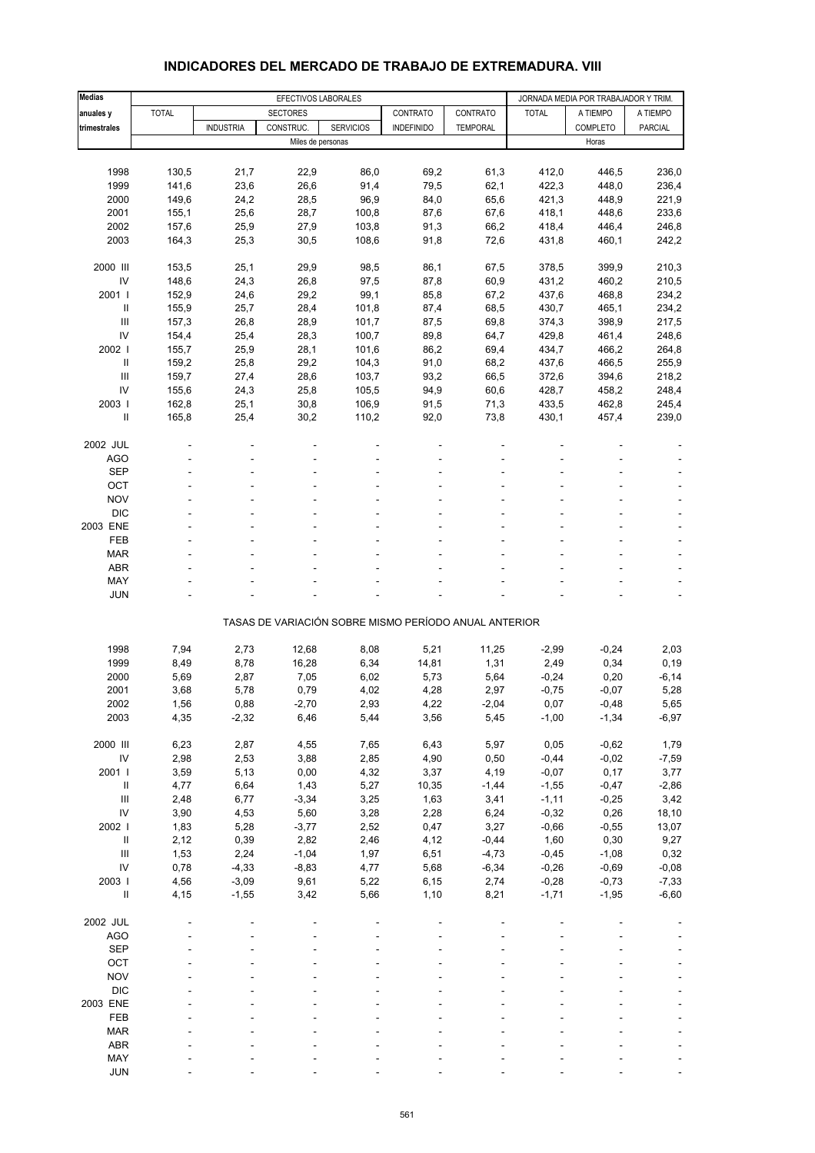| <b>Medias</b>                      |              |                  | EFECTIVOS LABORALES |                                                       |                   |                 | JORNADA MEDIA POR TRABAJADOR Y TRIM. |                    |                 |
|------------------------------------|--------------|------------------|---------------------|-------------------------------------------------------|-------------------|-----------------|--------------------------------------|--------------------|-----------------|
| anuales y                          | <b>TOTAL</b> |                  | <b>SECTORES</b>     |                                                       | CONTRATO          | CONTRATO        | <b>TOTAL</b>                         | A TIEMPO           | A TIEMPO        |
| trimestrales                       |              | <b>INDUSTRIA</b> | CONSTRUC.           | <b>SERVICIOS</b>                                      | <b>INDEFINIDO</b> | <b>TEMPORAL</b> |                                      | <b>COMPLETO</b>    | <b>PARCIAL</b>  |
|                                    |              |                  | Miles de personas   |                                                       |                   |                 |                                      | Horas              |                 |
|                                    |              |                  |                     |                                                       |                   |                 |                                      |                    |                 |
| 1998                               | 130,5        | 21,7             | 22,9                | 86,0                                                  | 69,2              | 61,3            | 412,0                                | 446,5              | 236,0           |
| 1999                               | 141,6        | 23,6             | 26,6                | 91,4                                                  | 79,5              | 62,1            | 422,3                                | 448,0              | 236,4           |
| 2000                               | 149,6        | 24,2             | 28,5                | 96,9                                                  | 84,0              | 65,6            | 421,3                                | 448,9              | 221,9           |
| 2001                               | 155,1        | 25,6             | 28,7                | 100,8                                                 | 87,6              | 67,6            | 418,1                                | 448,6              | 233,6           |
| 2002                               | 157,6        | 25,9             | 27,9                | 103,8                                                 | 91,3              | 66,2            | 418,4                                | 446,4              | 246,8           |
| 2003                               | 164,3        | 25,3             | 30,5                | 108,6                                                 | 91,8              | 72,6            | 431,8                                | 460,1              | 242,2           |
| 2000 III                           | 153,5        | 25,1             | 29,9                | 98,5                                                  | 86,1              | 67,5            | 378,5                                | 399,9              | 210,3           |
| $\mathsf{IV}$                      | 148,6        | 24,3             | 26,8                | 97,5                                                  | 87,8              | 60,9            | 431,2                                | 460,2              | 210,5           |
| 2001 l                             | 152,9        | 24,6             | 29,2                | 99,1                                                  | 85,8              | 67,2            | 437,6                                | 468,8              | 234,2           |
| $\ensuremath{\mathsf{II}}$         | 155,9        | 25,7             | 28,4                | 101,8                                                 | 87,4              | 68,5            | 430,7                                | 465,1              | 234,2           |
| $\ensuremath{\mathsf{III}}\xspace$ | 157,3        | 26,8             | 28,9                | 101,7                                                 | 87,5              | 69,8            | 374,3                                | 398,9              | 217,5           |
| IV                                 | 154,4        | 25,4             | 28,3                | 100,7                                                 | 89,8              | 64,7            | 429,8                                | 461,4              | 248,6           |
| 2002                               | 155,7        | 25,9             | 28,1                | 101,6                                                 | 86,2              | 69,4            | 434,7                                | 466,2              | 264,8           |
| Ш                                  | 159,2        | 25,8             | 29,2                | 104,3                                                 | 91,0              | 68,2            | 437,6                                | 466,5              | 255,9           |
| Ш                                  | 159,7        | 27,4             | 28,6                | 103,7                                                 | 93,2              | 66,5            | 372,6                                | 394,6              | 218,2           |
| IV                                 | 155,6        | 24,3             | 25,8                | 105,5                                                 | 94,9              | 60,6            | 428,7                                | 458,2              | 248,4           |
| 2003                               | 162,8        | 25,1             | 30,8                | 106,9                                                 | 91,5              | 71,3            | 433,5                                | 462,8              | 245,4           |
| Ш                                  | 165,8        | 25,4             | 30,2                | 110,2                                                 | 92,0              | 73,8            | 430,1                                | 457,4              | 239,0           |
|                                    |              |                  |                     |                                                       |                   |                 |                                      |                    |                 |
| 2002 JUL<br><b>AGO</b>             |              |                  |                     |                                                       |                   |                 |                                      |                    |                 |
| <b>SEP</b>                         |              |                  |                     |                                                       |                   |                 |                                      |                    |                 |
| OCT                                |              |                  |                     |                                                       |                   |                 |                                      |                    |                 |
| <b>NOV</b>                         |              |                  |                     |                                                       |                   |                 |                                      |                    |                 |
| <b>DIC</b>                         |              |                  |                     |                                                       |                   |                 |                                      |                    |                 |
| 2003 ENE                           |              |                  |                     |                                                       |                   |                 |                                      |                    |                 |
| FEB                                |              |                  |                     |                                                       |                   |                 |                                      |                    |                 |
| <b>MAR</b>                         |              |                  |                     |                                                       |                   |                 |                                      |                    |                 |
| <b>ABR</b>                         |              |                  |                     |                                                       |                   |                 |                                      |                    |                 |
| MAY                                |              |                  |                     |                                                       |                   |                 |                                      |                    |                 |
| <b>JUN</b>                         |              |                  |                     |                                                       |                   |                 |                                      |                    |                 |
|                                    |              |                  |                     | TASAS DE VARIACIÓN SOBRE MISMO PERÍODO ANUAL ANTERIOR |                   |                 |                                      |                    |                 |
|                                    |              |                  |                     |                                                       |                   |                 |                                      |                    |                 |
| 1998                               | 7,94         | 2,73             | 12,68               | 8,08                                                  | 5,21              | 11,25           | $-2,99$                              | $-0,24$            | 2,03            |
| 1999                               | 8,49         | 8,78             | 16,28               | 6,34                                                  | 14,81             | 1,31            | 2,49                                 | 0,34               | 0, 19           |
| 2000                               | 5,69         | 2,87             | 7,05                | 6,02                                                  | 5,73              | 5,64            | $-0,24$                              | 0,20               | $-6, 14$        |
| 2001                               | 3,68         | 5,78             | 0,79                | 4,02                                                  | 4,28              | 2,97            | $-0,75$                              | $-0,07$            | 5,28            |
| 2002                               | 1,56         | 0,88             | $-2,70$             | 2,93                                                  | 4,22              | -2,04           | 0,07                                 | $-0,48$            | 5,65            |
| 2003                               | 4,35         | $-2,32$          | 6,46                | 5,44                                                  | 3,56              | 5,45            | $-1,00$                              | $-1,34$            | $-6,97$         |
|                                    |              |                  |                     |                                                       |                   |                 |                                      |                    |                 |
| 2000 III<br>${\sf IV}$             | 6,23         | 2,87             | 4,55                | 7,65                                                  | 6,43              | 5,97            | 0,05                                 | $-0,62$<br>$-0,02$ | 1,79            |
| 2001                               | 2,98<br>3,59 | 2,53<br>5,13     | 3,88<br>0,00        | 2,85<br>4,32                                          | 4,90<br>3,37      | 0,50<br>4,19    | $-0,44$<br>$-0,07$                   | 0,17               | $-7,59$<br>3,77 |
| $\ensuremath{\mathsf{II}}$         | 4,77         | 6,64             | 1,43                | 5,27                                                  | 10,35             | $-1,44$         | $-1,55$                              | $-0,47$            | $-2,86$         |
| Ш                                  | 2,48         | 6,77             | $-3,34$             | 3,25                                                  | 1,63              | 3,41            | $-1,11$                              | $-0,25$            | 3,42            |
| ${\sf IV}$                         | 3,90         | 4,53             | 5,60                | 3,28                                                  | 2,28              | 6,24            | $-0,32$                              | 0,26               | 18,10           |
| 2002 l                             | 1,83         | 5,28             | $-3,77$             | 2,52                                                  | 0,47              | 3,27            | $-0,66$                              | $-0,55$            | 13,07           |
| $\ensuremath{\mathsf{II}}$         | 2,12         | 0,39             | 2,82                | 2,46                                                  | 4,12              | $-0,44$         | 1,60                                 | 0,30               | 9,27            |
| $\ensuremath{\mathsf{III}}\xspace$ | 1,53         | 2,24             | $-1,04$             | 1,97                                                  | 6,51              | $-4,73$         | $-0,45$                              | $-1,08$            | 0,32            |
| ${\sf IV}$                         | 0,78         | $-4,33$          | $-8,83$             | 4,77                                                  | 5,68              | $-6,34$         | $-0,26$                              | $-0,69$            | $-0,08$         |
| 2003                               | 4,56         | $-3,09$          | 9,61                | 5,22                                                  | 6, 15             | 2,74            | $-0,28$                              | $-0,73$            | $-7,33$         |
| $\rm{II}$                          | 4,15         | $-1,55$          | 3,42                | 5,66                                                  | 1,10              | 8,21            | $-1,71$                              | $-1,95$            | $-6,60$         |
|                                    |              |                  |                     |                                                       |                   |                 |                                      |                    |                 |
| 2002 JUL                           |              |                  |                     |                                                       |                   |                 |                                      |                    |                 |
| <b>AGO</b>                         |              |                  |                     |                                                       |                   |                 |                                      |                    |                 |
| <b>SEP</b><br>OCT                  |              |                  |                     |                                                       |                   |                 |                                      |                    |                 |
| <b>NOV</b>                         |              |                  |                     |                                                       |                   |                 |                                      |                    |                 |
| <b>DIC</b>                         |              |                  |                     |                                                       |                   |                 |                                      |                    |                 |
| 2003 ENE                           |              |                  |                     |                                                       |                   |                 |                                      |                    |                 |
| FEB                                |              |                  |                     |                                                       |                   |                 |                                      |                    |                 |
| <b>MAR</b>                         |              |                  |                     |                                                       |                   |                 |                                      |                    |                 |
| <b>ABR</b>                         |              |                  |                     |                                                       |                   |                 |                                      |                    |                 |
| MAY                                |              |                  |                     |                                                       |                   |                 |                                      |                    |                 |
| <b>JUN</b>                         |              |                  |                     |                                                       |                   |                 |                                      |                    |                 |

#### **INDICADORES DEL MERCADO DE TRABAJO DE EXTREMADURA. VIII**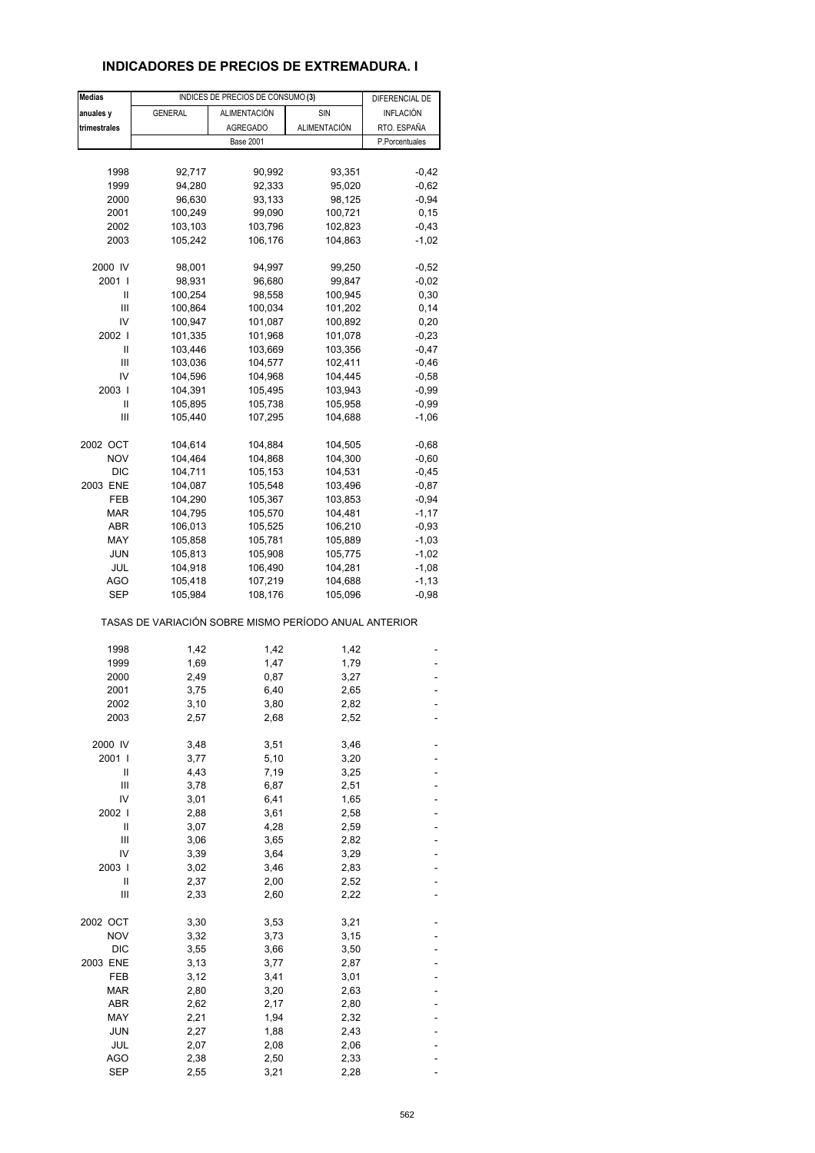#### **INDICADORES DE PRECIOS DE EXTREMADURA. I**

| <b>Medias</b> |                                                       | INDICES DE PRECIOS DE CONSUMO (3) |              | DIFERENCIAL DE |
|---------------|-------------------------------------------------------|-----------------------------------|--------------|----------------|
| anuales y     | <b>GENERAL</b>                                        | ALIMENTACIÓN                      | SIN          | INFLACIÓN      |
| trimestrales  |                                                       | <b>AGREGADO</b>                   | ALIMENTACIÓN | RTO. ESPAÑA    |
|               |                                                       | <b>Base 2001</b>                  |              | P.Porcentuales |
|               |                                                       |                                   |              |                |
|               |                                                       |                                   |              |                |
| 1998          | 92,717                                                | 90,992                            | 93,351       | $-0,42$        |
| 1999          | 94,280                                                | 92,333                            | 95,020       | $-0,62$        |
| 2000          | 96,630                                                | 93,133                            | 98,125       | $-0,94$        |
| 2001          | 100,249                                               | 99,090                            | 100,721      | 0, 15          |
| 2002          | 103,103                                               | 103,796                           | 102,823      | $-0,43$        |
| 2003          | 105,242                                               | 106,176                           | 104,863      | $-1,02$        |
| 2000 IV       | 98,001                                                | 94,997                            | 99,250       | $-0,52$        |
| 2001 l        | 98,931                                                | 96,680                            | 99,847       | $-0,02$        |
| Ш             | 100,254                                               | 98,558                            | 100,945      | 0,30           |
| Ш             | 100,864                                               | 100,034                           | 101,202      | 0,14           |
| IV            | 100,947                                               | 101,087                           | 100,892      | 0,20           |
| 2002 l        | 101,335                                               | 101,968                           | 101,078      | $-0,23$        |
| Ш             |                                                       |                                   |              |                |
|               | 103,446                                               | 103,669                           | 103,356      | $-0,47$        |
| Ш             | 103,036                                               | 104,577                           | 102,411      | $-0,46$        |
| IV            | 104,596                                               | 104,968                           | 104,445      | $-0,58$        |
| 2003          | 104,391                                               | 105,495                           | 103,943      | $-0.99$        |
| Ш             | 105,895                                               | 105,738                           | 105,958      | $-0,99$        |
| Ш             | 105,440                                               | 107,295                           | 104,688      | $-1,06$        |
| 2002 OCT      | 104,614                                               | 104,884                           | 104,505      | $-0,68$        |
| <b>NOV</b>    | 104,464                                               | 104,868                           | 104,300      | $-0,60$        |
| <b>DIC</b>    | 104,711                                               | 105,153                           | 104,531      | $-0,45$        |
| 2003 ENE      | 104,087                                               | 105,548                           | 103,496      | $-0,87$        |
| FEB           |                                                       |                                   |              |                |
|               | 104,290                                               | 105,367                           | 103,853      | $-0,94$        |
| MAR           | 104,795                                               | 105,570                           | 104,481      | $-1,17$        |
| <b>ABR</b>    | 106,013                                               | 105,525                           | 106,210      | $-0,93$        |
| MAY           | 105,858                                               | 105,781                           | 105,889      | $-1,03$        |
| <b>JUN</b>    | 105,813                                               | 105,908                           | 105,775      | $-1,02$        |
| JUL           | 104,918                                               | 106,490                           | 104,281      | $-1,08$        |
| AGO           | 105,418                                               | 107,219                           | 104,688      | $-1, 13$       |
| SEP           | 105,984                                               | 108,176                           | 105,096      | $-0,98$        |
|               | TASAS DE VARIACIÓN SOBRE MISMO PERÍODO ANUAL ANTERIOR |                                   |              |                |
| 1998          | 1,42                                                  | 1,42                              | 1,42         |                |
| 1999          | 1,69                                                  | 1,47                              | 1,79         |                |
| 2000          | 2,49                                                  | 0,87                              | 3,27         |                |
| 2001          | 3,75                                                  | 6,40                              | 2,65         |                |
|               |                                                       |                                   |              |                |
| 2002          | 3,10                                                  | 3,80                              | 2,82<br>2,52 |                |
| 2003          | 2,57                                                  | 2,68                              |              |                |
| 2000 IV       | 3,48                                                  | 3,51                              | 3,46         |                |
| 2001 l        | 3,77                                                  | 5,10                              | 3,20         |                |
| Ш             | 4,43                                                  | 7,19                              | 3,25         |                |
| Ш             | 3,78                                                  | 6,87                              | 2,51         |                |
| IV            | 3,01                                                  | 6,41                              | 1,65         |                |
| 2002          | 2,88                                                  | 3,61                              | 2,58         |                |
| Ш             | 3,07                                                  | 4,28                              | 2,59         |                |
| Ш             | 3,06                                                  | 3,65                              | 2,82         |                |
| IV            | 3,39                                                  | 3,64                              | 3,29         |                |
| 2003          | 3,02                                                  |                                   |              |                |
|               |                                                       | 3,46                              | 2,83         |                |
| Ш             | 2,37                                                  | 2,00                              | 2,52         |                |
| Ш             | 2,33                                                  | 2,60                              | 2,22         |                |
| 2002 OCT      | 3,30                                                  | 3,53                              | 3,21         |                |
| <b>NOV</b>    | 3,32                                                  | 3,73                              | 3,15         |                |
| DIC           | 3,55                                                  | 3,66                              | 3,50         |                |
| 2003 ENE      | 3,13                                                  | 3,77                              | 2,87         |                |
| FEB           | 3,12                                                  | 3,41                              | 3,01         |                |
| <b>MAR</b>    | 2,80                                                  | 3,20                              | 2,63         |                |
| <b>ABR</b>    | 2,62                                                  | 2,17                              | 2,80         |                |
| MAY           |                                                       |                                   | 2,32         |                |
|               | 2,21                                                  | 1,94                              |              |                |
| <b>JUN</b>    | 2,27                                                  | 1,88                              | 2,43         |                |
| JUL           | 2,07                                                  | 2,08                              | 2,06         |                |
| AGO           | 2,38                                                  | 2,50                              | 2,33         |                |
| <b>SEP</b>    | 2,55                                                  | 3,21                              | 2,28         |                |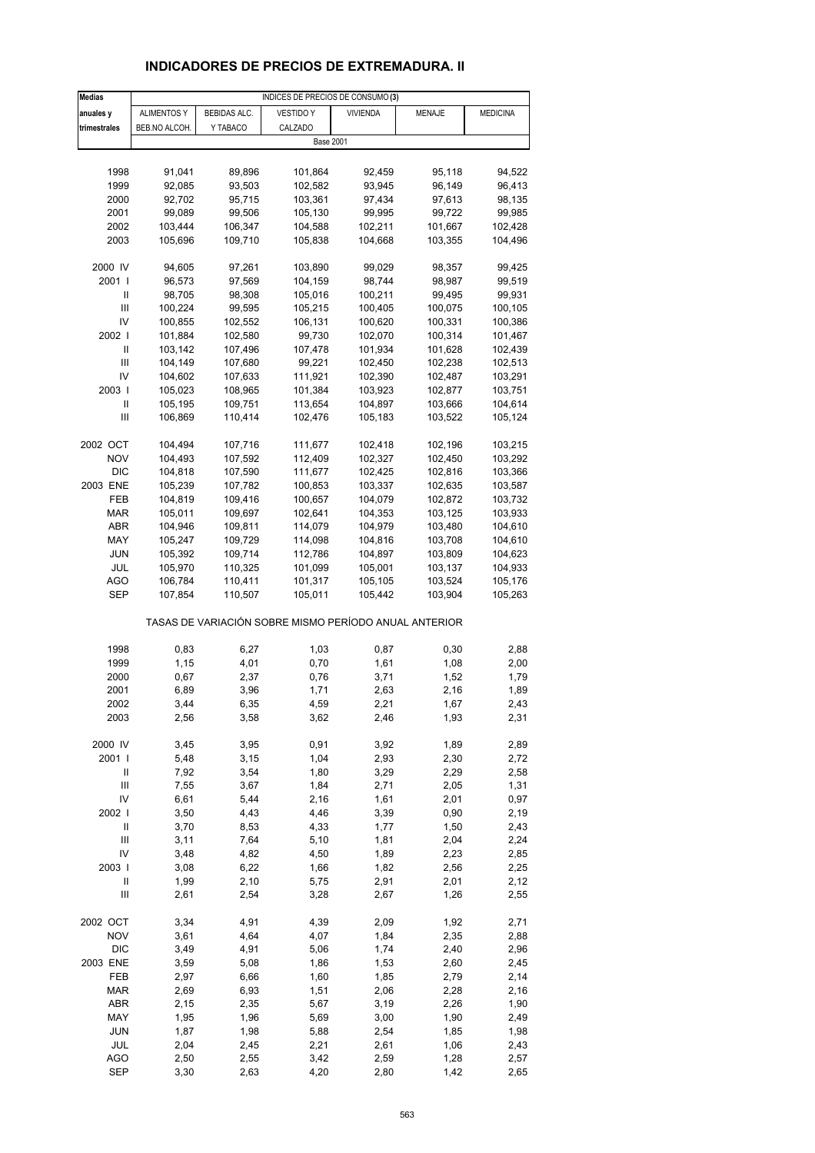# **INDICADORES DE PRECIOS DE EXTREMADURA. II**

| <b>Medias</b>                      |                    |              | INDICES DE PRECIOS DE CONSUMO (3)                     |                 |               |                 |
|------------------------------------|--------------------|--------------|-------------------------------------------------------|-----------------|---------------|-----------------|
| anuales y                          | <b>ALIMENTOS Y</b> | BEBIDAS ALC. | VESTIDO Y                                             | <b>VIVIENDA</b> | <b>MENAJE</b> | <b>MEDICINA</b> |
| trimestrales                       | BEB.NO ALCOH.      | Y TABACO     | CALZADO                                               |                 |               |                 |
|                                    |                    |              | <b>Base 2001</b>                                      |                 |               |                 |
|                                    |                    |              |                                                       |                 |               |                 |
| 1998                               | 91,041             | 89,896       | 101,864                                               | 92,459          | 95,118        | 94,522          |
| 1999                               | 92,085             | 93,503       | 102,582                                               | 93,945          | 96,149        | 96,413          |
| 2000                               | 92,702             | 95,715       | 103,361                                               | 97,434          | 97,613        | 98,135          |
| 2001                               | 99,089             | 99,506       | 105,130                                               | 99,995          | 99,722        | 99,985          |
| 2002                               |                    |              |                                                       |                 |               |                 |
|                                    | 103,444            | 106,347      | 104,588                                               | 102,211         | 101,667       | 102,428         |
| 2003                               | 105,696            | 109,710      | 105,838                                               | 104,668         | 103,355       | 104,496         |
| 2000 IV                            | 94,605             | 97,261       | 103,890                                               | 99,029          | 98,357        | 99,425          |
| 2001 l                             | 96,573             | 97,569       | 104,159                                               | 98,744          | 98,987        | 99,519          |
| Ш                                  | 98,705             | 98,308       | 105,016                                               | 100,211         | 99,495        | 99,931          |
| Ш                                  | 100,224            | 99,595       | 105,215                                               | 100,405         | 100,075       | 100,105         |
| IV                                 | 100,855            | 102,552      | 106,131                                               | 100,620         | 100,331       | 100,386         |
| 2002                               | 101,884            | 102,580      |                                                       |                 | 100,314       |                 |
|                                    |                    |              | 99,730                                                | 102,070         |               | 101,467         |
| Ш                                  | 103,142            | 107,496      | 107,478                                               | 101,934         | 101,628       | 102,439         |
| Ш                                  | 104,149            | 107,680      | 99,221                                                | 102,450         | 102,238       | 102,513         |
| IV                                 | 104,602            | 107,633      | 111,921                                               | 102,390         | 102,487       | 103,291         |
| 2003                               | 105,023            | 108,965      | 101,384                                               | 103,923         | 102,877       | 103,751         |
| Ш                                  | 105,195            | 109,751      | 113,654                                               | 104,897         | 103,666       | 104,614         |
| $\mathbf{III}$                     | 106,869            | 110,414      | 102,476                                               | 105,183         | 103,522       | 105,124         |
|                                    |                    |              |                                                       |                 |               |                 |
| 2002 OCT                           | 104,494            | 107,716      | 111,677                                               | 102,418         | 102,196       | 103,215         |
| <b>NOV</b>                         | 104,493            | 107,592      | 112,409                                               | 102,327         | 102,450       | 103,292         |
| <b>DIC</b>                         | 104,818            | 107,590      | 111,677                                               | 102,425         | 102,816       | 103,366         |
| 2003 ENE                           | 105,239            | 107,782      | 100,853                                               | 103,337         | 102,635       | 103,587         |
| FEB                                | 104,819            | 109,416      | 100,657                                               | 104,079         | 102,872       | 103,732         |
| <b>MAR</b>                         | 105,011            | 109,697      | 102,641                                               | 104,353         | 103,125       | 103,933         |
| ABR                                | 104,946            | 109,811      | 114,079                                               | 104,979         | 103,480       | 104,610         |
| MAY                                | 105,247            | 109,729      | 114,098                                               | 104,816         | 103,708       | 104,610         |
| JUN                                | 105,392            | 109,714      | 112,786                                               | 104,897         | 103,809       | 104,623         |
| JUL                                | 105,970            | 110,325      | 101,099                                               | 105,001         | 103,137       | 104,933         |
| AGO                                | 106,784            | 110,411      | 101,317                                               | 105,105         | 103,524       | 105,176         |
| <b>SEP</b>                         | 107,854            | 110,507      | 105,011                                               | 105,442         | 103,904       | 105,263         |
|                                    |                    |              | TASAS DE VARIACIÓN SOBRE MISMO PERÍODO ANUAL ANTERIOR |                 |               |                 |
| 1998                               | 0,83               | 6,27         | 1,03                                                  | 0,87            | 0,30          | 2,88            |
| 1999                               | 1,15               | 4,01         | 0,70                                                  | 1,61            | 1,08          | 2,00            |
| 2000                               | 0,67               | 2,37         | 0,76                                                  | 3,71            | 1,52          | 1,79            |
| 2001                               | 6,89               | 3,96         | 1,71                                                  | 2,63            | 2,16          | 1,89            |
| 2002                               | 3,44               | 6,35         | 4,59                                                  | 2,21            | 1,67          | 2,43            |
| 2003                               | 2,56               | 3,58         | 3,62                                                  | 2,46            | 1,93          | 2,31            |
|                                    |                    |              |                                                       |                 |               |                 |
| 2000 IV                            | 3,45               | 3,95         | 0,91                                                  | 3,92            | 1,89          | 2,89            |
| 2001 l                             | 5,48               | 3,15         | 1,04                                                  | 2,93            | 2,30          | 2,72            |
| Ш                                  | 7,92               | 3,54         | 1,80                                                  | 3,29            | 2,29          | 2,58            |
| $\ensuremath{\mathsf{III}}\xspace$ | 7,55               | 3,67         | 1,84                                                  | 2,71            | 2,05          | 1,31            |
| IV                                 | 6,61               | 5,44         | 2,16                                                  | 1,61            | 2,01          | 0,97            |
| 2002 l                             | 3,50               | 4,43         | 4,46                                                  | 3,39            | 0,90          | 2,19            |
| Ш                                  | 3,70               | 8,53         | 4,33                                                  | 1,77            | 1,50          | 2,43            |
| Ш                                  | 3,11               | 7,64         | 5,10                                                  | 1,81            | 2,04          | 2,24            |
| IV                                 | 3,48               | 4,82         | 4,50                                                  | 1,89            | 2,23          | 2,85            |
| 2003                               | 3,08               | 6,22         | 1,66                                                  | 1,82            | 2,56          | 2,25            |
| Ш                                  | 1,99               | 2,10         | 5,75                                                  | 2,91            | 2,01          | 2,12            |
| Ш                                  | 2,61               | 2,54         | 3,28                                                  | 2,67            | 1,26          | 2,55            |
| 2002 OCT                           | 3,34               | 4,91         | 4,39                                                  | 2,09            | 1,92          | 2,71            |
| <b>NOV</b>                         | 3,61               | 4,64         | 4,07                                                  | 1,84            | 2,35          | 2,88            |
| <b>DIC</b>                         | 3,49               | 4,91         | 5,06                                                  | 1,74            | 2,40          | 2,96            |
| 2003 ENE                           | 3,59               | 5,08         | 1,86                                                  | 1,53            | 2,60          | 2,45            |
| FEB                                | 2,97               | 6,66         | 1,60                                                  | 1,85            | 2,79          | 2,14            |
| <b>MAR</b>                         | 2,69               | 6,93         | 1,51                                                  | 2,06            | 2,28          | 2,16            |
| ABR                                | 2,15               | 2,35         | 5,67                                                  | 3,19            | 2,26          | 1,90            |
| MAY                                | 1,95               | 1,96         | 5,69                                                  | 3,00            | 1,90          | 2,49            |
| JUN                                | 1,87               | 1,98         | 5,88                                                  | 2,54            | 1,85          | 1,98            |
| JUL                                | 2,04               | 2,45         | 2,21                                                  | 2,61            | 1,06          | 2,43            |
| <b>AGO</b>                         | 2,50               | 2,55         | 3,42                                                  | 2,59            | 1,28          | 2,57            |
| <b>SEP</b>                         | 3,30               | 2,63         | 4,20                                                  | 2,80            | 1,42          | 2,65            |
|                                    |                    |              |                                                       |                 |               |                 |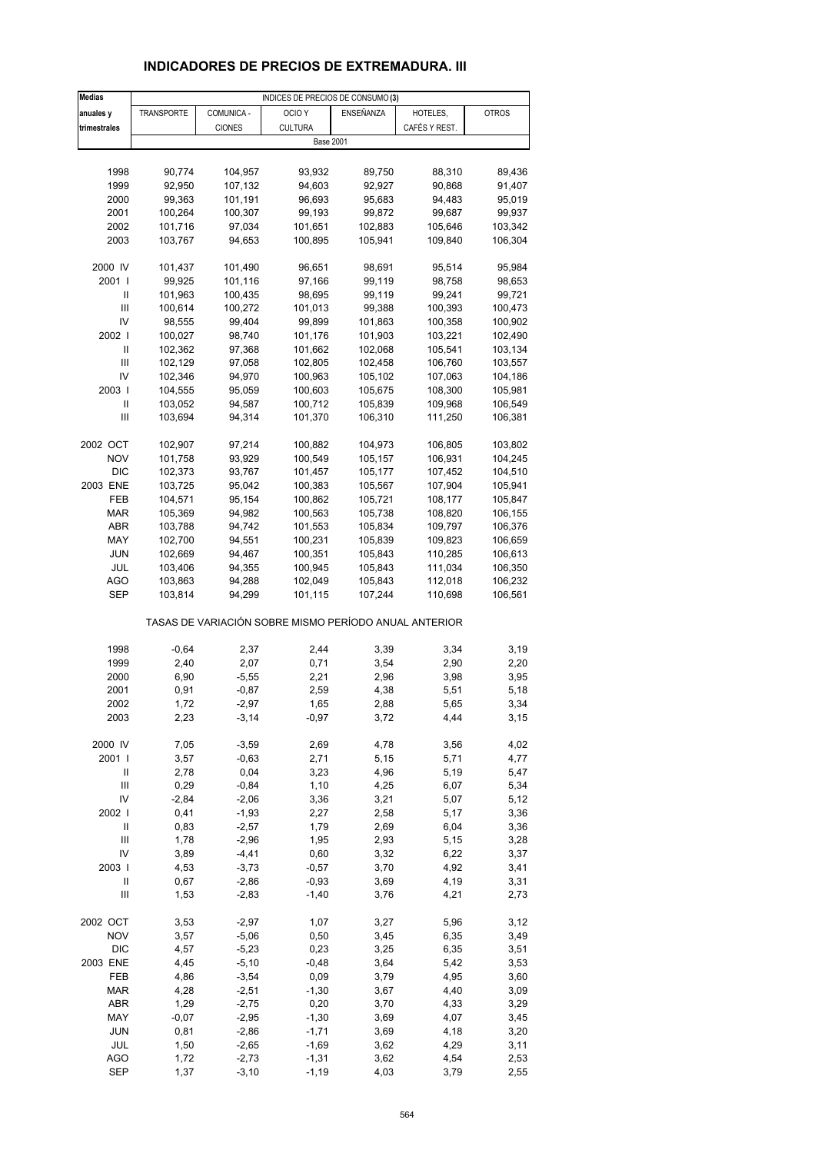# **INDICADORES DE PRECIOS DE EXTREMADURA. III**

| <b>Medias</b>  |                    |               | INDICES DE PRECIOS DE CONSUMO (3)                     |                    |               |              |
|----------------|--------------------|---------------|-------------------------------------------------------|--------------------|---------------|--------------|
| anuales y      | TRANSPORTE         | COMUNICA -    | OCIO <sub>Y</sub>                                     | ENSEÑANZA          | HOTELES,      | <b>OTROS</b> |
| trimestrales   |                    | <b>CIONES</b> | <b>CULTURA</b>                                        |                    | CAFÉS Y REST. |              |
|                |                    |               | <b>Base 2001</b>                                      |                    |               |              |
|                |                    |               |                                                       |                    |               |              |
|                |                    |               |                                                       |                    |               |              |
| 1998           | 90,774             | 104,957       | 93,932                                                | 89,750             | 88,310        | 89,436       |
| 1999           | 92,950             | 107,132       | 94,603                                                | 92,927             | 90,868        | 91,407       |
| 2000           | 99,363             | 101,191       | 96,693                                                | 95,683             | 94,483        | 95,019       |
| 2001           | 100,264            | 100,307       | 99,193                                                | 99,872             | 99,687        | 99,937       |
| 2002           | 101,716            | 97,034        | 101,651                                               | 102,883            | 105,646       | 103,342      |
| 2003           | 103,767            | 94,653        | 100,895                                               | 105,941            | 109,840       | 106,304      |
|                |                    |               |                                                       |                    |               |              |
| 2000 IV        | 101,437            | 101,490       | 96,651                                                | 98,691             | 95,514        | 95,984       |
| 2001 l         | 99,925             | 101,116       | 97,166                                                | 99,119             | 98,758        | 98,653       |
| Ш              | 101,963            | 100,435       | 98,695                                                | 99,119             | 99,241        | 99,721       |
|                |                    |               |                                                       |                    |               |              |
| Ш              | 100,614            | 100,272       | 101,013                                               | 99,388             | 100,393       | 100,473      |
| IV             | 98,555             | 99,404        | 99,899                                                | 101,863            | 100,358       | 100,902      |
| 2002           | 100,027            | 98,740        | 101,176                                               | 101,903            | 103,221       | 102,490      |
| Ш              | 102,362            | 97,368        | 101,662                                               | 102,068            | 105,541       | 103,134      |
| Ш              | 102,129            | 97,058        | 102,805                                               | 102,458            | 106,760       | 103,557      |
| IV             | 102,346            | 94,970        | 100,963                                               | 105,102            | 107,063       | 104,186      |
| 2003           | 104,555            | 95,059        | 100,603                                               | 105,675            | 108,300       | 105,981      |
| Ш              | 103,052            | 94,587        | 100,712                                               | 105,839            | 109,968       | 106,549      |
| $\mathbf{III}$ | 103,694            | 94,314        | 101,370                                               | 106,310            | 111,250       | 106,381      |
|                |                    |               |                                                       |                    |               |              |
| 2002 OCT       |                    |               |                                                       |                    |               |              |
|                | 102,907            | 97,214        | 100,882                                               | 104,973            | 106,805       | 103,802      |
| <b>NOV</b>     | 101,758            | 93,929        | 100,549                                               | 105,157            | 106,931       | 104,245      |
| <b>DIC</b>     | 102,373            | 93,767        | 101,457                                               | 105,177            | 107,452       | 104,510      |
| 2003 ENE       | 103,725            | 95,042        | 100,383                                               | 105,567            | 107,904       | 105,941      |
| FEB            | 104,571            | 95,154        | 100,862                                               | 105,721            | 108,177       | 105,847      |
| <b>MAR</b>     | 105,369            | 94,982        | 100,563                                               | 105,738            | 108,820       | 106,155      |
| ABR            | 103,788            | 94,742        | 101,553                                               | 105,834            | 109,797       | 106,376      |
| MAY            | 102,700            | 94,551        | 100,231                                               | 105,839            | 109,823       | 106,659      |
| <b>JUN</b>     | 102,669            | 94,467        | 100,351                                               | 105,843            | 110,285       | 106,613      |
| JUL            | 103,406            | 94,355        | 100,945                                               | 105,843            | 111,034       | 106,350      |
|                |                    |               |                                                       |                    |               | 106,232      |
| AGO<br>SEP     | 103,863<br>103,814 | 94,288        | 102,049<br>101,115                                    | 105,843<br>107,244 | 112,018       |              |
|                |                    | 94,299        |                                                       |                    | 110,698       | 106,561      |
|                |                    |               | TASAS DE VARIACIÓN SOBRE MISMO PERÍODO ANUAL ANTERIOR |                    |               |              |
| 1998           | $-0,64$            | 2,37          | 2,44                                                  | 3,39               | 3,34          | 3,19         |
| 1999           | 2,40               | 2,07          | 0,71                                                  | 3,54               | 2,90          | 2,20         |
| 2000           | 6,90               | $-5,55$       | 2,21                                                  | 2,96               | 3,98          | 3,95         |
| 2001           | 0,91               | $-0.87$       | 2,59                                                  | 4,38               | 5,51          | 5,18         |
| 2002           | 1,72               | $-2,97$       | 1,65                                                  | 2,88               | 5,65          | 3,34         |
| 2003           | 2,23               | $-3,14$       | $-0,97$                                               | 3,72               | 4,44          | 3,15         |
|                |                    |               |                                                       |                    |               |              |
| 2000 IV        | 7,05               | $-3,59$       | 2,69                                                  | 4,78               | 3,56          | 4,02         |
| 2001 l         | 3,57               | $-0,63$       | 2,71                                                  | 5,15               | 5,71          | 4,77         |
| Ш              | 2,78               | 0,04          | 3,23                                                  | 4,96               | 5,19          | 5,47         |
| Ш              | 0,29               | $-0,84$       | 1,10                                                  | 4,25               | 6,07          | 5,34         |
| IV             | $-2,84$            | $-2,06$       | 3,36                                                  | 3,21               | 5,07          | 5,12         |
| 2002           | 0,41               | $-1,93$       | 2,27                                                  | 2,58               | 5,17          | 3,36         |
| Ш              | 0,83               | $-2,57$       | 1,79                                                  | 2,69               | 6,04          | 3,36         |
| Ш              | 1,78               | $-2,96$       | 1,95                                                  | 2,93               | 5,15          | 3,28         |
| IV             | 3,89               | $-4,41$       | 0,60                                                  | 3,32               | 6,22          | 3,37         |
| 2003           | 4,53               | $-3,73$       | $-0,57$                                               | 3,70               | 4,92          | 3,41         |
|                |                    |               |                                                       |                    |               |              |
| Ш              | 0,67               | $-2,86$       | $-0,93$                                               | 3,69               | 4,19          | 3,31         |
| Ш              | 1,53               | $-2,83$       | $-1,40$                                               | 3,76               | 4,21          | 2,73         |
| 2002 OCT       | 3,53               | $-2,97$       | 1,07                                                  | 3,27               | 5,96          | 3,12         |
| <b>NOV</b>     | 3,57               | $-5,06$       | 0,50                                                  | 3,45               | 6,35          | 3,49         |
| <b>DIC</b>     | 4,57               | $-5,23$       | 0,23                                                  | 3,25               | 6,35          | 3,51         |
| 2003 ENE       | 4,45               | $-5,10$       | $-0,48$                                               | 3,64               | 5,42          | 3,53         |
| FEB            | 4,86               | $-3,54$       | 0,09                                                  | 3,79               | 4,95          | 3,60         |
| <b>MAR</b>     | 4,28               | $-2,51$       | $-1,30$                                               | 3,67               | 4,40          | 3,09         |
| ABR            | 1,29               | $-2,75$       | 0,20                                                  | 3,70               | 4,33          | 3,29         |
| MAY            | $-0,07$            | $-2,95$       | $-1,30$                                               | 3,69               | 4,07          | 3,45         |
|                |                    |               |                                                       |                    |               |              |
| JUN            | 0,81               | $-2,86$       | $-1,71$                                               | 3,69               | 4,18          | 3,20         |
| JUL            | 1,50               | $-2,65$       | $-1,69$                                               | 3,62               | 4,29          | 3,11         |
| AGO            | 1,72               | $-2,73$       | $-1,31$                                               | 3,62               | 4,54          | 2,53         |
| <b>SEP</b>     | 1,37               | $-3,10$       | $-1,19$                                               | 4,03               | 3,79          | 2,55         |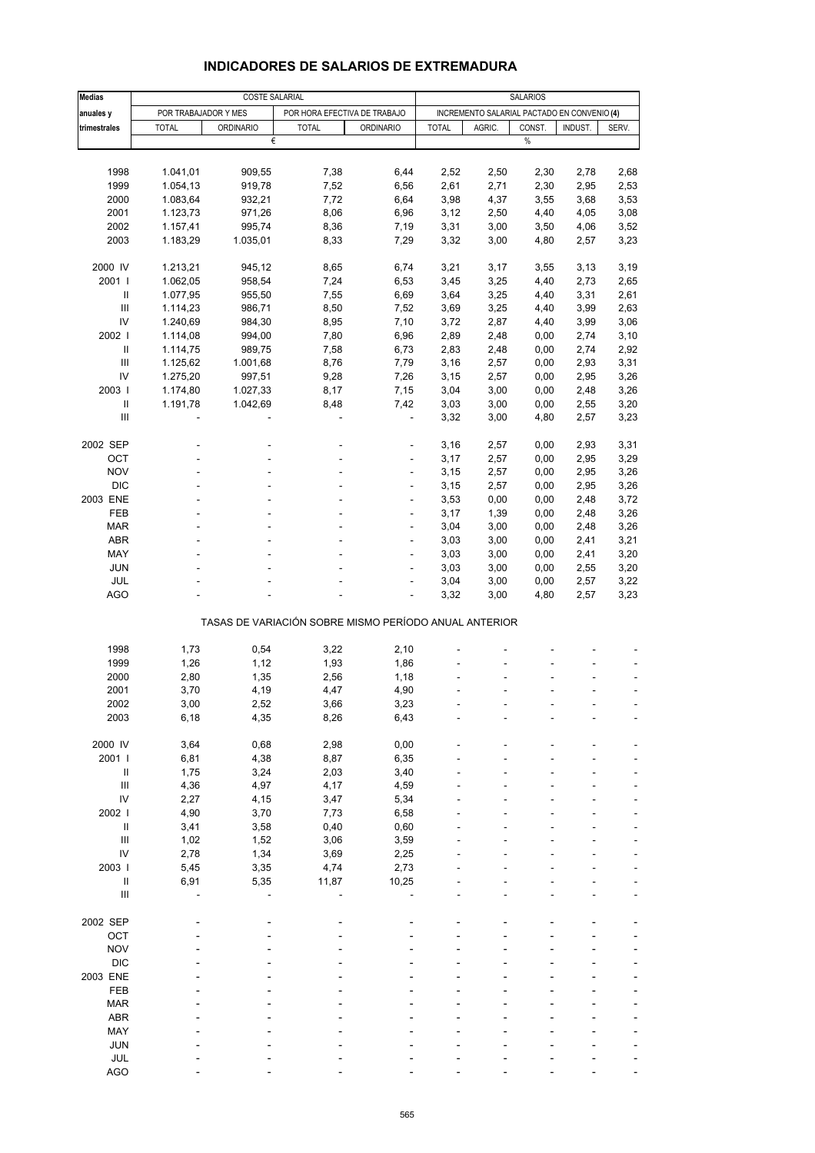| <b>Medias</b>                                                    |                      | <b>COSTE SALARIAL</b> |                                                       | <b>SALARIOS</b>  |              |                                             |        |         |                          |
|------------------------------------------------------------------|----------------------|-----------------------|-------------------------------------------------------|------------------|--------------|---------------------------------------------|--------|---------|--------------------------|
|                                                                  |                      |                       |                                                       |                  |              |                                             |        |         |                          |
| anuales y                                                        | POR TRABAJADOR Y MES |                       | POR HORA EFECTIVA DE TRABAJO                          |                  |              | INCREMENTO SALARIAL PACTADO EN CONVENIO (4) |        |         |                          |
| trimestrales                                                     | <b>TOTAL</b>         | <b>ORDINARIO</b>      | <b>TOTAL</b>                                          | <b>ORDINARIO</b> | <b>TOTAL</b> | AGRIC.                                      | CONST. | INDUST. | SERV.                    |
|                                                                  |                      |                       | €                                                     |                  |              |                                             | %      |         |                          |
|                                                                  |                      |                       |                                                       |                  |              |                                             |        |         |                          |
| 1998                                                             | 1.041,01             | 909,55                | 7,38                                                  | 6,44             | 2,52         | 2,50                                        | 2,30   | 2,78    | 2,68                     |
| 1999                                                             | 1.054,13             | 919,78                | 7,52                                                  | 6,56             | 2,61         | 2,71                                        | 2,30   | 2,95    | 2,53                     |
| 2000                                                             | 1.083,64             | 932,21                | 7,72                                                  | 6,64             | 3,98         | 4,37                                        | 3,55   | 3,68    | 3,53                     |
| 2001                                                             | 1.123,73             | 971,26                | 8,06                                                  | 6,96             | 3,12         | 2,50                                        | 4,40   | 4,05    | 3,08                     |
| 2002                                                             | 1.157,41             | 995,74                | 8,36                                                  | 7,19             | 3,31         | 3,00                                        | 3,50   | 4,06    | 3,52                     |
| 2003                                                             | 1.183,29             | 1.035,01              | 8,33                                                  | 7,29             | 3,32         | 3,00                                        | 4,80   | 2,57    | 3,23                     |
| 2000 IV                                                          | 1.213,21             | 945,12                | 8,65                                                  | 6,74             | 3,21         | 3,17                                        | 3,55   | 3,13    | 3,19                     |
| 2001 l                                                           | 1.062,05             | 958,54                | 7,24                                                  | 6,53             | 3,45         | 3,25                                        | 4,40   | 2,73    | 2,65                     |
| Ш                                                                | 1.077,95             | 955,50                | 7,55                                                  | 6,69             | 3,64         | 3,25                                        | 4,40   | 3,31    | 2,61                     |
| Ш                                                                | 1.114,23             | 986,71                | 8,50                                                  | 7,52             | 3,69         | 3,25                                        | 4,40   | 3,99    | 2,63                     |
| IV                                                               |                      |                       |                                                       |                  |              |                                             |        |         |                          |
|                                                                  | 1.240,69             | 984,30                | 8,95                                                  | 7,10             | 3,72         | 2,87                                        | 4,40   | 3,99    | 3,06                     |
| 2002                                                             | 1.114,08             | 994,00                | 7,80                                                  | 6,96             | 2,89         | 2,48                                        | 0,00   | 2,74    | 3,10                     |
| Ш                                                                | 1.114,75             | 989,75                | 7,58                                                  | 6,73             | 2,83         | 2,48                                        | 0,00   | 2,74    | 2,92                     |
| Ш                                                                | 1.125,62             | 1.001,68              | 8,76                                                  | 7,79             | 3,16         | 2,57                                        | 0,00   | 2,93    | 3,31                     |
| IV                                                               | 1.275,20             | 997,51                | 9,28                                                  | 7,26             | 3,15         | 2,57                                        | 0,00   | 2,95    | 3,26                     |
| 2003                                                             | 1.174,80             | 1.027,33              | 8,17                                                  | 7,15             | 3,04         | 3,00                                        | 0,00   | 2,48    | 3,26                     |
| $\ensuremath{\mathsf{II}}$                                       | 1.191,78             | 1.042,69              | 8,48                                                  | 7,42             | 3,03         | 3,00                                        | 0,00   | 2,55    | 3,20                     |
| Ш                                                                |                      |                       | ä,                                                    | ÷,               | 3,32         | 3,00                                        | 4,80   | 2,57    | 3,23                     |
| 2002 SEP                                                         |                      |                       |                                                       |                  | 3,16         | 2,57                                        | 0,00   | 2,93    | 3,31                     |
| OCT                                                              |                      |                       | L,                                                    | $\overline{a}$   | 3,17         | 2,57                                        | 0,00   | 2,95    | 3,29                     |
| <b>NOV</b>                                                       |                      |                       |                                                       | -                | 3,15         | 2,57                                        | 0,00   | 2,95    | 3,26                     |
| <b>DIC</b>                                                       |                      |                       |                                                       | ÷,               | 3,15         | 2,57                                        | 0,00   | 2,95    | 3,26                     |
| 2003 ENE                                                         |                      |                       |                                                       | ä,               |              |                                             |        |         |                          |
|                                                                  |                      |                       |                                                       |                  | 3,53         | 0,00                                        | 0,00   | 2,48    | 3,72                     |
| FEB                                                              |                      |                       | ÷.                                                    | ÷,               | 3,17         | 1,39                                        | 0,00   | 2,48    | 3,26                     |
| <b>MAR</b>                                                       |                      |                       |                                                       | ä,               | 3,04         | 3,00                                        | 0,00   | 2,48    | 3,26                     |
| ABR                                                              |                      |                       |                                                       | ÷,               | 3,03         | 3,00                                        | 0,00   | 2,41    | 3,21                     |
| MAY                                                              |                      |                       | ٠                                                     | ÷                | 3,03         | 3,00                                        | 0,00   | 2,41    | 3,20                     |
| <b>JUN</b>                                                       |                      |                       |                                                       |                  | 3,03         | 3,00                                        | 0,00   | 2,55    | 3,20                     |
| <b>JUL</b>                                                       |                      |                       |                                                       | ÷,               | 3,04         | 3,00                                        | 0,00   | 2,57    | 3,22                     |
| AGO                                                              |                      |                       |                                                       |                  | 3,32         | 3,00                                        | 4,80   | 2,57    | 3,23                     |
|                                                                  |                      |                       | TASAS DE VARIACIÓN SOBRE MISMO PERÍODO ANUAL ANTERIOR |                  |              |                                             |        |         |                          |
|                                                                  |                      |                       |                                                       |                  |              |                                             |        |         |                          |
| 1998                                                             | 1,73                 | 0,54                  | 3,22                                                  | 2,10             |              |                                             |        |         |                          |
| 1999                                                             | 1,26                 | 1,12                  | 1,93                                                  | 1,86             |              |                                             |        |         |                          |
| 2000                                                             | 2,80                 | 1,35                  | 2,56                                                  | 1,18             |              |                                             |        |         |                          |
| 2001                                                             | 3,70                 | 4,19                  | 4,47                                                  | 4,90             |              |                                             |        |         | $\overline{\phantom{a}}$ |
| 2002                                                             | 3,00                 | 2,52                  | 3,66                                                  | 3,23             |              |                                             |        |         |                          |
| 2003                                                             | 6, 18                | 4,35                  | 8,26                                                  | 6,43             |              |                                             |        |         |                          |
| 2000 IV                                                          | 3,64                 | 0,68                  | 2,98                                                  | 0,00             |              |                                             |        |         |                          |
| 2001 l                                                           | 6,81                 | 4,38                  | 8,87                                                  | 6,35             |              |                                             |        |         |                          |
| Ш                                                                | 1,75                 | 3,24                  | 2,03                                                  | 3,40             |              |                                             |        |         |                          |
| $\ensuremath{\mathsf{III}}\xspace$                               | 4,36                 | 4,97                  | 4,17                                                  | 4,59             |              |                                             |        |         |                          |
| IV                                                               | 2,27                 | 4,15                  | 3,47                                                  | 5,34             |              |                                             |        |         |                          |
| 2002                                                             | 4,90                 | 3,70                  | 7,73                                                  | 6,58             |              |                                             |        |         |                          |
| $\ensuremath{\mathsf{II}}$                                       | 3,41                 | 3,58                  | 0,40                                                  | 0,60             |              |                                             |        |         |                          |
| $\ensuremath{\mathsf{III}}\xspace$                               |                      |                       |                                                       |                  |              |                                             |        |         |                          |
|                                                                  | 1,02                 | 1,52                  | 3,06                                                  | 3,59             |              |                                             |        |         |                          |
| IV                                                               | 2,78                 | 1,34                  | 3,69                                                  | 2,25             |              |                                             |        |         |                          |
| 2003                                                             | 5,45                 | 3,35                  | 4,74                                                  | 2,73             |              |                                             |        |         |                          |
| $\ensuremath{\mathsf{II}}$<br>$\ensuremath{\mathsf{III}}\xspace$ | 6,91                 | 5,35                  | 11,87                                                 | 10,25            |              |                                             |        |         |                          |
|                                                                  |                      |                       |                                                       |                  |              |                                             |        |         |                          |
| 2002 SEP<br>OCT                                                  |                      |                       |                                                       |                  |              |                                             |        |         |                          |
| <b>NOV</b>                                                       |                      |                       |                                                       |                  |              |                                             |        |         |                          |
|                                                                  |                      |                       |                                                       |                  |              |                                             |        |         |                          |
| <b>DIC</b>                                                       |                      |                       |                                                       |                  |              |                                             |        |         |                          |
| 2003 ENE                                                         |                      |                       |                                                       |                  |              |                                             |        |         |                          |
| FEB                                                              |                      |                       |                                                       |                  |              |                                             |        |         |                          |
| <b>MAR</b>                                                       |                      |                       |                                                       |                  |              |                                             |        |         |                          |
| ABR                                                              |                      |                       |                                                       |                  |              |                                             |        |         |                          |
| MAY                                                              |                      |                       |                                                       |                  |              |                                             |        |         |                          |
| JUN                                                              |                      |                       |                                                       |                  |              |                                             |        |         |                          |
| JUL                                                              |                      |                       |                                                       |                  |              |                                             |        |         |                          |

#### **INDICADORES DE SALARIOS DE EXTREMADURA**

AGO - - - - - - ---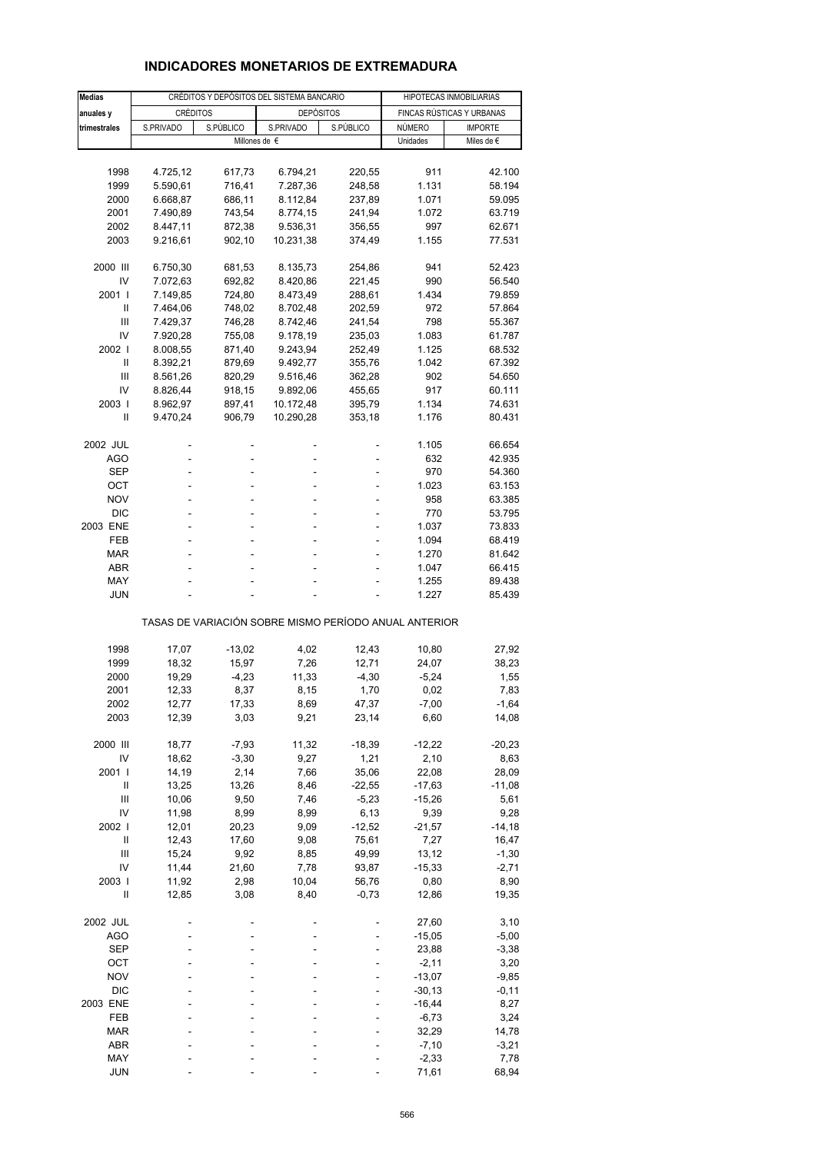### **INDICADORES MONETARIOS DE EXTREMADURA**

| <b>Medias</b>  |                 | CRÉDITOS Y DEPÓSITOS DEL SISTEMA BANCARIO | HIPOTECAS INMOBILIARIAS                               |           |                           |                |  |  |  |  |  |  |  |  |
|----------------|-----------------|-------------------------------------------|-------------------------------------------------------|-----------|---------------------------|----------------|--|--|--|--|--|--|--|--|
| anuales y      | <b>CRÉDITOS</b> |                                           | <b>DEPÓSITOS</b>                                      |           | FINCAS RÚSTICAS Y URBANAS |                |  |  |  |  |  |  |  |  |
| trimestrales   | S.PRIVADO       | S.PÚBLICO                                 | S.PRIVADO                                             | S.PÚBLICO | NÚMERO                    | <b>IMPORTE</b> |  |  |  |  |  |  |  |  |
|                |                 | Millones de €                             |                                                       |           | Unidades                  | Miles de €     |  |  |  |  |  |  |  |  |
|                |                 |                                           |                                                       |           |                           |                |  |  |  |  |  |  |  |  |
| 1998           | 4.725,12        | 617,73                                    | 6.794,21                                              | 220,55    | 911                       | 42.100         |  |  |  |  |  |  |  |  |
| 1999           | 5.590,61        | 716,41                                    | 7.287,36                                              | 248,58    | 1.131                     | 58.194         |  |  |  |  |  |  |  |  |
| 2000           | 6.668,87        | 686,11                                    | 8.112,84                                              | 237,89    | 1.071                     | 59.095         |  |  |  |  |  |  |  |  |
|                |                 |                                           |                                                       |           |                           |                |  |  |  |  |  |  |  |  |
| 2001           | 7.490,89        | 743,54                                    | 8.774,15                                              | 241,94    | 1.072                     | 63.719         |  |  |  |  |  |  |  |  |
| 2002           | 8.447,11        | 872,38                                    | 9.536,31                                              | 356,55    | 997                       | 62.671         |  |  |  |  |  |  |  |  |
| 2003           | 9.216,61        | 902,10                                    | 10.231,38                                             | 374,49    | 1.155                     | 77.531         |  |  |  |  |  |  |  |  |
|                |                 |                                           |                                                       |           |                           |                |  |  |  |  |  |  |  |  |
| 2000 III       | 6.750,30        | 681,53                                    | 8.135,73                                              | 254,86    | 941                       | 52.423         |  |  |  |  |  |  |  |  |
| IV             | 7.072,63        | 692,82                                    | 8.420,86                                              | 221,45    | 990                       | 56.540         |  |  |  |  |  |  |  |  |
| 2001 l         | 7.149,85        | 724,80                                    | 8.473,49                                              | 288,61    | 1.434                     | 79.859         |  |  |  |  |  |  |  |  |
| Ш              | 7.464,06        | 748,02                                    | 8.702,48                                              | 202,59    | 972                       | 57.864         |  |  |  |  |  |  |  |  |
| Ш              | 7.429,37        | 746,28                                    | 8.742,46                                              | 241,54    | 798                       | 55.367         |  |  |  |  |  |  |  |  |
| IV             | 7.920,28        | 755,08                                    | 9.178,19                                              | 235,03    | 1.083                     | 61.787         |  |  |  |  |  |  |  |  |
| 2002           | 8.008,55        | 871,40                                    | 9.243,94                                              | 252,49    | 1.125                     | 68.532         |  |  |  |  |  |  |  |  |
| Ш              | 8.392,21        | 879,69                                    | 9.492,77                                              | 355,76    | 1.042                     | 67.392         |  |  |  |  |  |  |  |  |
| Ш              | 8.561,26        | 820,29                                    | 9.516,46                                              | 362,28    | 902                       | 54.650         |  |  |  |  |  |  |  |  |
| IV             | 8.826,44        | 918,15                                    | 9.892,06                                              | 455,65    | 917                       | 60.111         |  |  |  |  |  |  |  |  |
| 2003           | 8.962,97        | 897,41                                    | 10.172,48                                             | 395,79    | 1.134                     | 74.631         |  |  |  |  |  |  |  |  |
| Ш              | 9.470,24        | 906,79                                    | 10.290,28                                             | 353,18    | 1.176                     | 80.431         |  |  |  |  |  |  |  |  |
|                |                 |                                           |                                                       |           |                           |                |  |  |  |  |  |  |  |  |
| 2002 JUL       |                 | ÷,                                        |                                                       |           | 1.105                     | 66.654         |  |  |  |  |  |  |  |  |
| AGO            |                 | L,                                        |                                                       |           | 632                       | 42.935         |  |  |  |  |  |  |  |  |
| SEP            |                 |                                           |                                                       |           | 970                       | 54.360         |  |  |  |  |  |  |  |  |
| ОСТ            | ٠               | ٠                                         | ٠                                                     |           | 1.023                     | 63.153         |  |  |  |  |  |  |  |  |
| <b>NOV</b>     |                 |                                           |                                                       |           | 958                       | 63.385         |  |  |  |  |  |  |  |  |
| <b>DIC</b>     | ÷.              | ä,                                        |                                                       |           | 770                       | 53.795         |  |  |  |  |  |  |  |  |
| 2003 ENE       | ٠               | ٠                                         | ä,                                                    |           | 1.037                     | 73.833         |  |  |  |  |  |  |  |  |
| FEB            |                 |                                           |                                                       |           |                           |                |  |  |  |  |  |  |  |  |
|                |                 | ä,                                        |                                                       |           | 1.094                     | 68.419         |  |  |  |  |  |  |  |  |
| MAR            |                 |                                           |                                                       |           | 1.270                     | 81.642         |  |  |  |  |  |  |  |  |
| ABR            |                 | ٠                                         |                                                       |           | 1.047                     | 66.415         |  |  |  |  |  |  |  |  |
| MAY            |                 |                                           |                                                       |           | 1.255                     | 89.438         |  |  |  |  |  |  |  |  |
| JUN            |                 |                                           |                                                       |           | 1.227                     | 85.439         |  |  |  |  |  |  |  |  |
|                |                 |                                           | TASAS DE VARIACIÓN SOBRE MISMO PERÍODO ANUAL ANTERIOR |           |                           |                |  |  |  |  |  |  |  |  |
|                |                 |                                           |                                                       |           |                           |                |  |  |  |  |  |  |  |  |
| 1998           | 17,07           | $-13,02$                                  | 4,02                                                  | 12,43     | 10,80                     | 27,92          |  |  |  |  |  |  |  |  |
| 1999           | 18,32           | 15,97                                     | 7,26                                                  | 12,71     | 24,07                     | 38,23          |  |  |  |  |  |  |  |  |
| 2000           | 19,29           | $-4,23$                                   | 11,33                                                 | $-4,30$   | $-5,24$                   | 1,55           |  |  |  |  |  |  |  |  |
| 2001           | 12,33           | 8,37                                      | 8,15                                                  | 1,70      | 0,02                      | 7,83           |  |  |  |  |  |  |  |  |
| 2002           | 12,77           | 17,33                                     | 8,69                                                  | 47,37     | $-7,00$                   | $-1,64$        |  |  |  |  |  |  |  |  |
| 2003           | 12,39           | 3,03                                      | 9,21                                                  | 23,14     | 6,60                      | 14,08          |  |  |  |  |  |  |  |  |
|                |                 |                                           |                                                       |           |                           |                |  |  |  |  |  |  |  |  |
| 2000 III       | 18,77           | $-7,93$                                   | 11,32                                                 | $-18,39$  | $-12,22$                  | $-20,23$       |  |  |  |  |  |  |  |  |
| IV             | 18,62           | $-3,30$                                   | 9,27                                                  | 1,21      | 2,10                      | 8,63           |  |  |  |  |  |  |  |  |
| 2001           | 14,19           | 2,14                                      | 7,66                                                  | 35,06     | 22,08                     | 28,09          |  |  |  |  |  |  |  |  |
| Ш              | 13,25           | 13,26                                     | 8,46                                                  | $-22,55$  | $-17,63$                  | $-11,08$       |  |  |  |  |  |  |  |  |
| $\mathsf{III}$ | 10,06           | 9,50                                      | 7,46                                                  | $-5,23$   | $-15,26$                  | 5,61           |  |  |  |  |  |  |  |  |
| IV             | 11,98           | 8,99                                      | 8,99                                                  | 6,13      | 9,39                      | 9,28           |  |  |  |  |  |  |  |  |
| 2002 l         | 12,01           | 20,23                                     | 9,09                                                  | $-12,52$  | $-21,57$                  | $-14,18$       |  |  |  |  |  |  |  |  |
| $\sf II$       | 12,43           | 17,60                                     | 9,08                                                  | 75,61     | 7,27                      | 16,47          |  |  |  |  |  |  |  |  |
| Ш              | 15,24           | 9,92                                      | 8,85                                                  | 49,99     | 13,12                     | $-1,30$        |  |  |  |  |  |  |  |  |
| IV             | 11,44           | 21,60                                     | 7,78                                                  | 93,87     | $-15,33$                  | $-2,71$        |  |  |  |  |  |  |  |  |
| 2003 l         | 11,92           | 2,98                                      | 10,04                                                 | 56,76     | 0,80                      | 8,90           |  |  |  |  |  |  |  |  |
| Ш              | 12,85           | 3,08                                      | 8,40                                                  | $-0,73$   | 12,86                     | 19,35          |  |  |  |  |  |  |  |  |
|                |                 |                                           |                                                       |           |                           |                |  |  |  |  |  |  |  |  |
| 2002 JUL       |                 |                                           |                                                       |           | 27,60                     | 3,10           |  |  |  |  |  |  |  |  |
| <b>AGO</b>     |                 |                                           |                                                       |           | $-15,05$                  | $-5,00$        |  |  |  |  |  |  |  |  |
| <b>SEP</b>     |                 |                                           |                                                       |           | 23,88                     | $-3,38$        |  |  |  |  |  |  |  |  |
| OCT            |                 |                                           |                                                       |           | $-2, 11$                  | 3,20           |  |  |  |  |  |  |  |  |
| <b>NOV</b>     |                 |                                           |                                                       |           | $-13,07$                  | $-9,85$        |  |  |  |  |  |  |  |  |
| <b>DIC</b>     |                 |                                           |                                                       |           | $-30, 13$                 | $-0,11$        |  |  |  |  |  |  |  |  |
| 2003 ENE       |                 |                                           |                                                       |           | $-16,44$                  | 8,27           |  |  |  |  |  |  |  |  |
| FEB            |                 |                                           |                                                       |           | $-6,73$                   | 3,24           |  |  |  |  |  |  |  |  |
| <b>MAR</b>     |                 |                                           |                                                       |           | 32,29                     | 14,78          |  |  |  |  |  |  |  |  |
| ABR            |                 |                                           |                                                       |           | $-7,10$                   | $-3,21$        |  |  |  |  |  |  |  |  |
| MAY            |                 |                                           |                                                       |           | $-2,33$                   | 7,78           |  |  |  |  |  |  |  |  |
| <b>JUN</b>     |                 |                                           |                                                       |           | 71,61                     | 68,94          |  |  |  |  |  |  |  |  |
|                |                 |                                           |                                                       |           |                           |                |  |  |  |  |  |  |  |  |